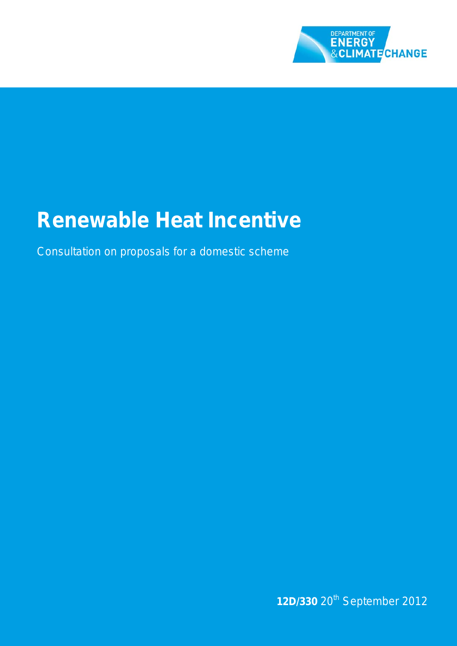

# **Renewable Heat Incentive**

Consultation on proposals for a domestic scheme

**12D/330** 20th September 2012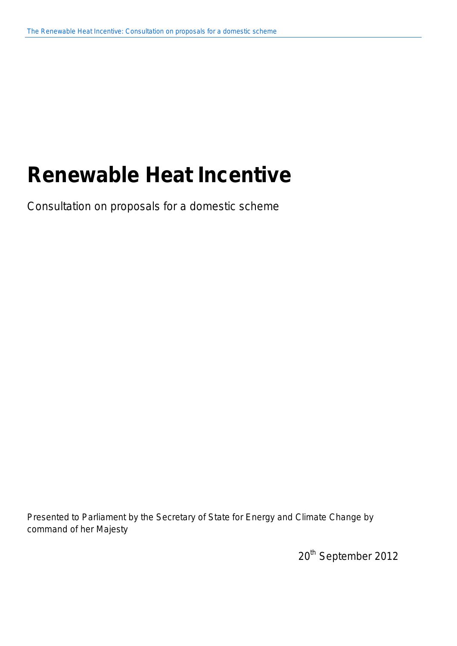# **Renewable Heat Incentive**

Consultation on proposals for a domestic scheme

Presented to Parliament by the Secretary of State for Energy and Climate Change by command of her Majesty

20<sup>th</sup> September 2012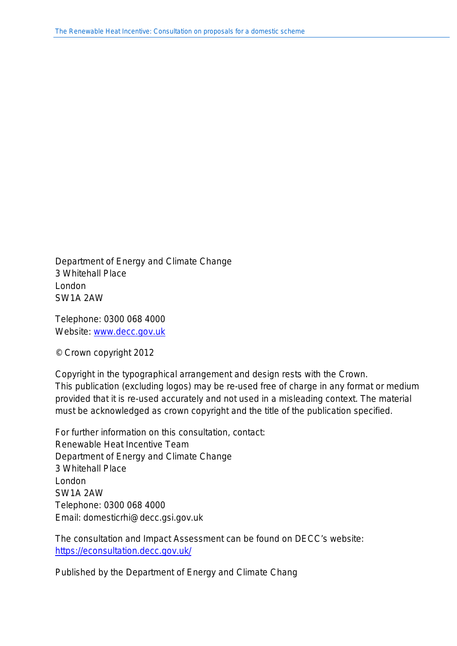Department of Energy and Climate Change 3 Whitehall Place London SW1A 2AW

Telephone: 0300 068 4000 Website: [www.decc.gov.uk](http://www.decc.gov.uk/)

© Crown copyright 2012

Copyright in the typographical arrangement and design rests with the Crown. This publication (excluding logos) may be re-used free of charge in any format or medium provided that it is re-used accurately and not used in a misleading context. The material must be acknowledged as crown copyright and the title of the publication specified.

For further information on this consultation, contact: Renewable Heat Incentive Team Department of Energy and Climate Change 3 Whitehall Place London SW1A 2AW Telephone: 0300 068 4000 Email: domesticrhi@decc.gsi.gov.uk

The consultation and Impact Assessment can be found on DECC's website: <https://econsultation.decc.gov.uk/>

Published by the Department of Energy and Climate Chang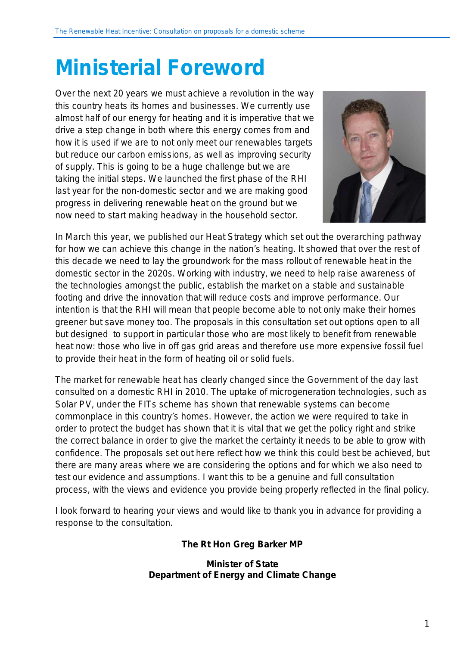# <span id="page-4-0"></span>**Ministerial Foreword**

Over the next 20 years we must achieve a revolution in the way this country heats its homes and businesses. We currently use almost half of our energy for heating and it is imperative that we drive a step change in both where this energy comes from and how it is used if we are to not only meet our renewables targets but reduce our carbon emissions, as well as improving security of supply. This is going to be a huge challenge but we are taking the initial steps. We launched the first phase of the RHI last year for the non-domestic sector and we are making good progress in delivering renewable heat on the ground but we now need to start making headway in the household sector.



In March this year, we published our Heat Strategy which set out the overarching pathway for how we can achieve this change in the nation's heating. It showed that over the rest of this decade we need to lay the groundwork for the mass rollout of renewable heat in the domestic sector in the 2020s. Working with industry, we need to help raise awareness of the technologies amongst the public, establish the market on a stable and sustainable footing and drive the innovation that will reduce costs and improve performance. Our intention is that the RHI will mean that people become able to not only make their homes greener but save money too. The proposals in this consultation set out options open to all but designed to support in particular those who are most likely to benefit from renewable heat now: those who live in off gas grid areas and therefore use more expensive fossil fuel to provide their heat in the form of heating oil or solid fuels.

The market for renewable heat has clearly changed since the Government of the day last consulted on a domestic RHI in 2010. The uptake of microgeneration technologies, such as Solar PV, under the FITs scheme has shown that renewable systems can become commonplace in this country's homes. However, the action we were required to take in order to protect the budget has shown that it is vital that we get the policy right and strike the correct balance in order to give the market the certainty it needs to be able to grow with confidence. The proposals set out here reflect how we think this could best be achieved, but there are many areas where we are considering the options and for which we also need to test our evidence and assumptions. I want this to be a genuine and full consultation process, with the views and evidence you provide being properly reflected in the final policy.

I look forward to hearing your views and would like to thank you in advance for providing a response to the consultation.

### **The Rt Hon Greg Barker MP**

#### **Minister of State Department of Energy and Climate Change**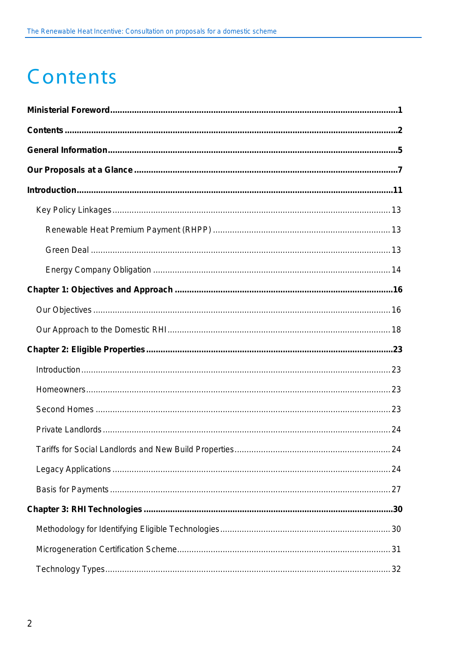# <span id="page-5-0"></span>Contents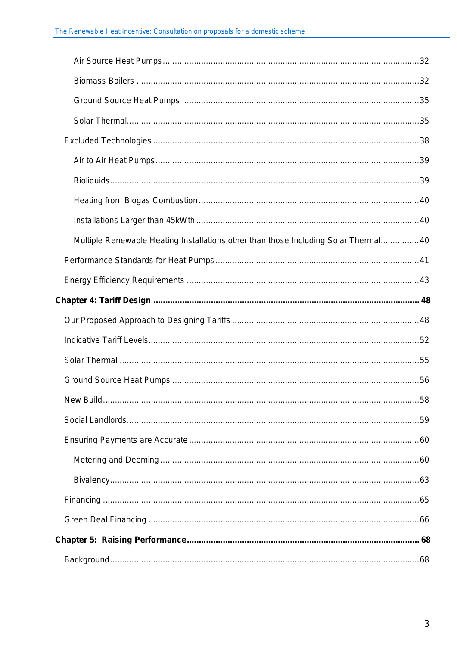| Multiple Renewable Heating Installations other than those Including Solar Thermal40 |  |
|-------------------------------------------------------------------------------------|--|
|                                                                                     |  |
|                                                                                     |  |
|                                                                                     |  |
|                                                                                     |  |
|                                                                                     |  |
|                                                                                     |  |
|                                                                                     |  |
|                                                                                     |  |
|                                                                                     |  |
|                                                                                     |  |
|                                                                                     |  |
|                                                                                     |  |
|                                                                                     |  |
|                                                                                     |  |
|                                                                                     |  |
|                                                                                     |  |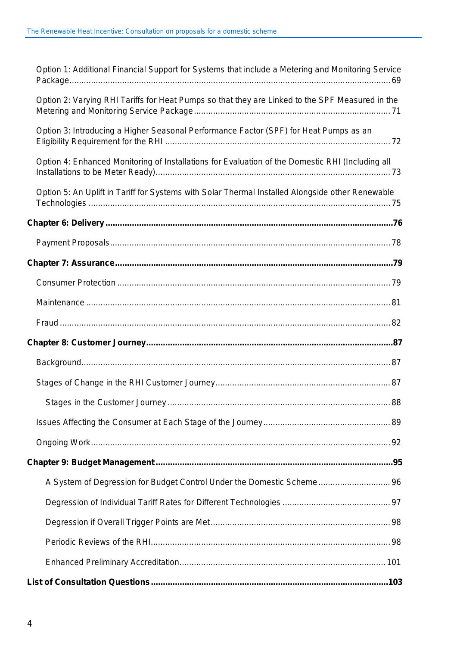| Option 1: Additional Financial Support for Systems that include a Metering and Monitoring Service |  |
|---------------------------------------------------------------------------------------------------|--|
| Option 2: Varying RHI Tariffs for Heat Pumps so that they are Linked to the SPF Measured in the   |  |
| Option 3: Introducing a Higher Seasonal Performance Factor (SPF) for Heat Pumps as an             |  |
| Option 4: Enhanced Monitoring of Installations for Evaluation of the Domestic RHI (Including all  |  |
| Option 5: An Uplift in Tariff for Systems with Solar Thermal Installed Alongside other Renewable  |  |
|                                                                                                   |  |
|                                                                                                   |  |
|                                                                                                   |  |
|                                                                                                   |  |
|                                                                                                   |  |
|                                                                                                   |  |
|                                                                                                   |  |
|                                                                                                   |  |
|                                                                                                   |  |
|                                                                                                   |  |
|                                                                                                   |  |
|                                                                                                   |  |
|                                                                                                   |  |
| A System of Degression for Budget Control Under the Domestic Scheme 96                            |  |
|                                                                                                   |  |
|                                                                                                   |  |
|                                                                                                   |  |
|                                                                                                   |  |
|                                                                                                   |  |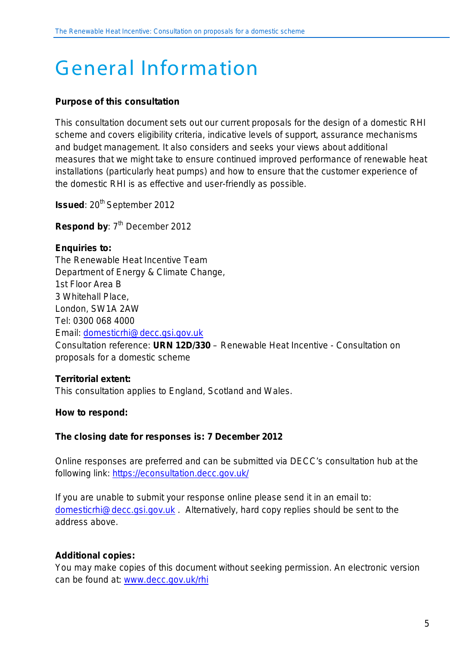# <span id="page-8-0"></span>General Information

#### **Purpose of this consultation**

This consultation document sets out our current proposals for the design of a domestic RHI scheme and covers eligibility criteria, indicative levels of support, assurance mechanisms and budget management. It also considers and seeks your views about additional measures that we might take to ensure continued improved performance of renewable heat installations (particularly heat pumps) and how to ensure that the customer experience of the domestic RHI is as effective and user-friendly as possible.

**Issued:** 20<sup>th</sup> September 2012

**Respond by: 7<sup>th</sup> December 2012** 

## **Enquiries to:** The Renewable Heat Incentive Team Department of Energy & Climate Change, 1st Floor Area B 3 Whitehall Place, London, SW1A 2AW Tel: 0300 068 4000 Email: [domesticrhi@decc.gsi.gov.uk](mailto:domesticrhi@decc.gsi.gov.uk) Consultation reference: **URN 12D/330** – Renewable Heat Incentive - Consultation on proposals for a domestic scheme

#### **Territorial extent:**

This consultation applies to England, Scotland and Wales.

#### **How to respond:**

#### **The closing date for responses is: 7 December 2012**

Online responses are preferred and can be submitted via DECC's consultation hub at the following link: <https://econsultation.decc.gov.uk/>

If you are unable to submit your response online please send it in an email to: [domesticrhi@decc.gsi.gov.uk](mailto:domesticrhi@decc.gsi.gov.uk) . Alternatively, hard copy replies should be sent to the address above.

#### **Additional copies:**

You may make copies of this document without seeking permission. An electronic version can be found at: [www.decc.gov.uk/rhi](http://www.decc.gov.uk/rhi)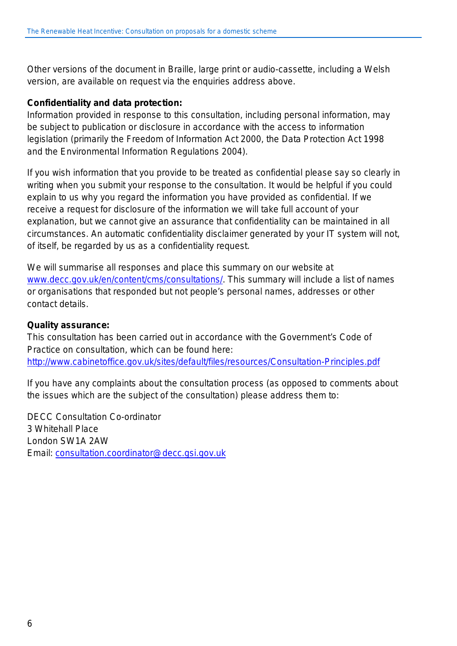Other versions of the document in Braille, large print or audio-cassette, including a Welsh version, are available on request via the enquiries address above.

#### **Confidentiality and data protection:**

Information provided in response to this consultation, including personal information, may be subject to publication or disclosure in accordance with the access to information legislation (primarily the Freedom of Information Act 2000, the Data Protection Act 1998 and the Environmental Information Regulations 2004).

If you wish information that you provide to be treated as confidential please say so clearly in writing when you submit your response to the consultation. It would be helpful if you could explain to us why you regard the information you have provided as confidential. If we receive a request for disclosure of the information we will take full account of your explanation, but we cannot give an assurance that confidentiality can be maintained in all circumstances. An automatic confidentiality disclaimer generated by your IT system will not, of itself, be regarded by us as a confidentiality request.

We will summarise all responses and place this summary on our website at [www.decc.gov.uk/en/content/cms/consultations/.](http://www.decc.gov.uk/en/content/cms/consultations/) This summary will include a list of names or organisations that responded but not people's personal names, addresses or other contact details.

#### **Quality assurance:**

This consultation has been carried out in accordance with the Government's Code of Practice on consultation, which can be found here: <http://www.cabinetoffice.gov.uk/sites/default/files/resources/Consultation-Principles.pdf>

If you have any complaints about the consultation process (as opposed to comments about the issues which are the subject of the consultation) please address them to:

DECC Consultation Co-ordinator 3 Whitehall Place London SW1A 2AW Email: [consultation.coordinator@decc.gsi.gov.uk](mailto:consultation.coordinator@decc.gsi.gov.uk)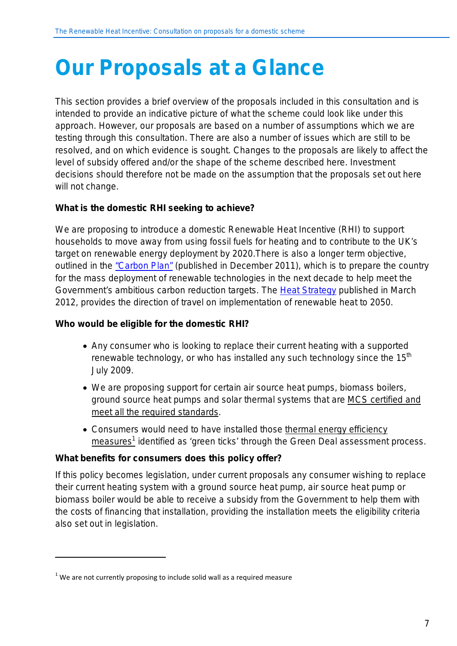# <span id="page-10-0"></span>**Our Proposals at a Glance**

This section provides a brief overview of the proposals included in this consultation and is intended to provide an indicative picture of what the scheme could look like under this approach. However, our proposals are based on a number of assumptions which we are testing through this consultation. There are also a number of issues which are still to be resolved, and on which evidence is sought. Changes to the proposals are likely to affect the level of subsidy offered and/or the shape of the scheme described here. Investment decisions should therefore not be made on the assumption that the proposals set out here will not change.

### **What is the domestic RHI seeking to achieve?**

We are proposing to introduce a domestic Renewable Heat Incentive (RHI) to support households to move away from using fossil fuels for heating and to contribute to the UK's target on renewable energy deployment by 2020.There is also a longer term objective, outlined in the ["Carbon Plan"](http://www.decc.gov.uk/en/content/cms/tackling/carbon_plan/carbon_plan.aspx) (published in December 2011), which is to prepare the country for the mass deployment of renewable technologies in the next decade to help meet the Government's ambitious carbon reduction targets. The [Heat Strategy](http://www.decc.gov.uk/en/content/cms/meeting_energy/heat_strategy/heat_strategy.aspx) published in March 2012, provides the direction of travel on implementation of renewable heat to 2050.

#### **Who would be eligible for the domestic RHI?**

- Any consumer who is looking to replace their current heating with a supported renewable technology, or who has installed any such technology since the  $15<sup>th</sup>$ July 2009.
- We are proposing support for certain air source heat pumps, biomass boilers, ground source heat pumps and solar thermal systems that are MCS certified and meet all the required standards .
- Consumers would need to have installed those thermal energy efficiency  $\overline{\text{measures}}^1$  identified as 'green ticks' through the Green Deal assessment process.

#### **What benefits for consumers does this policy offer?**

If this policy becomes legislation, under current proposals any consumer wishing to replace their current heating system with a ground source heat pump, air source heat pump or biomass boiler would be able to receive a subsidy from the Government to help them with the costs of financing that installation, providing the installation meets the eligibility criteria also set out in legislation.

1

 $1$  We are not currently proposing to include solid wall as a required measure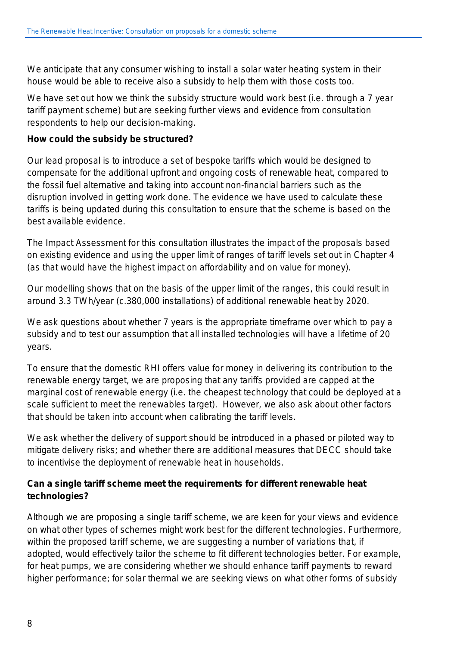We anticipate that any consumer wishing to install a solar water heating system in their house would be able to receive also a subsidy to help them with those costs too.

We have set out how we think the subsidy structure would work best (i.e. through a 7 year tariff payment scheme) but are seeking further views and evidence from consultation respondents to help our decision-making.

### **How could the subsidy be structured?**

Our lead proposal is to introduce a set of bespoke tariffs which would be designed to compensate for the additional upfront and ongoing costs of renewable heat, compared to the fossil fuel alternative and taking into account non-financial barriers such as the disruption involved in getting work done. The evidence we have used to calculate these tariffs is being updated during this consultation to ensure that the scheme is based on the best available evidence.

The Impact Assessment for this consultation illustrates the impact of the proposals based on existing evidence and using the upper limit of ranges of tariff levels set out in Chapter 4 (as that would have the highest impact on affordability and on value for money).

Our modelling shows that on the basis of the upper limit of the ranges, this could result in around 3.3 TWh/year (c.380,000 installations) of additional renewable heat by 2020.

We ask questions about whether 7 years is the appropriate timeframe over which to pay a subsidy and to test our assumption that all installed technologies will have a lifetime of 20 years.

To ensure that the domestic RHI offers value for money in delivering its contribution to the renewable energy target, we are proposing that any tariffs provided are capped at the marginal cost of renewable energy (i.e. the cheapest technology that could be deployed at a scale sufficient to meet the renewables target). However, we also ask about other factors that should be taken into account when calibrating the tariff levels.

We ask whether the delivery of support should be introduced in a phased or piloted way to mitigate delivery risks; and whether there are additional measures that DECC should take to incentivise the deployment of renewable heat in households.

### **Can a single tariff scheme meet the requirements for different renewable heat technologies?**

Although we are proposing a single tariff scheme, we are keen for your views and evidence on what other types of schemes might work best for the different technologies. Furthermore, within the proposed tariff scheme, we are suggesting a number of variations that, if adopted, would effectively tailor the scheme to fit different technologies better. For example, for heat pumps, we are considering whether we should enhance tariff payments to reward higher performance; for solar thermal we are seeking views on what other forms of subsidy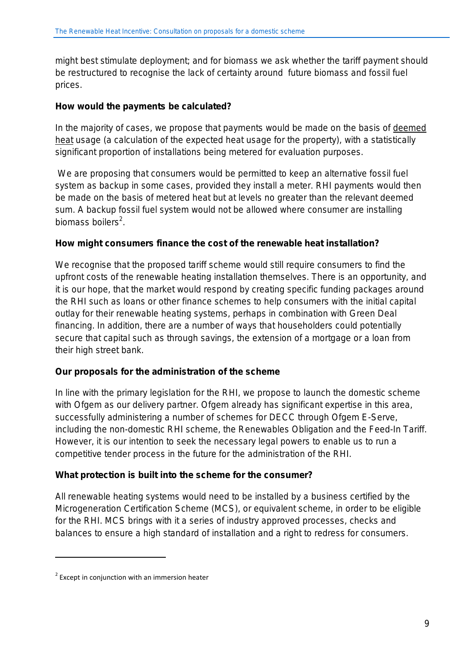might best stimulate deployment; and for biomass we ask whether the tariff payment should be restructured to recognise the lack of certainty around future biomass and fossil fuel prices.

#### **How would the payments be calculated?**

In the majority of cases, we propose that payments would be made on the basis of deemed heat usage (a calculation of the expected heat usage for the property), with a statistically significant proportion of installations being metered for evaluation purposes.

We are proposing that consumers would be permitted to keep an alternative fossil fuel system as backup in some cases, provided they install a meter. RHI payments would then be made on the basis of metered heat but at levels no greater than the relevant deemed sum. A backup fossil fuel system would not be allowed where consumer are installing biomass boilers<sup>2</sup>.

#### **How might consumers finance the cost of the renewable heat installation?**

We recognise that the proposed tariff scheme would still require consumers to find the upfront costs of the renewable heating installation themselves. There is an opportunity, and it is our hope, that the market would respond by creating specific funding packages around the RHI such as loans or other finance schemes to help consumers with the initial capital outlay for their renewable heating systems, perhaps in combination with Green Deal financing. In addition, there are a number of ways that householders could potentially secure that capital such as through savings, the extension of a mortgage or a loan from their high street bank.

### **Our proposals for the administration of the scheme**

In line with the primary legislation for the RHI, we propose to launch the domestic scheme with Ofgem as our delivery partner. Ofgem already has significant expertise in this area, successfully administering a number of schemes for DECC through Ofgem E-Serve, including the non-domestic RHI scheme, the Renewables Obligation and the Feed-In Tariff. However, it is our intention to seek the necessary legal powers to enable us to run a competitive tender process in the future for the administration of the RHI.

#### **What protection is built into the scheme for the consumer?**

All renewable heating systems would need to be installed by a business certified by the Microgeneration Certification Scheme (MCS), or equivalent scheme, in order to be eligible for the RHI. MCS brings with it a series of industry approved processes, checks and balances to ensure a high standard of installation and a right to redress for consumers.

1

 $2$  Except in conjunction with an immersion heater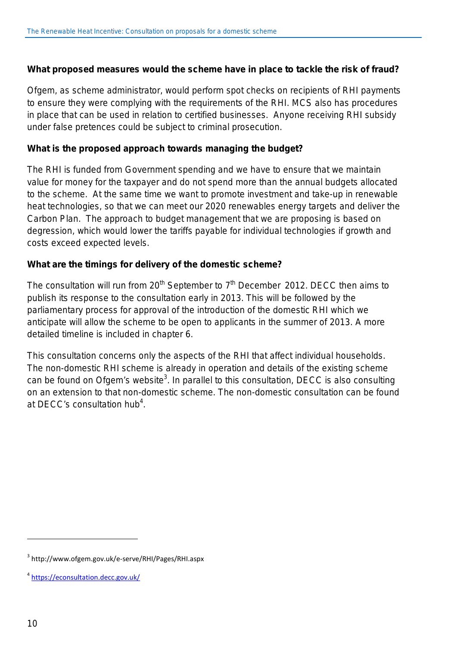#### **What proposed measures would the scheme have in place to tackle the risk of fraud?**

Ofgem, as scheme administrator, would perform spot checks on recipients of RHI payments to ensure they were complying with the requirements of the RHI. MCS also has procedures in place that can be used in relation to certified businesses. Anyone receiving RHI subsidy under false pretences could be subject to criminal prosecution.

#### **What is the proposed approach towards managing the budget?**

The RHI is funded from Government spending and we have to ensure that we maintain value for money for the taxpayer and do not spend more than the annual budgets allocated to the scheme. At the same time we want to promote investment and take-up in renewable heat technologies, so that we can meet our 2020 renewables energy targets and deliver the Carbon Plan. The approach to budget management that we are proposing is based on degression, which would lower the tariffs payable for individual technologies if growth and costs exceed expected levels.

#### **What are the timings for delivery of the domestic scheme?**

The consultation will run from  $20<sup>th</sup>$  September to  $7<sup>th</sup>$  December 2012. DECC then aims to publish its response to the consultation early in 2013. This will be followed by the parliamentary process for approval of the introduction of the domestic RHI which we anticipate will allow the scheme to be open to applicants in the summer of 2013. A more detailed timeline is included in chapter 6.

This consultation concerns only the aspects of the RHI that affect individual households. The non-domestic RHI scheme is already in operation and details of the existing scheme can be found on Ofgem's website<sup>3</sup>. In parallel to this consultation, DECC is also consulting on an extension to that non-domestic scheme. The non-domestic consultation can be found at DECC's consultation hub<sup>4</sup>.

l

<sup>3</sup> http://www.ofgem.gov.uk/e-serve/RHI/Pages/RHI.aspx

<sup>4</sup> <https://econsultation.decc.gov.uk/>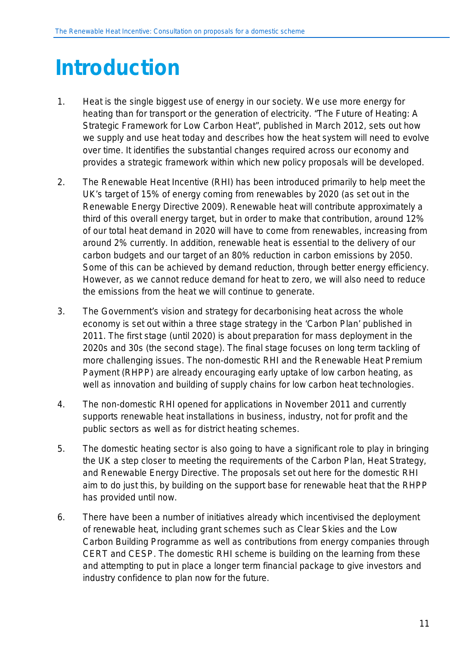# <span id="page-14-0"></span>**Introduction**

- 1. Heat is the single biggest use of energy in our society. We use more energy for heating than for transport or the generation of electricity. "*The Future of Heating: A Strategic Framework for Low Carbon Heat*", published in March 2012, sets out how we supply and use heat today and describes how the heat system will need to evolve over time. It identifies the substantial changes required across our economy and provides a strategic framework within which new policy proposals will be developed.
- 2. The Renewable Heat Incentive (RHI) has been introduced primarily to help meet the UK's target of 15% of energy coming from renewables by 2020 (as set out in the Renewable Energy Directive 2009). Renewable heat will contribute approximately a third of this overall energy target, but in order to make that contribution, around 12% of our total heat demand in 2020 will have to come from renewables, increasing from around 2% currently. In addition, renewable heat is essential to the delivery of our carbon budgets and our target of an 80% reduction in carbon emissions by 2050. Some of this can be achieved by demand reduction, through better energy efficiency. However, as we cannot reduce demand for heat to zero, we will also need to reduce the emissions from the heat we will continue to generate.
- 3. The Government's vision and strategy for decarbonising heat across the whole economy is set out within a three stage strategy in the 'Carbon Plan' published in 2011. The first stage (until 2020) is about preparation for mass deployment in the 2020s and 30s (the second stage). The final stage focuses on long term tackling of more challenging issues. The non-domestic RHI and the Renewable Heat Premium Payment (RHPP) are already encouraging early uptake of low carbon heating, as well as innovation and building of supply chains for low carbon heat technologies.
- 4. The non-domestic RHI opened for applications in November 2011 and currently supports renewable heat installations in business, industry, not for profit and the public sectors as well as for district heating schemes.
- 5. The domestic heating sector is also going to have a significant role to play in bringing the UK a step closer to meeting the requirements of the Carbon Plan, Heat Strategy, and Renewable Energy Directive. The proposals set out here for the domestic RHI aim to do just this, by building on the support base for renewable heat that the RHPP has provided until now.
- 6. There have been a number of initiatives already which incentivised the deployment of renewable heat, including grant schemes such as Clear Skies and the Low Carbon Building Programme as well as contributions from energy companies through CERT and CESP. The domestic RHI scheme is building on the learning from these and attempting to put in place a longer term financial package to give investors and industry confidence to plan now for the future.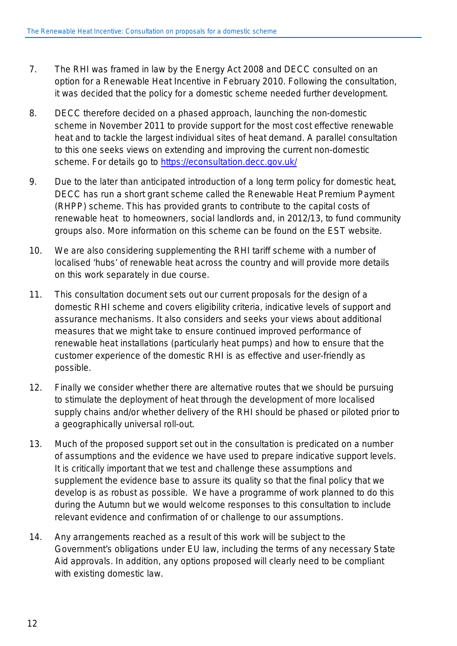- 7. The RHI was framed in law by the Energy Act 2008 and DECC consulted on an option for a Renewable Heat Incentive in February 2010. Following the consultation, it was decided that the policy for a domestic scheme needed further development.
- 8. DECC therefore decided on a phased approach, launching the non-domestic scheme in November 2011 to provide support for the most cost effective renewable heat and to tackle the largest individual sites of heat demand. A parallel consultation to this one seeks views on extending and improving the current non-domestic scheme. For details go to<https://econsultation.decc.gov.uk/>
- 9. Due to the later than anticipated introduction of a long term policy for domestic heat, DECC has run a short grant scheme called the Renewable Heat Premium Payment (RHPP) scheme. This has provided grants to contribute to the capital costs of renewable heat to homeowners, social landlords and, in 2012/13, to fund community groups also. More information on this scheme can be found on the EST website.
- 10. We are also considering supplementing the RHI tariff scheme with a number of localised 'hubs' of renewable heat across the country and will provide more details on this work separately in due course.
- 11. This consultation document sets out our current proposals for the design of a domestic RHI scheme and covers eligibility criteria, indicative levels of support and assurance mechanisms. It also considers and seeks your views about additional measures that we might take to ensure continued improved performance of renewable heat installations (particularly heat pumps) and how to ensure that the customer experience of the domestic RHI is as effective and user-friendly as possible.
- 12. Finally we consider whether there are alternative routes that we should be pursuing to stimulate the deployment of heat through the development of more localised supply chains and/or whether delivery of the RHI should be phased or piloted prior to a geographically universal roll-out.
- 13. Much of the proposed support set out in the consultation is predicated on a number of assumptions and the evidence we have used to prepare indicative support levels. It is critically important that we test and challenge these assumptions and supplement the evidence base to assure its quality so that the final policy that we develop is as robust as possible. We have a programme of work planned to do this during the Autumn but we would welcome responses to this consultation to include relevant evidence and confirmation of or challenge to our assumptions.
- 14. Any arrangements reached as a result of this work will be subject to the Government's obligations under EU law, including the terms of any necessary State Aid approvals. In addition, any options proposed will clearly need to be compliant with existing domestic law.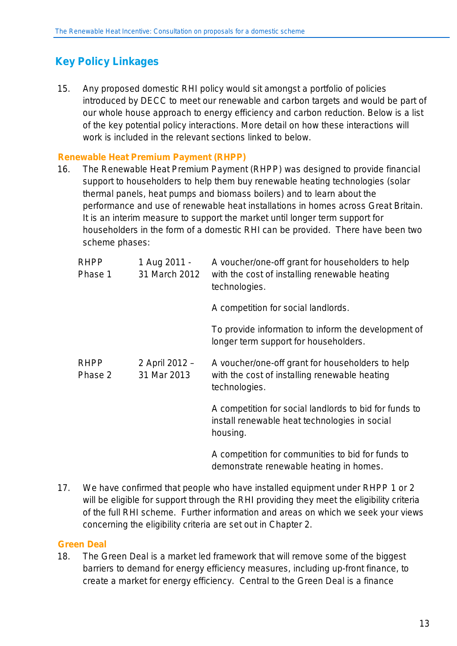# <span id="page-16-0"></span>**Key Policy Linkages**

15. Any proposed domestic RHI policy would sit amongst a portfolio of policies introduced by DECC to meet our renewable and carbon targets and would be part of our whole house approach to energy efficiency and carbon reduction. Below is a list of the key potential policy interactions. More detail on how these interactions will work is included in the relevant sections linked to below.

### <span id="page-16-1"></span>**Renewable Heat Premium Payment (RHPP)**

16. The Renewable Heat Premium Payment (RHPP) was designed to provide financial support to householders to help them buy renewable heating technologies (solar thermal panels, heat pumps and biomass boilers) and to learn about the performance and use of renewable heat installations in homes across Great Britain. It is an interim measure to support the market until longer term support for householders in the form of a domestic RHI can be provided. There have been two scheme phases:

| <b>RHPP</b><br>Phase 1 | 1 Aug 2011 -<br>31 March 2012 | A voucher/one-off grant for householders to help<br>with the cost of installing renewable heating<br>technologies.  |
|------------------------|-------------------------------|---------------------------------------------------------------------------------------------------------------------|
|                        |                               | A competition for social landlords.                                                                                 |
|                        |                               | To provide information to inform the development of<br>longer term support for householders.                        |
| <b>RHPP</b><br>Phase 2 | 2 April 2012 -<br>31 Mar 2013 | A voucher/one-off grant for householders to help<br>with the cost of installing renewable heating<br>technologies.  |
|                        |                               | A competition for social landlords to bid for funds to<br>install renewable heat technologies in social<br>housing. |
|                        |                               | A competition for communities to bid for funds to<br>demonstrate renewable heating in homes.                        |

17. We have confirmed that people who have installed equipment under RHPP 1 or 2 will be eligible for support through the RHI providing they meet the eligibility criteria of the full RHI scheme. Further information and areas on which we seek your views concerning the eligibility criteria are set out in Chapter 2.

#### <span id="page-16-2"></span>**Green Deal**

18. The Green Deal is a market led framework that will remove some of the biggest barriers to demand for energy efficiency measures, including up-front finance, to create a market for energy efficiency. Central to the Green Deal is a finance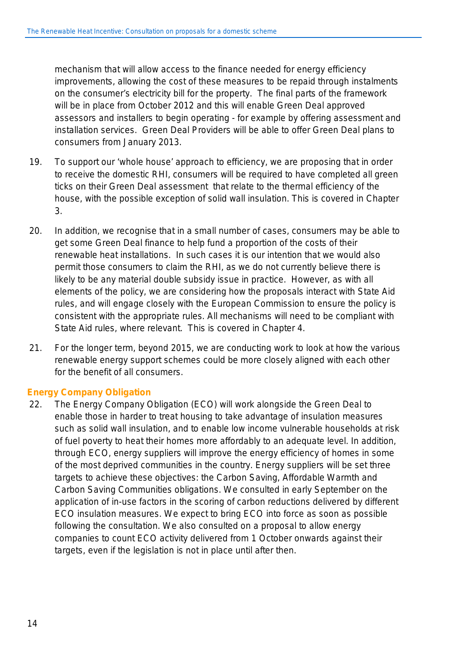mechanism that will allow access to the finance needed for energy efficiency improvements, allowing the cost of these measures to be repaid through instalments on the consumer's electricity bill for the property. The final parts of the framework will be in place from October 2012 and this will enable Green Deal approved assessors and installers to begin operating - for example by offering assessment and installation services. Green Deal Providers will be able to offer Green Deal plans to consumers from January 2013.

- 19. To support our 'whole house' approach to efficiency, we are proposing that in order to receive the domestic RHI, consumers will be required to have completed all green ticks on their Green Deal assessment that relate to the thermal efficiency of the house, with the possible exception of solid wall insulation. This is covered in Chapter 3.
- 20. In addition, we recognise that in a small number of cases, consumers may be able to get some Green Deal finance to help fund a proportion of the costs of their renewable heat installations. In such cases it is our intention that we would also permit those consumers to claim the RHI, as we do not currently believe there is likely to be any material double subsidy issue in practice. However, as with all elements of the policy, we are considering how the proposals interact with State Aid rules, and will engage closely with the European Commission to ensure the policy is consistent with the appropriate rules. All mechanisms will need to be compliant with State Aid rules, where relevant. This is covered in Chapter 4.
- 21. For the longer term, beyond 2015, we are conducting work to look at how the various renewable energy support schemes could be more closely aligned with each other for the benefit of all consumers.

#### <span id="page-17-0"></span>**Energy Company Obligation**

22. The Energy Company Obligation (ECO) will work alongside the Green Deal to enable those in harder to treat housing to take advantage of insulation measures such as solid wall insulation, and to enable low income vulnerable households at risk of fuel poverty to heat their homes more affordably to an adequate level. In addition, through ECO, energy suppliers will improve the energy efficiency of homes in some of the most deprived communities in the country. Energy suppliers will be set three targets to achieve these objectives: the Carbon Saving, Affordable Warmth and Carbon Saving Communities obligations. We consulted in early September on the application of in-use factors in the scoring of carbon reductions delivered by different ECO insulation measures. We expect to bring ECO into force as soon as possible following the consultation. We also consulted on a proposal to allow energy companies to count ECO activity delivered from 1 October onwards against their targets, even if the legislation is not in place until after then.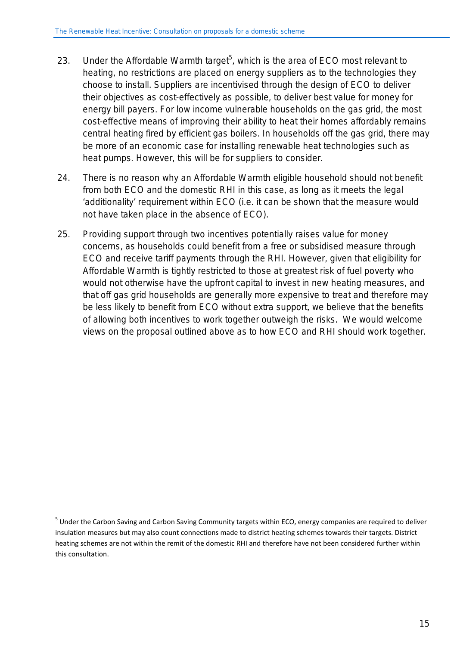- 23. Under the Affordable Warmth target<sup>5</sup>, which is the area of ECO most relevant to heating, no restrictions are placed on energy suppliers as to the technologies they choose to install. Suppliers are incentivised through the design of ECO to deliver their objectives as cost-effectively as possible, to deliver best value for money for energy bill payers. For low income vulnerable households on the gas grid, the most cost-effective means of improving their ability to heat their homes affordably remains central heating fired by efficient gas boilers. In households off the gas grid, there may be more of an economic case for installing renewable heat technologies such as heat pumps. However, this will be for suppliers to consider.
- 24. There is no reason why an Affordable Warmth eligible household should not benefit from both ECO and the domestic RHI in this case, as long as it meets the legal 'additionality' requirement within ECO (i.e. it can be shown that the measure would not have taken place in the absence of ECO).
- 25. Providing support through two incentives potentially raises value for money concerns, as households could benefit from a free or subsidised measure through ECO and receive tariff payments through the RHI. However, given that eligibility for Affordable Warmth is tightly restricted to those at greatest risk of fuel poverty who would not otherwise have the upfront capital to invest in new heating measures, and that off gas grid households are generally more expensive to treat and therefore may be less likely to benefit from ECO without extra support, we believe that the benefits of allowing both incentives to work together outweigh the risks. We would welcome views on the proposal outlined above as to how ECO and RHI should work together.

<u>.</u>

<sup>&</sup>lt;sup>5</sup> Under the Carbon Saving and Carbon Saving Community targets within ECO, energy companies are required to deliver insulation measures but may also count connections made to district heating schemes towards their targets. District heating schemes are not within the remit of the domestic RHI and therefore have not been considered further within this consultation.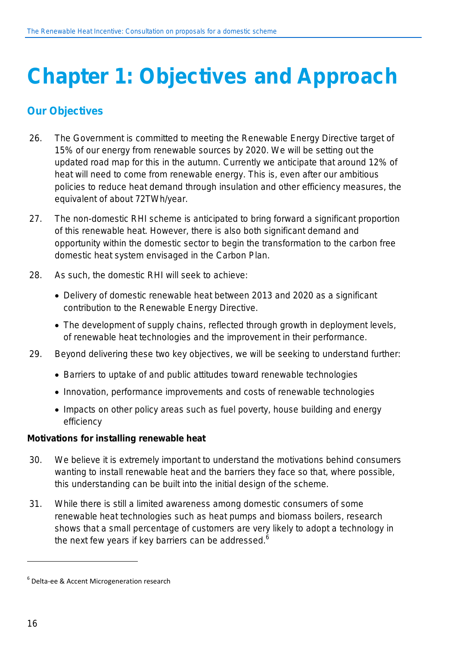# <span id="page-19-0"></span>**Chapter 1: Objectives and Approach**

## <span id="page-19-1"></span>**Our Objectives**

- 26. The Government is committed to meeting the Renewable Energy Directive target of 15% of our energy from renewable sources by 2020. We will be setting out the updated road map for this in the autumn. Currently we anticipate that around 12% of heat will need to come from renewable energy. This is, even after our ambitious policies to reduce heat demand through insulation and other efficiency measures, the equivalent of about 72TWh/year.
- 27. The non-domestic RHI scheme is anticipated to bring forward a significant proportion of this renewable heat. However, there is also both significant demand and opportunity within the domestic sector to begin the transformation to the carbon free domestic heat system envisaged in the Carbon Plan.
- 28. As such, the domestic RHI will seek to achieve:
	- Delivery of domestic renewable heat between 2013 and 2020 as a significant contribution to the Renewable Energy Directive.
	- The development of supply chains, reflected through growth in deployment levels, of renewable heat technologies and the improvement in their performance.
- 29. Beyond delivering these two key objectives, we will be seeking to understand further:
	- Barriers to uptake of and public attitudes toward renewable technologies
	- Innovation, performance improvements and costs of renewable technologies
	- Impacts on other policy areas such as fuel poverty, house building and energy efficiency

#### **Motivations for installing renewable heat**

- 30. We believe it is extremely important to understand the motivations behind consumers wanting to install renewable heat and the barriers they face so that, where possible, this understanding can be built into the initial design of the scheme.
- 31. While there is still a limited awareness among domestic consumers of some renewable heat technologies such as heat pumps and biomass boilers, research shows that a small percentage of customers are very likely to adopt a technology in the next few years if key barriers can be addressed. $6$

 $\overline{a}$ 

<sup>6</sup> Delta-ee & Accent Microgeneration research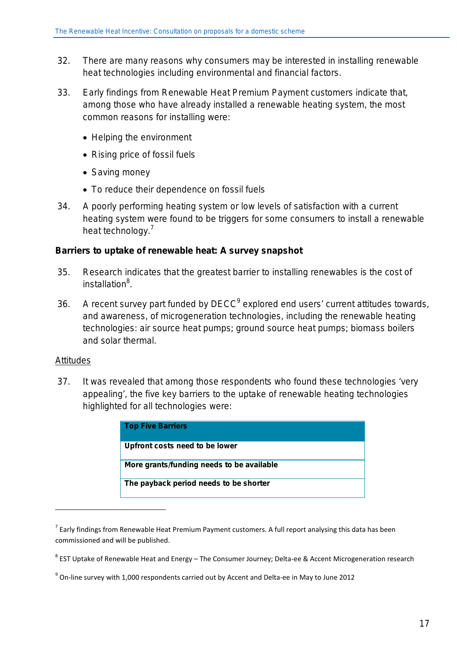- 32. There are many reasons why consumers may be interested in installing renewable heat technologies including environmental and financial factors.
- 33. Early findings from Renewable Heat Premium Payment customers indicate that, among those who have already installed a renewable heating system, the most common reasons for installing were:
	- Helping the environment
	- Rising price of fossil fuels
	- Saving money
	- To reduce their dependence on fossil fuels
- 34. A poorly performing heating system or low levels of satisfaction with a current heating system were found to be triggers for some consumers to install a renewable heat technology.<sup>7</sup>

#### **Barriers to uptake of renewable heat: A survey snapshot**

- 35. Research indicates that the greatest barrier to installing renewables is the cost of installation<sup>8</sup>.
- 36. A recent survey part funded by DECC<sup>9</sup> explored end users' current attitudes towards, and awareness, of microgeneration technologies, including the renewable heating technologies: air source heat pumps; ground source heat pumps; biomass boilers and solar thermal.

#### **Attitudes**

<u>.</u>

37. It was revealed that among those respondents who found these technologies 'very appealing', the five key barriers to the uptake of renewable heating technologies highlighted for all technologies were:

| <b>Top Five Barriers</b>                  |
|-------------------------------------------|
| Upfront costs need to be lower            |
| More grants/funding needs to be available |
| The payback period needs to be shorter    |

 $7$  Early findings from Renewable Heat Premium Payment customers. A full report analysing this data has been commissioned and will be published.

<sup>8</sup> EST Uptake of Renewable Heat and Energy – The Consumer Journey; Delta-ee & Accent Microgeneration research

 $9^9$  On-line survey with 1,000 respondents carried out by Accent and Delta-ee in May to June 2012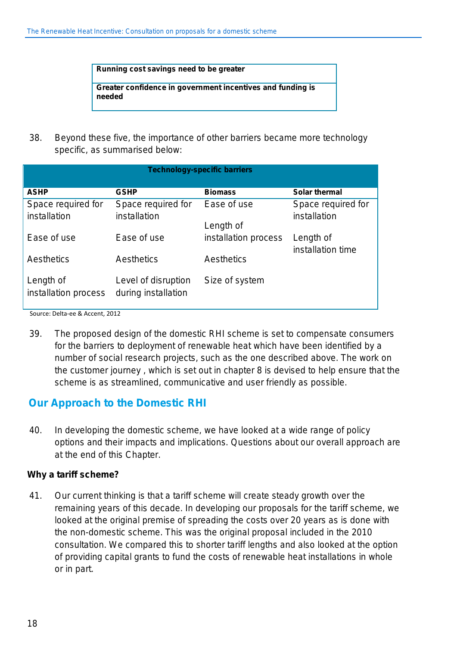**Running cost savings need to be greater**

**Greater confidence in government incentives and funding is needed**

38. Beyond these five, the importance of other barriers became more technology specific, as summarised below:

| <b>Technology-specific barriers</b> |                                            |                          |                                    |
|-------------------------------------|--------------------------------------------|--------------------------|------------------------------------|
| <b>ASHP</b>                         | <b>GSHP</b>                                | <b>Biomass</b>           | <b>Solar thermal</b>               |
| Space required for<br>installation  | Space required for<br>installation         | Ease of use<br>Length of | Space required for<br>installation |
| Ease of use                         | Ease of use                                | installation process     | Length of                          |
| Aesthetics                          | Aesthetics                                 | Aesthetics               | installation time                  |
| Length of<br>installation process   | Level of disruption<br>during installation | Size of system           |                                    |

Source: Delta-ee & Accent, 2012

39. The proposed design of the domestic RHI scheme is set to compensate consumers for the barriers to deployment of renewable heat which have been identified by a number of social research projects, such as the one described above. The work on the customer journey , which is set out in chapter 8 is devised to help ensure that the scheme is as streamlined, communicative and user friendly as possible.

## <span id="page-21-0"></span>**Our Approach to the Domestic RHI**

40. In developing the domestic scheme, we have looked at a wide range of policy options and their impacts and implications. Questions about our overall approach are at the end of this Chapter.

#### **Why a tariff scheme?**

41. Our current thinking is that a tariff scheme will create steady growth over the remaining years of this decade. In developing our proposals for the tariff scheme, we looked at the original premise of spreading the costs over 20 years as is done with the non-domestic scheme. This was the original proposal included in the 2010 consultation. We compared this to shorter tariff lengths and also looked at the option of providing capital grants to fund the costs of renewable heat installations in whole or in part.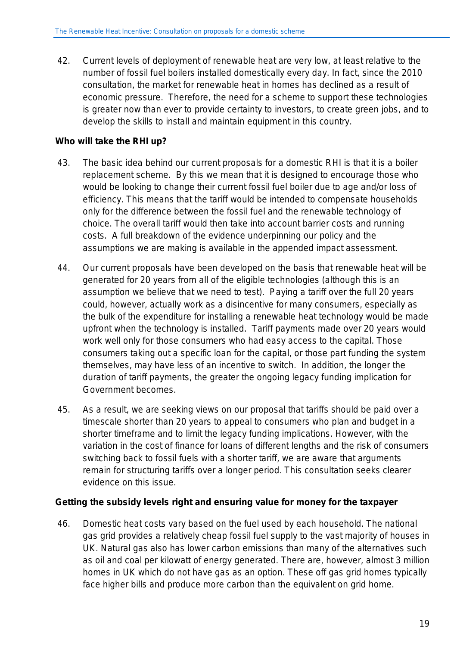42. Current levels of deployment of renewable heat are very low, at least relative to the number of fossil fuel boilers installed domestically every day. In fact, since the 2010 consultation, the market for renewable heat in homes has declined as a result of economic pressure. Therefore, the need for a scheme to support these technologies is greater now than ever to provide certainty to investors, to create green jobs, and to develop the skills to install and maintain equipment in this country.

### **Who will take the RHI up?**

- 43. The basic idea behind our current proposals for a domestic RHI is that it is a boiler replacement scheme. By this we mean that it is designed to encourage those who would be looking to change their current fossil fuel boiler due to age and/or loss of efficiency. This means that the tariff would be intended to compensate households only for the difference between the fossil fuel and the renewable technology of choice. The overall tariff would then take into account barrier costs and running costs. A full breakdown of the evidence underpinning our policy and the assumptions we are making is available in the appended impact assessment.
- 44. Our current proposals have been developed on the basis that renewable heat will be generated for 20 years from all of the eligible technologies (although this is an assumption we believe that we need to test). Paying a tariff over the full 20 years could, however, actually work as a disincentive for many consumers, especially as the bulk of the expenditure for installing a renewable heat technology would be made upfront when the technology is installed. Tariff payments made over 20 years would work well only for those consumers who had easy access to the capital. Those consumers taking out a specific loan for the capital, or those part funding the system themselves, may have less of an incentive to switch. In addition, the longer the duration of tariff payments, the greater the ongoing legacy funding implication for Government becomes.
- 45. As a result, we are seeking views on our proposal that tariffs should be paid over a timescale shorter than 20 years to appeal to consumers who plan and budget in a shorter timeframe and to limit the legacy funding implications. However, with the variation in the cost of finance for loans of different lengths and the risk of consumers switching back to fossil fuels with a shorter tariff, we are aware that arguments remain for structuring tariffs over a longer period. This consultation seeks clearer evidence on this issue.

#### **Getting the subsidy levels right and ensuring value for money for the taxpayer**

46. Domestic heat costs vary based on the fuel used by each household. The national gas grid provides a relatively cheap fossil fuel supply to the vast majority of houses in UK. Natural gas also has lower carbon emissions than many of the alternatives such as oil and coal per kilowatt of energy generated. There are, however, almost 3 million homes in UK which do not have gas as an option. These off gas grid homes typically face higher bills and produce more carbon than the equivalent on grid home.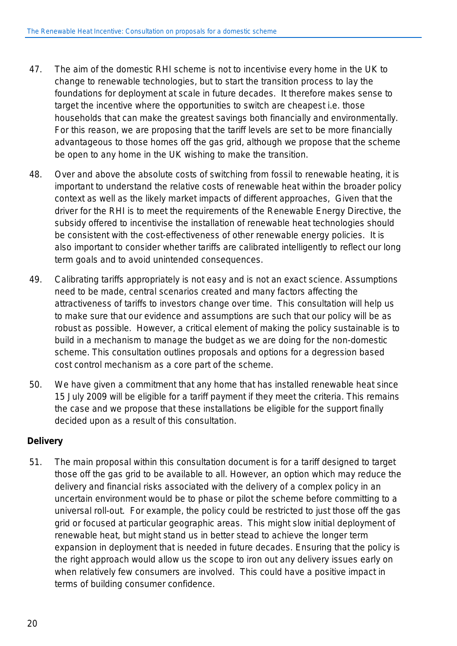- 47. The aim of the domestic RHI scheme is not to incentivise every home in the UK to change to renewable technologies, but to start the transition process to lay the foundations for deployment at scale in future decades. It therefore makes sense to target the incentive where the opportunities to switch are cheapest i.e. those households that can make the greatest savings both financially and environmentally. For this reason, we are proposing that the tariff levels are set to be more financially advantageous to those homes off the gas grid, although we propose that the scheme be open to any home in the UK wishing to make the transition.
- 48. Over and above the absolute costs of switching from fossil to renewable heating, it is important to understand the relative costs of renewable heat within the broader policy context as well as the likely market impacts of different approaches, Given that the driver for the RHI is to meet the requirements of the Renewable Energy Directive, the subsidy offered to incentivise the installation of renewable heat technologies should be consistent with the cost-effectiveness of other renewable energy policies. It is also important to consider whether tariffs are calibrated intelligently to reflect our long term goals and to avoid unintended consequences.
- 49. Calibrating tariffs appropriately is not easy and is not an exact science. Assumptions need to be made, central scenarios created and many factors affecting the attractiveness of tariffs to investors change over time. This consultation will help us to make sure that our evidence and assumptions are such that our policy will be as robust as possible. However, a critical element of making the policy sustainable is to build in a mechanism to manage the budget as we are doing for the non-domestic scheme. This consultation outlines proposals and options for a degression based cost control mechanism as a core part of the scheme.
- 50. We have given a commitment that any home that has installed renewable heat since 15 July 2009 will be eligible for a tariff payment if they meet the criteria. This remains the case and we propose that these installations be eligible for the support finally decided upon as a result of this consultation.

### **Delivery**

51. The main proposal within this consultation document is for a tariff designed to target those off the gas grid to be available to all. However, an option which may reduce the delivery and financial risks associated with the delivery of a complex policy in an uncertain environment would be to phase or pilot the scheme before committing to a universal roll-out. For example, the policy could be restricted to just those off the gas grid or focused at particular geographic areas. This might slow initial deployment of renewable heat, but might stand us in better stead to achieve the longer term expansion in deployment that is needed in future decades. Ensuring that the policy is the right approach would allow us the scope to iron out any delivery issues early on when relatively few consumers are involved. This could have a positive impact in terms of building consumer confidence.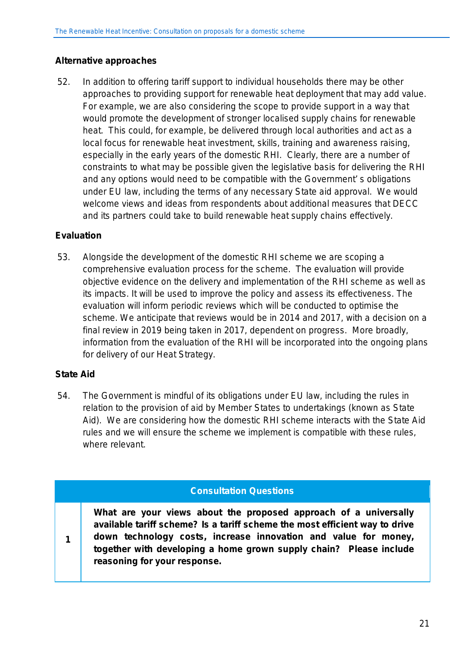### **Alternative approaches**

52. In addition to offering tariff support to individual households there may be other approaches to providing support for renewable heat deployment that may add value. For example, we are also considering the scope to provide support in a way that would promote the development of stronger localised supply chains for renewable heat. This could, for example, be delivered through local authorities and act as a local focus for renewable heat investment, skills, training and awareness raising, especially in the early years of the domestic RHI. Clearly, there are a number of constraints to what may be possible given the legislative basis for delivering the RHI and any options would need to be compatible with the Government' s obligations under EU law, including the terms of any necessary State aid approval. We would welcome views and ideas from respondents about additional measures that DECC and its partners could take to build renewable heat supply chains effectively.

### **Evaluation**

53. Alongside the development of the domestic RHI scheme we are scoping a comprehensive evaluation process for the scheme. The evaluation will provide objective evidence on the delivery and implementation of the RHI scheme as well as its impacts. It will be used to improve the policy and assess its effectiveness. The evaluation will inform periodic reviews which will be conducted to optimise the scheme. We anticipate that reviews would be in 2014 and 2017, with a decision on a final review in 2019 being taken in 2017, dependent on progress. More broadly, information from the evaluation of the RHI will be incorporated into the ongoing plans for delivery of our Heat Strategy.

### **State Aid**

**1**

54. The Government is mindful of its obligations under EU law, including the rules in relation to the provision of aid by Member States to undertakings (known as State Aid). We are considering how the domestic RHI scheme interacts with the State Aid rules and we will ensure the scheme we implement is compatible with these rules, where relevant.

#### **Consultation Questions**

**What are your views about the proposed approach of a universally available tariff scheme? Is a tariff scheme the most efficient way to drive down technology costs, increase innovation and value for money, together with developing a home grown supply chain? Please include reasoning for your response.**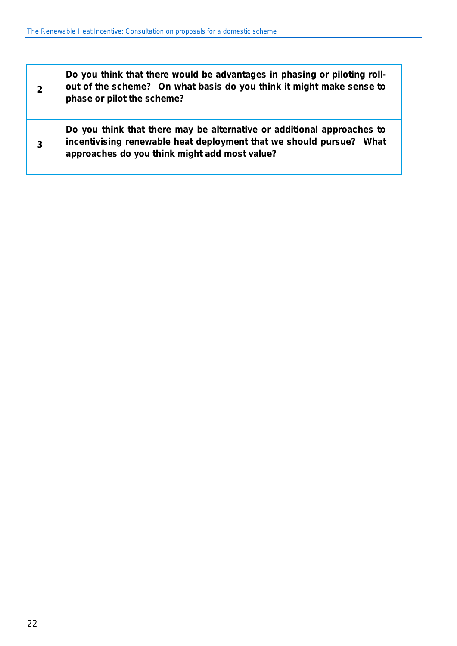| $\mathbf{2}$ | Do you think that there would be advantages in phasing or piloting roll-<br>out of the scheme? On what basis do you think it might make sense to<br>phase or pilot the scheme?                 |
|--------------|------------------------------------------------------------------------------------------------------------------------------------------------------------------------------------------------|
| 3            | Do you think that there may be alternative or additional approaches to<br>incentivising renewable heat deployment that we should pursue? What<br>approaches do you think might add most value? |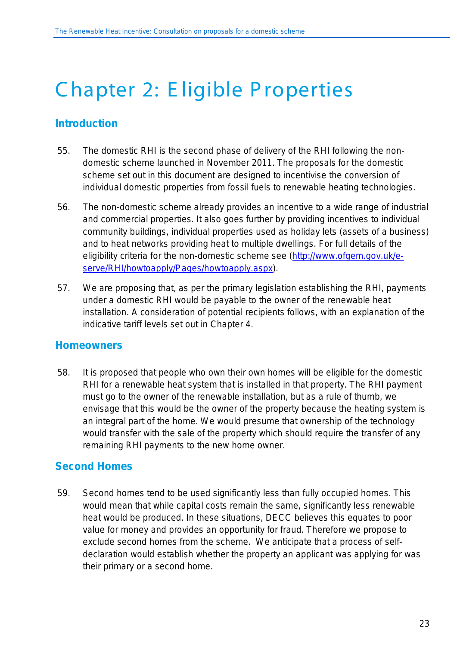# <span id="page-26-0"></span>C hapter 2: E ligible P roperties

## <span id="page-26-1"></span>**Introduction**

- 55. The domestic RHI is the second phase of delivery of the RHI following the nondomestic scheme launched in November 2011. The proposals for the domestic scheme set out in this document are designed to incentivise the conversion of individual domestic properties from fossil fuels to renewable heating technologies.
- 56. The non-domestic scheme already provides an incentive to a wide range of industrial and commercial properties. It also goes further by providing incentives to individual community buildings, individual properties used as holiday lets (assets of a business) and to heat networks providing heat to multiple dwellings. For full details of the eligibility criteria for the non-domestic scheme see [\(http://www.ofgem.gov.uk/e](http://www.ofgem.gov.uk/e-serve/RHI/howtoapply/Pages/howtoapply.aspx)[serve/RHI/howtoapply/Pages/howtoapply.aspx\)](http://www.ofgem.gov.uk/e-serve/RHI/howtoapply/Pages/howtoapply.aspx).
- 57. We are proposing that, as per the primary legislation establishing the RHI, payments under a domestic RHI would be payable to the owner of the renewable heat installation. A consideration of potential recipients follows, with an explanation of the indicative tariff levels set out in Chapter 4.

## <span id="page-26-2"></span>**Homeowners**

58. It is proposed that people who own their own homes will be eligible for the domestic RHI for a renewable heat system that is installed in that property. The RHI payment must go to the owner of the renewable installation, but as a rule of thumb, we envisage that this would be the owner of the property because the heating system is an integral part of the home. We would presume that ownership of the technology would transfer with the sale of the property which should require the transfer of any remaining RHI payments to the new home owner.

## <span id="page-26-3"></span>**Second Homes**

59. Second homes tend to be used significantly less than fully occupied homes. This would mean that while capital costs remain the same, significantly less renewable heat would be produced. In these situations, DECC believes this equates to poor value for money and provides an opportunity for fraud. Therefore we propose to exclude second homes from the scheme. We anticipate that a process of selfdeclaration would establish whether the property an applicant was applying for was their primary or a second home.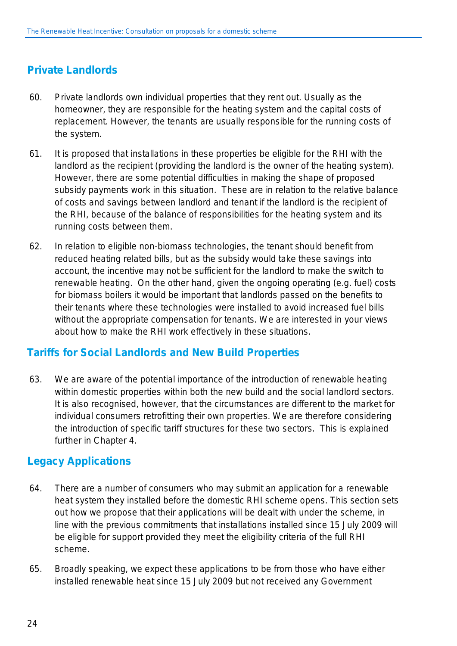## <span id="page-27-0"></span>**Private Landlords**

- 60. Private landlords own individual properties that they rent out. Usually as the homeowner, they are responsible for the heating system and the capital costs of replacement. However, the tenants are usually responsible for the running costs of the system.
- 61. It is proposed that installations in these properties be eligible for the RHI with the landlord as the recipient (providing the landlord is the owner of the heating system). However, there are some potential difficulties in making the shape of proposed subsidy payments work in this situation. These are in relation to the relative balance of costs and savings between landlord and tenant if the landlord is the recipient of the RHI, because of the balance of responsibilities for the heating system and its running costs between them.
- 62. In relation to eligible non-biomass technologies, the tenant should benefit from reduced heating related bills, but as the subsidy would take these savings into account, the incentive may not be sufficient for the landlord to make the switch to renewable heating. On the other hand, given the ongoing operating (e.g. fuel) costs for biomass boilers it would be important that landlords passed on the benefits to their tenants where these technologies were installed to avoid increased fuel bills without the appropriate compensation for tenants. We are interested in your views about how to make the RHI work effectively in these situations.

## <span id="page-27-1"></span>**Tariffs for Social Landlords and New Build Properties**

63. We are aware of the potential importance of the introduction of renewable heating within domestic properties within both the new build and the social landlord sectors. It is also recognised, however, that the circumstances are different to the market for individual consumers retrofitting their own properties. We are therefore considering the introduction of specific tariff structures for these two sectors. This is explained further in Chapter 4.

## <span id="page-27-2"></span>**Legacy Applications**

- 64. There are a number of consumers who may submit an application for a renewable heat system they installed before the domestic RHI scheme opens. This section sets out how we propose that their applications will be dealt with under the scheme, in line with the previous commitments that installations installed since 15 July 2009 will be eligible for support provided they meet the eligibility criteria of the full RHI scheme.
- 65. Broadly speaking, we expect these applications to be from those who have either installed renewable heat since 15 July 2009 but not received any Government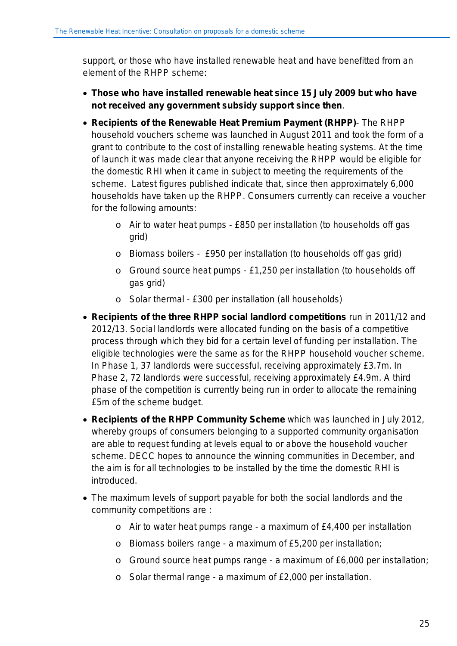support, or those who have installed renewable heat and have benefitted from an element of the RHPP scheme:

- **Those who have installed renewable heat since 15 July 2009 but who have not received any government subsidy support since then**.
- **Recipients of the Renewable Heat Premium Payment (RHPP)** The RHPP household vouchers scheme was launched in August 2011 and took the form of a grant to contribute to the cost of installing renewable heating systems. At the time of launch it was made clear that anyone receiving the RHPP would be eligible for the domestic RHI when it came in subject to meeting the requirements of the scheme. Latest figures published indicate that, since then approximately 6,000 households have taken up the RHPP. Consumers currently can receive a voucher for the following amounts:
	- o Air to water heat pumps £850 per installation (to households off gas grid)
	- o Biomass boilers £950 per installation (to households off gas grid)
	- o Ground source heat pumps £1,250 per installation (to households off gas grid)
	- o Solar thermal £300 per installation (all households)
- **Recipients of the three RHPP social landlord competitions** run in 2011/12 and 2012/13. Social landlords were allocated funding on the basis of a competitive process through which they bid for a certain level of funding per installation. The eligible technologies were the same as for the RHPP household voucher scheme. In Phase 1, 37 landlords were successful, receiving approximately £3.7m. In Phase 2, 72 landlords were successful, receiving approximately £4.9m. A third phase of the competition is currently being run in order to allocate the remaining £5m of the scheme budget.
- **Recipients of the RHPP Community Scheme** which was launched in July 2012, whereby groups of consumers belonging to a supported community organisation are able to request funding at levels equal to or above the household voucher scheme. DECC hopes to announce the winning communities in December, and the aim is for all technologies to be installed by the time the domestic RHI is introduced.
- The maximum levels of support payable for both the social landlords and the community competitions are :
	- o Air to water heat pumps range a maximum of £4,400 per installation
	- o Biomass boilers range a maximum of £5,200 per installation;
	- o Ground source heat pumps range a maximum of £6,000 per installation;
	- o Solar thermal range a maximum of £2,000 per installation.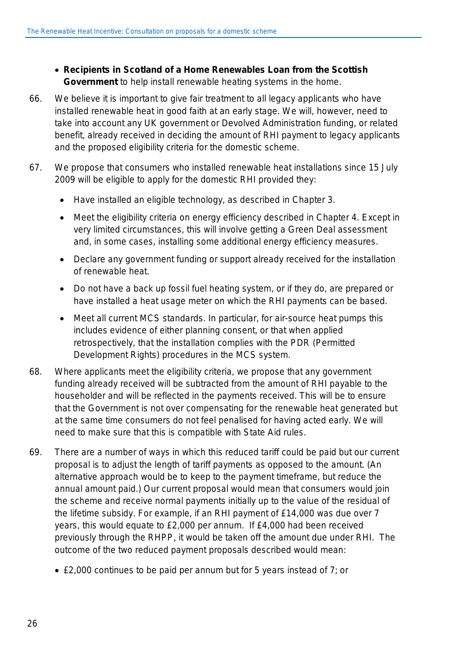- **Recipients in Scotland of a Home Renewables Loan from the Scottish Government** to help install renewable heating systems in the home.
- 66. We believe it is important to give fair treatment to all legacy applicants who have installed renewable heat in good faith at an early stage. We will, however, need to take into account any UK government or Devolved Administration funding, or related benefit, already received in deciding the amount of RHI payment to legacy applicants and the proposed eligibility criteria for the domestic scheme.
- 67. We propose that consumers who installed renewable heat installations since 15 July 2009 will be eligible to apply for the domestic RHI provided they:
	- Have installed an eligible technology, as described in Chapter 3.
	- Meet the eligibility criteria on energy efficiency described in Chapter 4. Except in very limited circumstances, this will involve getting a Green Deal assessment and, in some cases, installing some additional energy efficiency measures.
	- Declare any government funding or support already received for the installation of renewable heat.
	- Do not have a back up fossil fuel heating system, or if they do, are prepared or have installed a heat usage meter on which the RHI payments can be based.
	- Meet all current MCS standards. In particular, for air-source heat pumps this includes evidence of either planning consent, or that when applied retrospectively, that the installation complies with the PDR (Permitted Development Rights) procedures in the MCS system.
- 68. Where applicants meet the eligibility criteria, we propose that any government funding already received will be subtracted from the amount of RHI payable to the householder and will be reflected in the payments received. This will be to ensure that the Government is not over compensating for the renewable heat generated but at the same time consumers do not feel penalised for having acted early. We will need to make sure that this is compatible with State Aid rules.
- 69. There are a number of ways in which this reduced tariff could be paid but our current proposal is to adjust the length of tariff payments as opposed to the amount. (An alternative approach would be to keep to the payment timeframe, but reduce the annual amount paid.) Our current proposal would mean that consumers would join the scheme and receive normal payments initially up to the value of the residual of the lifetime subsidy. For example, if an RHI payment of £14,000 was due over 7 years, this would equate to £2,000 per annum. If £4,000 had been received previously through the RHPP, it would be taken off the amount due under RHI. The outcome of the two reduced payment proposals described would mean:
	- £2,000 continues to be paid per annum but for 5 years instead of 7; or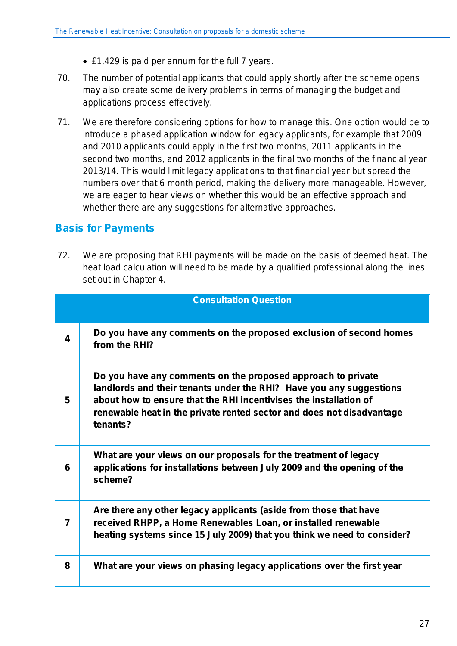- £1,429 is paid per annum for the full 7 years.
- 70. The number of potential applicants that could apply shortly after the scheme opens may also create some delivery problems in terms of managing the budget and applications process effectively.
- 71. We are therefore considering options for how to manage this. One option would be to introduce a phased application window for legacy applicants, for example that 2009 and 2010 applicants could apply in the first two months, 2011 applicants in the second two months, and 2012 applicants in the final two months of the financial year 2013/14. This would limit legacy applications to that financial year but spread the numbers over that 6 month period, making the delivery more manageable. However, we are eager to hear views on whether this would be an effective approach and whether there are any suggestions for alternative approaches.

## <span id="page-30-0"></span>**Basis for Payments**

72. We are proposing that RHI payments will be made on the basis of deemed heat. The heat load calculation will need to be made by a qualified professional along the lines set out in Chapter 4.

|   | <b>Consultation Question</b>                                                                                                                                                                                                                                                                  |
|---|-----------------------------------------------------------------------------------------------------------------------------------------------------------------------------------------------------------------------------------------------------------------------------------------------|
| 4 | Do you have any comments on the proposed exclusion of second homes<br>from the RHI?                                                                                                                                                                                                           |
| 5 | Do you have any comments on the proposed approach to private<br>landlords and their tenants under the RHI? Have you any suggestions<br>about how to ensure that the RHI incentivises the installation of<br>renewable heat in the private rented sector and does not disadvantage<br>tenants? |
| 6 | What are your views on our proposals for the treatment of legacy<br>applications for installations between July 2009 and the opening of the<br>scheme?                                                                                                                                        |
| 7 | Are there any other legacy applicants (aside from those that have<br>received RHPP, a Home Renewables Loan, or installed renewable<br>heating systems since 15 July 2009) that you think we need to consider?                                                                                 |
| 8 | What are your views on phasing legacy applications over the first year                                                                                                                                                                                                                        |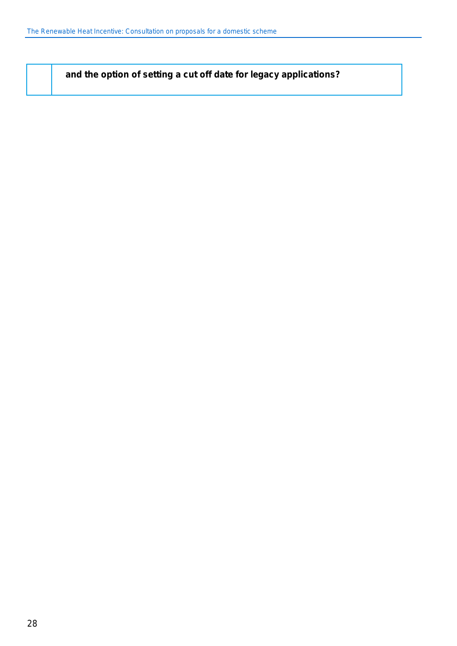**and the option of setting a cut off date for legacy applications?**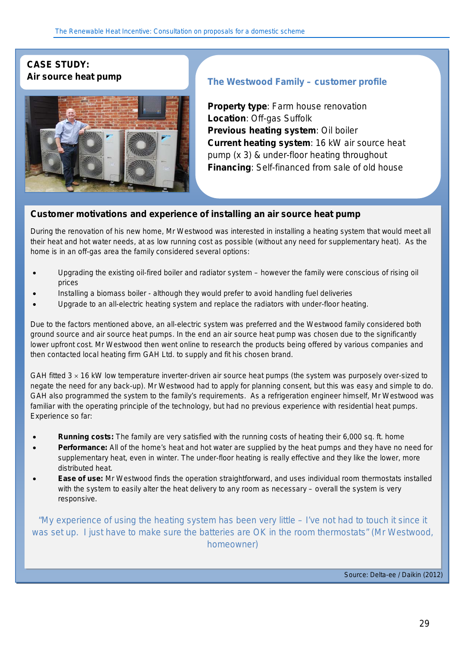# **CASE STUDY:**



# **Air source heat pump The Westwood Family – customer profile**

**Property type: Farm house renovation Location**: Off-gas Suffolk **Previous heating system**: Oil boiler **Current heating system**: 16 kW air source heat pump (x 3) & under-floor heating throughout **Financing**: Self-financed from sale of old house

#### **Customer motivations and experience of installing an** *air source heat pump*

During the renovation of his new home, Mr Westwood was interested in installing a heating system that would meet all their heat and hot water needs, at as low running cost as possible (without any need for supplementary heat). As the home is in an off-gas area the family considered several options:

- Upgrading the existing oil-fired boiler and radiator system however the family were conscious of rising oil prices
- Installing a biomass boiler although they would prefer to avoid handling fuel deliveries
- Upgrade to an all-electric heating system and replace the radiators with under-floor heating.

Due to the factors mentioned above, an all-electric system was preferred and the Westwood family considered both ground source and air source heat pumps. In the end an air source heat pump was chosen due to the significantly lower upfront cost. Mr Westwood then went online to research the products being offered by various companies and then contacted local heating firm GAH Ltd. to supply and fit his chosen brand.

GAH fitted  $3 \times 16$  kW low temperature inverter-driven air source heat pumps (the system was purposely over-sized to negate the need for any back-up). Mr Westwood had to apply for planning consent, but this was easy and simple to do. GAH also programmed the system to the family's requirements. As a refrigeration engineer himself, Mr Westwood was familiar with the operating principle of the technology, but had no previous experience with residential heat pumps. Experience so far:

- **Running costs:** The family are very satisfied with the running costs of heating their 6,000 sq. ft. home
- **Performance:** All of the home's heat and hot water are supplied by the heat pumps and they have no need for supplementary heat, even in winter. The under-floor heating is really effective and they like the lower, more distributed heat.
- **Ease of use:** Mr Westwood finds the operation straightforward, and uses individual room thermostats installed with the system to easily alter the heat delivery to any room as necessary – overall the system is very responsive.

*"My experience of using the heating system has been very little – I've not had to touch it since it was set up. I just have to make sure the batteries are OK in the room thermostats" (Mr Westwood, homeowner)*

*Source: Delta-ee / Daikin (2012)*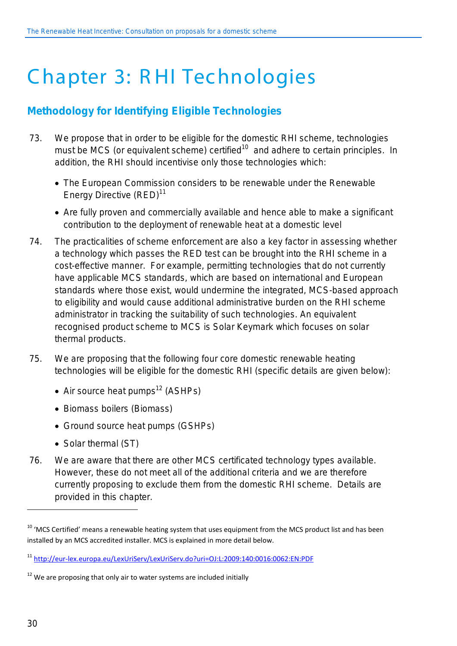# <span id="page-33-0"></span>C hapter 3: R HI Technologies

# <span id="page-33-1"></span>**Methodology for Identifying Eligible Technologies**

- 73. We propose that in order to be eligible for the domestic RHI scheme, technologies must be MCS (or equivalent scheme) certified<sup>10</sup> and adhere to certain principles. In addition, the RHI should incentivise only those technologies which:
	- The European Commission considers to be renewable under the Renewable Energy Directive (RED)<sup>11</sup>
	- Are fully proven and commercially available and hence able to make a significant contribution to the deployment of renewable heat at a domestic level
- 74. The practicalities of scheme enforcement are also a key factor in assessing whether a technology which passes the RED test can be brought into the RHI scheme in a cost-effective manner. For example, permitting technologies that do not currently have applicable MCS standards, which are based on international and European standards where those exist, would undermine the integrated, MCS-based approach to eligibility and would cause additional administrative burden on the RHI scheme administrator in tracking the suitability of such technologies. An equivalent recognised product scheme to MCS is Solar Keymark which focuses on solar thermal products.
- 75. We are proposing that the following four core domestic renewable heating technologies will be eligible for the domestic RHI (specific details are given below):
	- Air source heat pumps<sup>12</sup> (ASHPs)
	- Biomass boilers (Biomass)
	- Ground source heat pumps (GSHPs)
	- Solar thermal (ST)
- 76. We are aware that there are other MCS certificated technology types available. However, these do not meet all of the additional criteria and we are therefore currently proposing to exclude them from the domestic RHI scheme. Details are provided in this chapter.

 $\overline{a}$ 

<sup>&</sup>lt;sup>10</sup> 'MCS Certified' means a renewable heating system that uses equipment from the MCS product list and has been installed by an MCS accredited installer. MCS is explained in more detail below.

<sup>11</sup> <http://eur-lex.europa.eu/LexUriServ/LexUriServ.do?uri=OJ:L:2009:140:0016:0062:EN:PDF>

 $12$  We are proposing that only air to water systems are included initially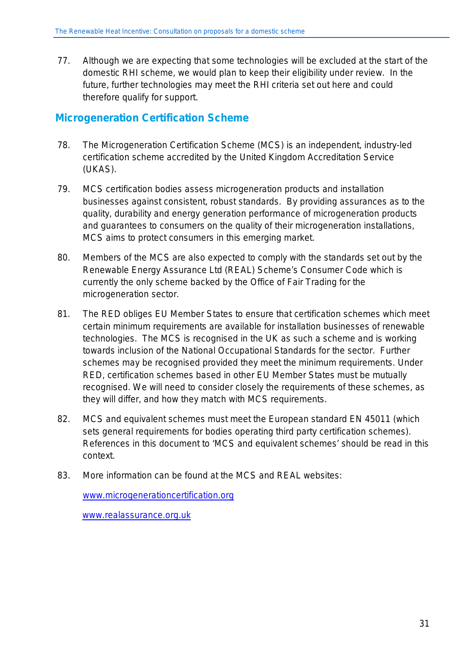77. Although we are expecting that some technologies will be excluded at the start of the domestic RHI scheme, we would plan to keep their eligibility under review. In the future, further technologies may meet the RHI criteria set out here and could therefore qualify for support.

## <span id="page-34-0"></span>**Microgeneration Certification Scheme**

- 78. The Microgeneration Certification Scheme (MCS) is an independent, industry-led certification scheme accredited by the United Kingdom Accreditation Service (UKAS).
- 79. MCS certification bodies assess microgeneration products and installation businesses against consistent, robust standards. By providing assurances as to the quality, durability and energy generation performance of microgeneration products and guarantees to consumers on the quality of their microgeneration installations, MCS aims to protect consumers in this emerging market.
- 80. Members of the MCS are also expected to comply with the standards set out by the Renewable Energy Assurance Ltd (REAL) Scheme's Consumer Code which is currently the only scheme backed by the Office of Fair Trading for the microgeneration sector.
- 81. The RED obliges EU Member States to ensure that certification schemes which meet certain minimum requirements are available for installation businesses of renewable technologies. The MCS is recognised in the UK as such a scheme and is working towards inclusion of the National Occupational Standards for the sector. Further schemes may be recognised provided they meet the minimum requirements. Under RED, certification schemes based in other EU Member States must be mutually recognised. We will need to consider closely the requirements of these schemes, as they will differ, and how they match with MCS requirements.
- 82. MCS and equivalent schemes must meet the European standard EN 45011 (which sets general requirements for bodies operating third party certification schemes). References in this document to 'MCS and equivalent schemes' should be read in this context.
- 83. More information can be found at the MCS and REAL websites:

[www.microgenerationcertification.org](http://www.microgenerationcertification.org/)

[www.realassurance.org.uk](http://www.realassurance.org.uk/)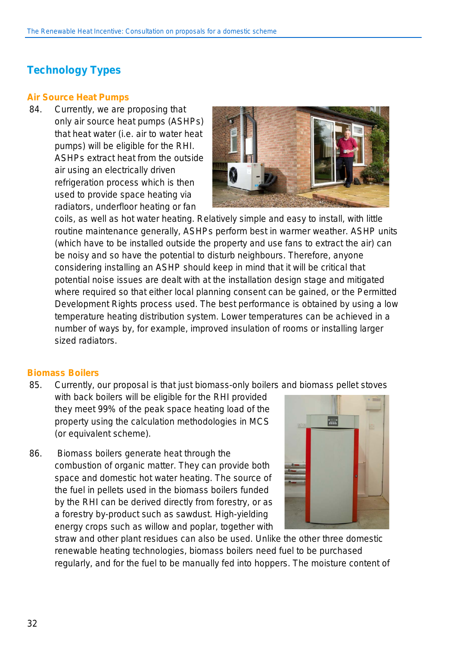# <span id="page-35-0"></span>**Technology Types**

#### <span id="page-35-1"></span>**Air Source Heat Pumps**

84. Currently, we are proposing that only air source heat pumps (ASHPs) that heat water (i.e. air to water heat pumps) will be eligible for the RHI. ASHPs extract heat from the outside air using an electrically driven refrigeration process which is then used to provide space heating via radiators, underfloor heating or fan



coils, as well as hot water heating. Relatively simple and easy to install, with little routine maintenance generally, ASHPs perform best in warmer weather. ASHP units (which have to be installed outside the property and use fans to extract the air) can be noisy and so have the potential to disturb neighbours. Therefore, anyone considering installing an ASHP should keep in mind that it will be critical that potential noise issues are dealt with at the installation design stage and mitigated where required so that either local planning consent can be gained, or the Permitted Development Rights process used. The best performance is obtained by using a low temperature heating distribution system. Lower temperatures can be achieved in a number of ways by, for example, improved insulation of rooms or installing larger sized radiators.

#### <span id="page-35-2"></span>**Biomass Boilers**

85. Currently, our proposal is that just biomass-only boilers and biomass pellet stoves

with back boilers will be eligible for the RHI provided they meet 99% of the peak space heating load of the property using the calculation methodologies in MCS (or equivalent scheme).

86. Biomass boilers generate heat through the combustion of organic matter. They can provide both space and domestic hot water heating. The source of the fuel in pellets used in the biomass boilers funded by the RHI can be derived directly from forestry, or as a forestry by-product such as sawdust. High-yielding energy crops such as willow and poplar, together with



straw and other plant residues can also be used. Unlike the other three domestic renewable heating technologies, biomass boilers need fuel to be purchased regularly, and for the fuel to be manually fed into hoppers. The moisture content of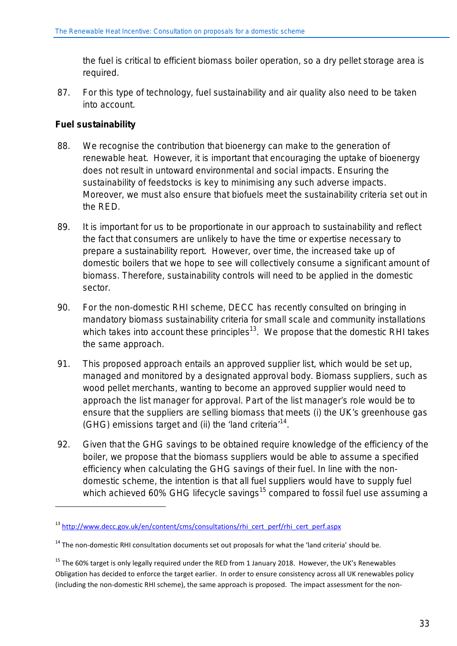the fuel is critical to efficient biomass boiler operation, so a dry pellet storage area is required.

87. For this type of technology, fuel sustainability and air quality also need to be taken into account.

#### **Fuel sustainability**

<u>.</u>

- 88. We recognise the contribution that bioenergy can make to the generation of renewable heat. However, it is important that encouraging the uptake of bioenergy does not result in untoward environmental and social impacts. Ensuring the sustainability of feedstocks is key to minimising any such adverse impacts. Moreover, we must also ensure that biofuels meet the sustainability criteria set out in the RED.
- 89. It is important for us to be proportionate in our approach to sustainability and reflect the fact that consumers are unlikely to have the time or expertise necessary to prepare a sustainability report. However, over time, the increased take up of domestic boilers that we hope to see will collectively consume a significant amount of biomass. Therefore, sustainability controls will need to be applied in the domestic sector.
- 90. For the non-domestic RHI scheme, DECC has recently consulted on bringing in mandatory biomass sustainability criteria for small scale and community installations which takes into account these principles<sup>13</sup>. We propose that the domestic RHI takes the same approach.
- 91. This proposed approach entails an approved supplier list, which would be set up, managed and monitored by a designated approval body. Biomass suppliers, such as wood pellet merchants, wanting to become an approved supplier would need to approach the list manager for approval. Part of the list manager's role would be to ensure that the suppliers are selling biomass that meets (i) the UK's greenhouse gas (GHG) emissions target and (ii) the 'land criteria<sup>'14</sup>.
- 92. Given that the GHG savings to be obtained require knowledge of the efficiency of the boiler, we propose that the biomass suppliers would be able to assume a specified efficiency when calculating the GHG savings of their fuel. In line with the nondomestic scheme, the intention is that all fuel suppliers would have to supply fuel which achieved 60% GHG lifecycle savings<sup>15</sup> compared to fossil fuel use assuming a

<sup>13</sup> [http://www.decc.gov.uk/en/content/cms/consultations/rhi\\_cert\\_perf/rhi\\_cert\\_perf.aspx](http://www.decc.gov.uk/en/content/cms/consultations/rhi_cert_perf/rhi_cert_perf.aspx)

<sup>&</sup>lt;sup>14</sup> The non-domestic RHI consultation documents set out proposals for what the 'land criteria' should be.

<sup>&</sup>lt;sup>15</sup> The 60% target is only legally required under the RED from 1 January 2018. However, the UK's Renewables Obligation has decided to enforce the target earlier. In order to ensure consistency across all UK renewables policy (including the non-domestic RHI scheme), the same approach is proposed. The impact assessment for the non-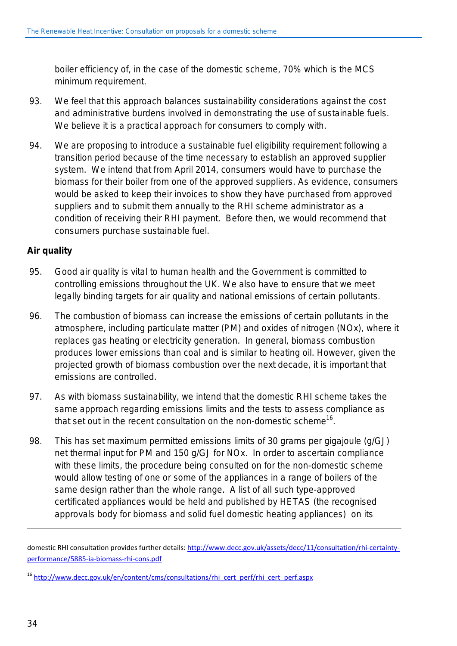boiler efficiency of, in the case of the domestic scheme, 70% which is the MCS minimum requirement.

- 93. We feel that this approach balances sustainability considerations against the cost and administrative burdens involved in demonstrating the use of sustainable fuels. We believe it is a practical approach for consumers to comply with.
- 94. We are proposing to introduce a sustainable fuel eligibility requirement following a transition period because of the time necessary to establish an approved supplier system. We intend that from April 2014, consumers would have to purchase the biomass for their boiler from one of the approved suppliers. As evidence, consumers would be asked to keep their invoices to show they have purchased from approved suppliers and to submit them annually to the RHI scheme administrator as a condition of receiving their RHI payment. Before then, we would recommend that consumers purchase sustainable fuel.

#### **Air quality**

- 95. Good air quality is vital to human health and the Government is committed to controlling emissions throughout the UK. We also have to ensure that we meet legally binding targets for air quality and national emissions of certain pollutants.
- 96. The combustion of biomass can increase the emissions of certain pollutants in the atmosphere, including particulate matter (PM) and oxides of nitrogen (NOx), where it replaces gas heating or electricity generation. In general, biomass combustion produces lower emissions than coal and is similar to heating oil. However, given the projected growth of biomass combustion over the next decade, it is important that emissions are controlled.
- 97. As with biomass sustainability, we intend that the domestic RHI scheme takes the same approach regarding emissions limits and the tests to assess compliance as that set out in the recent consultation on the non-domestic scheme<sup>16</sup>.
- 98. This has set maximum permitted emissions limits of 30 grams per gigajoule (g/GJ) net thermal input for PM and 150 g/GJ for NOx. In order to ascertain compliance with these limits, the procedure being consulted on for the non-domestic scheme would allow testing of one or some of the appliances in a range of boilers of the same design rather than the whole range. A list of all such type-approved certificated appliances would be held and published by HETAS (the recognised approvals body for biomass and solid fuel domestic heating appliances) on its

 $\overline{a}$ 

domestic RHI consultation provides further details: [http://www.decc.gov.uk/assets/decc/11/consultation/rhi-certainty](http://www.decc.gov.uk/assets/decc/11/consultation/rhi-certainty-performance/5885-ia-biomass-rhi-cons.pdf)[performance/5885-ia-biomass-rhi-cons.pdf](http://www.decc.gov.uk/assets/decc/11/consultation/rhi-certainty-performance/5885-ia-biomass-rhi-cons.pdf)

<sup>&</sup>lt;sup>16</sup> [http://www.decc.gov.uk/en/content/cms/consultations/rhi\\_cert\\_perf/rhi\\_cert\\_perf.aspx](http://www.decc.gov.uk/en/content/cms/consultations/rhi_cert_perf/rhi_cert_perf.aspx)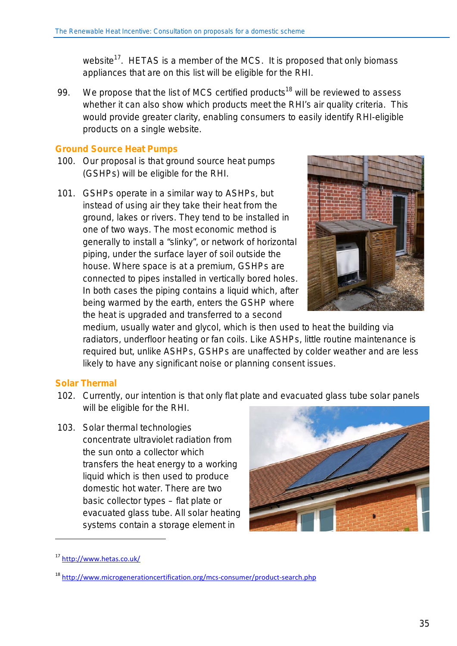website<sup>17</sup>. HETAS is a member of the MCS. It is proposed that only biomass appliances that are on this list will be eligible for the RHI.

99. We propose that the list of MCS certified products<sup>18</sup> will be reviewed to assess whether it can also show which products meet the RHI's air quality criteria. This would provide greater clarity, enabling consumers to easily identify RHI-eligible products on a single website.

#### **Ground Source Heat Pumps**

- 100. Our proposal is that ground source heat pumps (GSHPs) will be eligible for the RHI.
- 101. GSHPs operate in a similar way to ASHPs, but instead of using air they take their heat from the ground, lakes or rivers. They tend to be installed in one of two ways. The most economic method is generally to install a "slinky", or network of horizontal piping, under the surface layer of soil outside the house. Where space is at a premium, GSHPs are connected to pipes installed in vertically bored holes. In both cases the piping contains a liquid which, after being warmed by the earth, enters the GSHP where the heat is upgraded and transferred to a second



medium, usually water and glycol, which is then used to heat the building via radiators, underfloor heating or fan coils. Like ASHPs, little routine maintenance is required but, unlike ASHPs, GSHPs are unaffected by colder weather and are less likely to have any significant noise or planning consent issues.

#### **Solar Thermal**

- 102. Currently, our intention is that only flat plate and evacuated glass tube solar panels will be eligible for the RHI.
- 103. Solar thermal technologies concentrate ultraviolet radiation from the sun onto a collector which transfers the heat energy to a working liquid which is then used to produce domestic hot water. There are two basic collector types – flat plate or evacuated glass tube. All solar heating systems contain a storage element in



1

<sup>17</sup> <http://www.hetas.co.uk/>

<sup>&</sup>lt;sup>18</sup> <http://www.microgenerationcertification.org/mcs-consumer/product-search.php>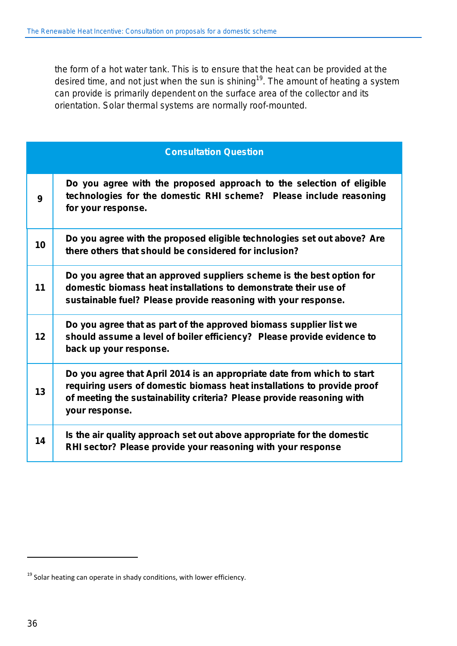the form of a hot water tank. This is to ensure that the heat can be provided at the desired time, and not just when the sun is shining<sup>19</sup>. The amount of heating a system can provide is primarily dependent on the surface area of the collector and its orientation. Solar thermal systems are normally roof-mounted.

|    | <b>Consultation Question</b>                                                                                                                                                                                                                  |
|----|-----------------------------------------------------------------------------------------------------------------------------------------------------------------------------------------------------------------------------------------------|
| 9  | Do you agree with the proposed approach to the selection of eligible<br>technologies for the domestic RHI scheme? Please include reasoning<br>for your response.                                                                              |
| 10 | Do you agree with the proposed eligible technologies set out above? Are<br>there others that should be considered for inclusion?                                                                                                              |
| 11 | Do you agree that an approved suppliers scheme is the best option for<br>domestic biomass heat installations to demonstrate their use of<br>sustainable fuel? Please provide reasoning with your response.                                    |
| 12 | Do you agree that as part of the approved biomass supplier list we<br>should assume a level of boiler efficiency? Please provide evidence to<br>back up your response.                                                                        |
| 13 | Do you agree that April 2014 is an appropriate date from which to start<br>requiring users of domestic biomass heat installations to provide proof<br>of meeting the sustainability criteria? Please provide reasoning with<br>your response. |
| 14 | Is the air quality approach set out above appropriate for the domestic<br>RHI sector? Please provide your reasoning with your response                                                                                                        |

l

 $19$  Solar heating can operate in shady conditions, with lower efficiency.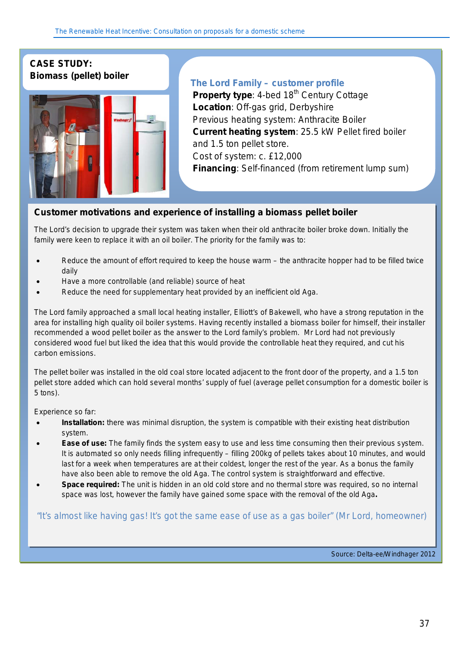#### **CASE STUDY: Biomass (pellet) boiler**



#### **The Lord Family – customer profile**

**Property type:** 4-bed 18<sup>th</sup> Century Cottage **Location**: Off-gas grid, Derbyshire Previous heating system: Anthracite Boiler **Current heating system**: 25.5 kW Pellet fired boiler and 1.5 ton pellet store. Cost of system: c. £12,000 **Financing**: Self-financed (from retirement lump sum)

#### **Customer motivations and experience of installing a** *biomass pellet boiler*

The Lord's decision to upgrade their system was taken when their old anthracite boiler broke down. Initially the family were keen to replace it with an oil boiler. The priority for the family was to:

- Reduce the amount of effort required to keep the house warm the anthracite hopper had to be filled twice daily
- Have a more controllable (and reliable) source of heat
- Reduce the need for supplementary heat provided by an inefficient old Aga.

The Lord family approached a small local heating installer, *Elliott's of Bakewell,* who have a strong reputation in the area for installing high quality oil boiler systems. Having recently installed a biomass boiler for himself, their installer recommended a wood pellet boiler as the answer to the Lord family's problem. Mr Lord had not previously considered wood fuel but liked the idea that this would provide the controllable heat they required, and cut his carbon emissions.

The pellet boiler was installed in the old coal store located adjacent to the front door of the property, and a 1.5 ton pellet store added which can hold several months' supply of fuel (average pellet consumption for a domestic boiler is 5 tons).

Experience so far:

- **Installation:** there was minimal disruption, the system is compatible with their existing heat distribution system.
- **Ease of use:** The family finds the system easy to use and less time consuming then their previous system. It is automated so only needs filling infrequently – filling 200kg of pellets takes about 10 minutes, and would last for a week when temperatures are at their coldest, longer the rest of the year. As a bonus the family have also been able to remove the old Aga. The control system is straightforward and effective.
- **Space required:** The unit is hidden in an old cold store and no thermal store was required, so no internal space was lost, however the family have gained some space with the removal of the old Aga**.**

*"It's almost like having gas! It's got the same ease of use as a gas boiler" (Mr Lord, homeowner)*

Source: Delta-ee/Windhager 2012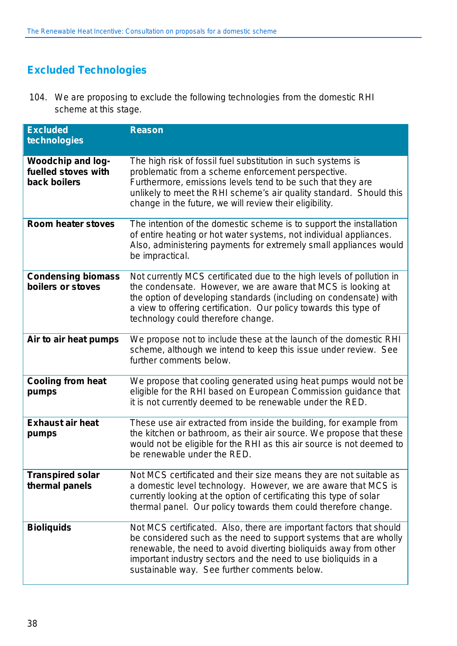## **Excluded Technologies**

104. We are proposing to exclude the following technologies from the domestic RHI scheme at this stage.

| <b>Excluded</b><br>technologies                                 | <b>Reason</b>                                                                                                                                                                                                                                                                                                                   |
|-----------------------------------------------------------------|---------------------------------------------------------------------------------------------------------------------------------------------------------------------------------------------------------------------------------------------------------------------------------------------------------------------------------|
| <b>Woodchip and log-</b><br>fuelled stoves with<br>back boilers | The high risk of fossil fuel substitution in such systems is<br>problematic from a scheme enforcement perspective.<br>Furthermore, emissions levels tend to be such that they are<br>unlikely to meet the RHI scheme's air quality standard. Should this<br>change in the future, we will review their eligibility.             |
| <b>Room heater stoves</b>                                       | The intention of the domestic scheme is to support the installation<br>of entire heating or hot water systems, not individual appliances.<br>Also, administering payments for extremely small appliances would<br>be impractical.                                                                                               |
| <b>Condensing biomass</b><br>boilers or stoves                  | Not currently MCS certificated due to the high levels of pollution in<br>the condensate. However, we are aware that MCS is looking at<br>the option of developing standards (including on condensate) with<br>a view to offering certification. Our policy towards this type of<br>technology could therefore change.           |
| Air to air heat pumps                                           | We propose not to include these at the launch of the domestic RHI<br>scheme, although we intend to keep this issue under review. See<br>further comments below.                                                                                                                                                                 |
| <b>Cooling from heat</b><br>pumps                               | We propose that cooling generated using heat pumps would not be<br>eligible for the RHI based on European Commission guidance that<br>it is not currently deemed to be renewable under the RED.                                                                                                                                 |
| <b>Exhaust air heat</b><br>pumps                                | These use air extracted from inside the building, for example from<br>the kitchen or bathroom, as their air source. We propose that these<br>would not be eligible for the RHI as this air source is not deemed to<br>be renewable under the RED.                                                                               |
| <b>Transpired solar</b><br>thermal panels                       | Not MCS certificated and their size means they are not suitable as<br>a domestic level technology. However, we are aware that MCS is<br>currently looking at the option of certificating this type of solar<br>thermal panel. Our policy towards them could therefore change.                                                   |
| <b>Bioliquids</b>                                               | Not MCS certificated. Also, there are important factors that should<br>be considered such as the need to support systems that are wholly<br>renewable, the need to avoid diverting bioliquids away from other<br>important industry sectors and the need to use bioliquids in a<br>sustainable way. See further comments below. |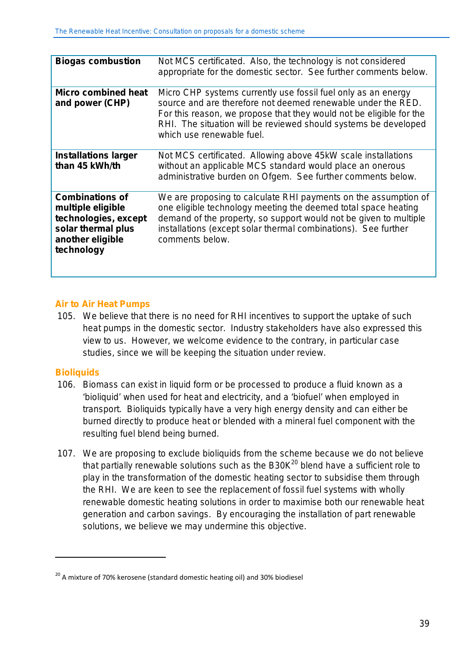| <b>Biogas combustion</b>                                                                                                    | Not MCS certificated. Also, the technology is not considered<br>appropriate for the domestic sector. See further comments below.                                                                                                                                                                     |
|-----------------------------------------------------------------------------------------------------------------------------|------------------------------------------------------------------------------------------------------------------------------------------------------------------------------------------------------------------------------------------------------------------------------------------------------|
| <b>Micro combined heat</b><br>and power (CHP)                                                                               | Micro CHP systems currently use fossil fuel only as an energy<br>source and are therefore not deemed renewable under the RED.<br>For this reason, we propose that they would not be eligible for the<br>RHI. The situation will be reviewed should systems be developed<br>which use renewable fuel. |
| <b>Installations larger</b><br>than 45 kWh/th                                                                               | Not MCS certificated. Allowing above 45kW scale installations<br>without an applicable MCS standard would place an onerous<br>administrative burden on Ofgem. See further comments below.                                                                                                            |
| <b>Combinations of</b><br>multiple eligible<br>technologies, except<br>solar thermal plus<br>another eligible<br>technology | We are proposing to calculate RHI payments on the assumption of<br>one eligible technology meeting the deemed total space heating<br>demand of the property, so support would not be given to multiple<br>installations (except solar thermal combinations). See further<br>comments below.          |

#### **Air to Air Heat Pumps**

105. We believe that there is no need for RHI incentives to support the uptake of such heat pumps in the domestic sector. Industry stakeholders have also expressed this view to us. However, we welcome evidence to the contrary, in particular case studies, since we will be keeping the situation under review.

#### **Bioliquids**

1

- 106. Biomass can exist in liquid form or be processed to produce a fluid known as a 'bioliquid' when used for heat and electricity, and a 'biofuel' when employed in transport. Bioliquids typically have a very high energy density and can either be burned directly to produce heat or blended with a mineral fuel component with the resulting fuel blend being burned.
- 107. We are proposing to exclude bioliquids from the scheme because we do not believe that partially renewable solutions such as the  $B30K<sup>20</sup>$  blend have a sufficient role to play in the transformation of the domestic heating sector to subsidise them through the RHI. We are keen to see the replacement of fossil fuel systems with wholly renewable domestic heating solutions in order to maximise both our renewable heat generation and carbon savings. By encouraging the installation of part renewable solutions, we believe we may undermine this objective.

<sup>&</sup>lt;sup>20</sup> A mixture of 70% kerosene (standard domestic heating oil) and 30% biodiesel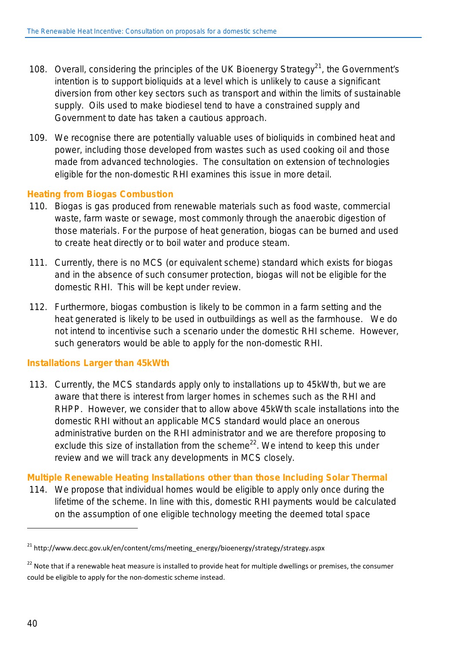- 108. Overall, considering the principles of the UK Bioenergy Strategy<sup>21</sup>, the Government's intention is to support bioliquids at a level which is unlikely to cause a significant diversion from other key sectors such as transport and within the limits of sustainable supply. Oils used to make biodiesel tend to have a constrained supply and Government to date has taken a cautious approach.
- 109. We recognise there are potentially valuable uses of bioliquids in combined heat and power, including those developed from wastes such as used cooking oil and those made from advanced technologies. The consultation on extension of technologies eligible for the non-domestic RHI examines this issue in more detail.

#### **Heating from Biogas Combustion**

- 110. Biogas is gas produced from renewable materials such as food waste, commercial waste, farm waste or sewage, most commonly through the anaerobic digestion of those materials. For the purpose of heat generation, biogas can be burned and used to create heat directly or to boil water and produce steam.
- 111. Currently, there is no MCS (or equivalent scheme) standard which exists for biogas and in the absence of such consumer protection, biogas will not be eligible for the domestic RHI. This will be kept under review.
- 112. Furthermore, biogas combustion is likely to be common in a farm setting and the heat generated is likely to be used in outbuildings as well as the farmhouse. We do not intend to incentivise such a scenario under the domestic RHI scheme. However, such generators would be able to apply for the non-domestic RHI.

#### **Installations Larger than 45kWth**

113. Currently, the MCS standards apply only to installations up to 45kWth, but we are aware that there is interest from larger homes in schemes such as the RHI and RHPP. However, we consider that to allow above 45kWth scale installations into the domestic RHI without an applicable MCS standard would place an onerous administrative burden on the RHI administrator and we are therefore proposing to exclude this size of installation from the scheme<sup>22</sup>. We intend to keep this under review and we will track any developments in MCS closely.

#### **Multiple Renewable Heating Installations other than those Including Solar Thermal**

114. We propose that individual homes would be eligible to apply only once during the lifetime of the scheme. In line with this, domestic RHI payments would be calculated on the assumption of one eligible technology meeting the deemed total space

 $\overline{a}$ 

<sup>21</sup> http://www.decc.gov.uk/en/content/cms/meeting\_energy/bioenergy/strategy/strategy.aspx

<sup>&</sup>lt;sup>22</sup> Note that if a renewable heat measure is installed to provide heat for multiple dwellings or premises, the consumer could be eligible to apply for the non-domestic scheme instead.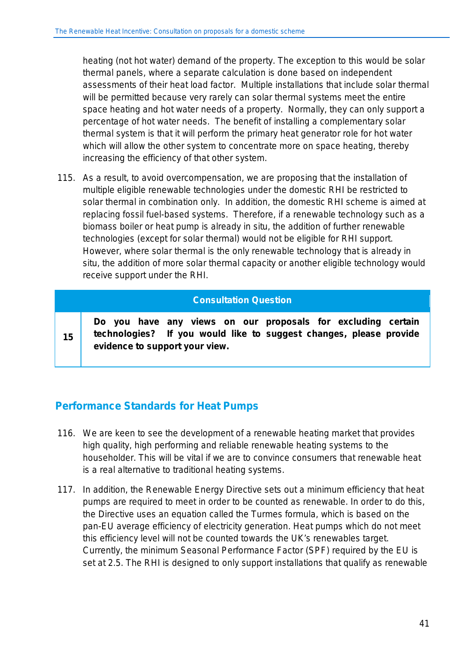heating (not hot water) demand of the property. The exception to this would be solar thermal panels, where a separate calculation is done based on independent assessments of their heat load factor. Multiple installations that include solar thermal will be permitted because very rarely can solar thermal systems meet the entire space heating and hot water needs of a property. Normally, they can only support a percentage of hot water needs. The benefit of installing a complementary solar thermal system is that it will perform the primary heat generator role for hot water which will allow the other system to concentrate more on space heating, thereby increasing the efficiency of that other system.

115. As a result, to avoid overcompensation, we are proposing that the installation of multiple eligible renewable technologies under the domestic RHI be restricted to solar thermal in combination only. In addition, the domestic RHI scheme is aimed at replacing fossil fuel-based systems. Therefore, if a renewable technology such as a biomass boiler or heat pump is already in situ, the addition of further renewable technologies (except for solar thermal) would not be eligible for RHI support. However, where solar thermal is the only renewable technology that is already in situ, the addition of more solar thermal capacity or another eligible technology would receive support under the RHI.

#### **Consultation Question**

**15**

**Do you have any views on our proposals for excluding certain technologies? If you would like to suggest changes, please provide evidence to support your view.**

## **Performance Standards for Heat Pumps**

- 116. We are keen to see the development of a renewable heating market that provides high quality, high performing and reliable renewable heating systems to the householder. This will be vital if we are to convince consumers that renewable heat is a real alternative to traditional heating systems.
- 117. In addition, the Renewable Energy Directive sets out a minimum efficiency that heat pumps are required to meet in order to be counted as renewable. In order to do this, the Directive uses an equation called the Turmes formula, which is based on the pan-EU average efficiency of electricity generation. Heat pumps which do not meet this efficiency level will not be counted towards the UK's renewables target. Currently, the minimum Seasonal Performance Factor (SPF) required by the EU is set at 2.5. The RHI is designed to only support installations that qualify as renewable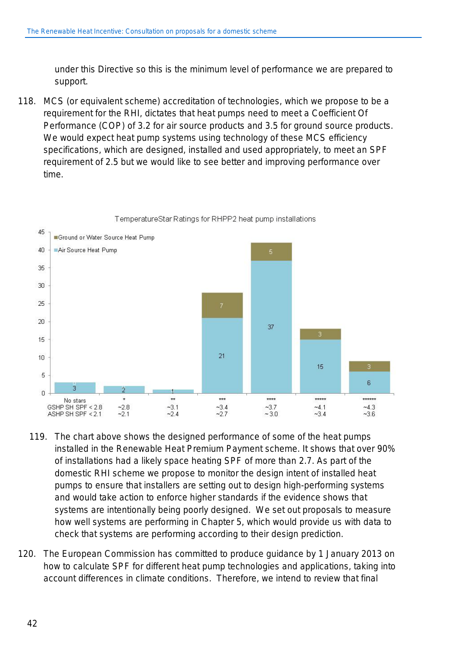under this Directive so this is the minimum level of performance we are prepared to support.

118. MCS (or equivalent scheme) accreditation of technologies, which we propose to be a requirement for the RHI, dictates that heat pumps need to meet a Coefficient Of Performance (COP) of 3.2 for air source products and 3.5 for ground source products. We would expect heat pump systems using technology of these MCS efficiency specifications, which are designed, installed and used appropriately, to meet an SPF requirement of 2.5 but we would like to see better and improving performance over time.



- 119. The chart above shows the designed performance of some of the heat pumps installed in the Renewable Heat Premium Payment scheme. It shows that over 90% of installations had a likely space heating SPF of more than 2.7. As part of the domestic RHI scheme we propose to monitor the design intent of installed heat pumps to ensure that installers are setting out to design high-performing systems and would take action to enforce higher standards if the evidence shows that systems are intentionally being poorly designed. We set out proposals to measure how well systems are performing in Chapter 5, which would provide us with data to check that systems are performing according to their design prediction.
- 120. The European Commission has committed to produce guidance by 1 January 2013 on how to calculate SPF for different heat pump technologies and applications, taking into account differences in climate conditions. Therefore, we intend to review that final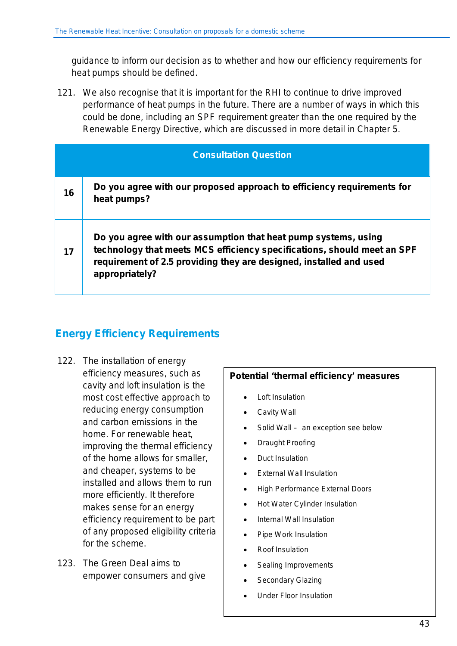guidance to inform our decision as to whether and how our efficiency requirements for heat pumps should be defined.

121. We also recognise that it is important for the RHI to continue to drive improved performance of heat pumps in the future. There are a number of ways in which this could be done, including an SPF requirement greater than the one required by the Renewable Energy Directive, which are discussed in more detail in Chapter 5.

|    | <b>Consultation Question</b>                                                                                                                                                                                                      |
|----|-----------------------------------------------------------------------------------------------------------------------------------------------------------------------------------------------------------------------------------|
| 16 | Do you agree with our proposed approach to efficiency requirements for<br>heat pumps?                                                                                                                                             |
| 17 | Do you agree with our assumption that heat pump systems, using<br>technology that meets MCS efficiency specifications, should meet an SPF<br>requirement of 2.5 providing they are designed, installed and used<br>appropriately? |

## **Energy Efficiency Requirements**

- 122. The installation of energy efficiency measures, such as cavity and loft insulation is the most cost effective approach to reducing energy consumption and carbon emissions in the home. For renewable heat, improving the thermal efficiency of the home allows for smaller, and cheaper, systems to be installed and allows them to run more efficiently. It therefore makes sense for an energy efficiency requirement to be part of any proposed eligibility criteria for the scheme.
- 123. The Green Deal aims to empower consumers and give

#### **Potential 'thermal efficiency' measures**

- Loft Insulation
- Cavity Wall
- Solid Wall  *an exception see below*
- Draught Proofing
- Duct Insulation
- **External Wall Insulation**
- High Performance External Doors
- Hot Water Cylinder Insulation
- Internal Wall Insulation
- Pipe Work Insulation
- Roof Insulation
- Sealing Improvements
- Secondary Glazing
- Under Floor Insulation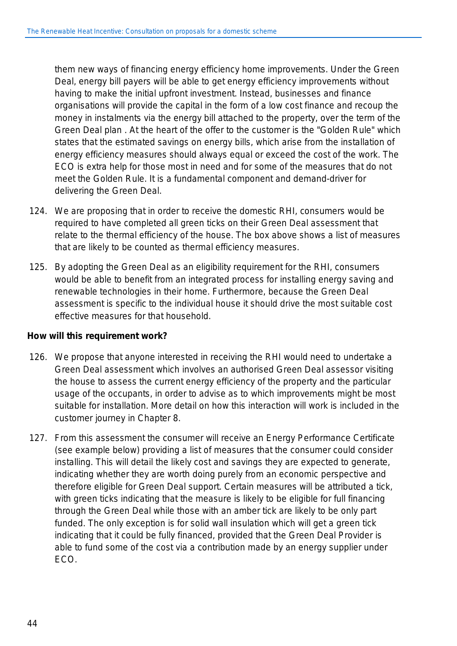them new ways of financing energy efficiency home improvements. Under the Green Deal, energy bill payers will be able to get energy efficiency improvements without having to make the initial upfront investment. Instead, businesses and finance organisations will provide the capital in the form of a low cost finance and recoup the money in instalments via the energy bill attached to the property, over the term of the Green Deal plan . At the heart of the offer to the customer is the "Golden Rule" which states that the estimated savings on energy bills, which arise from the installation of energy efficiency measures should always equal or exceed the cost of the work. The ECO is extra help for those most in need and for some of the measures that do not meet the Golden Rule. It is a fundamental component and demand-driver for delivering the Green Deal.

- 124. We are proposing that in order to receive the domestic RHI, consumers would be required to have completed all green ticks on their Green Deal assessment that relate to the thermal efficiency of the house. The box above shows a list of measures that are likely to be counted as thermal efficiency measures.
- 125. By adopting the Green Deal as an eligibility requirement for the RHI, consumers would be able to benefit from an integrated process for installing energy saving and renewable technologies in their home. Furthermore, because the Green Deal assessment is specific to the individual house it should drive the most suitable cost effective measures for that household.

#### *How will this requirement work?*

- 126. We propose that anyone interested in receiving the RHI would need to undertake a Green Deal assessment which involves an authorised Green Deal assessor visiting the house to assess the current energy efficiency of the property and the particular usage of the occupants, in order to advise as to which improvements might be most suitable for installation. More detail on how this interaction will work is included in the customer journey in Chapter 8.
- 127. From this assessment the consumer will receive an Energy Performance Certificate (see example below) providing a list of measures that the consumer could consider installing. This will detail the likely cost and savings they are expected to generate, indicating whether they are worth doing purely from an economic perspective and therefore eligible for Green Deal support. Certain measures will be attributed a tick, with green ticks indicating that the measure is likely to be eligible for full financing through the Green Deal while those with an amber tick are likely to be only part funded. The only exception is for solid wall insulation which will get a green tick indicating that it could be fully financed, provided that the Green Deal Provider is able to fund some of the cost via a contribution made by an energy supplier under ECO.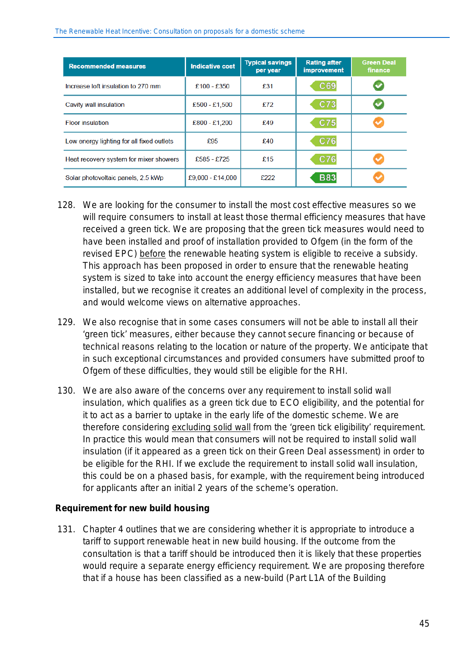| <b>Recommended measures</b>               | <b>Indicative cost</b> | <b>Typical savings</b><br>per year | <b>Rating after</b><br><b>improvement</b> | <b>Green Deal</b><br>finance |
|-------------------------------------------|------------------------|------------------------------------|-------------------------------------------|------------------------------|
| Increase loft insulation to 270 mm        | £100 - £350            | £31                                | C69                                       |                              |
| Cavity wall insulation                    | $£500 - £1,500$        | £72                                | C73                                       |                              |
| <b>Floor insulation</b>                   | £800 - £1,200          | £49                                | C75                                       | ◡                            |
| Low energy lighting for all fixed outlets | £95                    | £40                                | C76                                       |                              |
| Heat recovery system for mixer showers    | £585 - £725            | £15                                | C76                                       |                              |
| Solar photovoltaic panels, 2.5 kWp        | £9,000 - £14,000       | £222                               | <b>B83</b>                                |                              |

- 128. We are looking for the consumer to install the most cost effective measures so we will require consumers to install at least those thermal efficiency measures that have received a green tick. We are proposing that the green tick measures would need to have been installed and proof of installation provided to Ofgem (in the form of the revised EPC) before the renewable heating system is eligible to receive a subsidy. This approach has been proposed in order to ensure that the renewable heating system is sized to take into account the energy efficiency measures that have been installed, but we recognise it creates an additional level of complexity in the process, and would welcome views on alternative approaches.
- 129. We also recognise that in some cases consumers will not be able to install all their 'green tick' measures, either because they cannot secure financing or because of technical reasons relating to the location or nature of the property. We anticipate that in such exceptional circumstances and provided consumers have submitted proof to Ofgem of these difficulties, they would still be eligible for the RHI.
- 130. We are also aware of the concerns over any requirement to install solid wall insulation, which qualifies as a green tick due to ECO eligibility, and the potential for it to act as a barrier to uptake in the early life of the domestic scheme. We are therefore considering excluding solid wall from the 'green tick eligibility' requirement. In practice this would mean that consumers will not be required to install solid wall insulation (if it appeared as a green tick on their Green Deal assessment) in order to be eligible for the RHI. If we exclude the requirement to install solid wall insulation, this could be on a phased basis, for example, with the requirement being introduced for applicants after an initial 2 years of the scheme's operation.

#### **Requirement for new build housing**

131. Chapter 4 outlines that we are considering whether it is appropriate to introduce a tariff to support renewable heat in new build housing. If the outcome from the consultation is that a tariff should be introduced then it is likely that these properties would require a separate energy efficiency requirement. We are proposing therefore that if a house has been classified as a new-build (Part L1A of the Building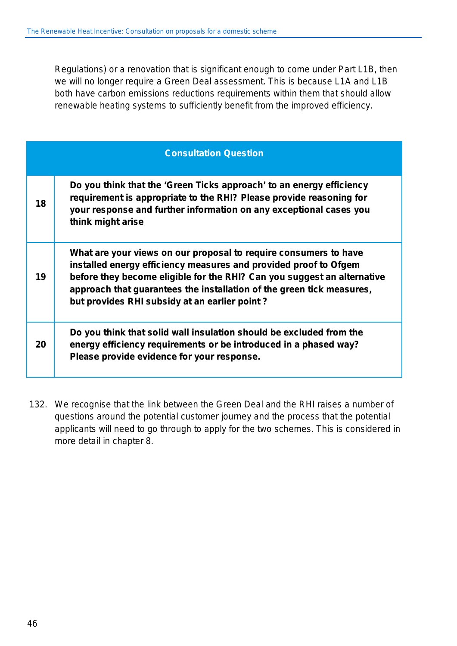Regulations) or a renovation that is significant enough to come under Part L1B, then we will no longer require a Green Deal assessment. This is because L1A and L1B both have carbon emissions reductions requirements within them that should allow renewable heating systems to sufficiently benefit from the improved efficiency.

|    | <b>Consultation Question</b>                                                                                                                                                                                                                                                                                                              |
|----|-------------------------------------------------------------------------------------------------------------------------------------------------------------------------------------------------------------------------------------------------------------------------------------------------------------------------------------------|
| 18 | Do you think that the 'Green Ticks approach' to an energy efficiency<br>requirement is appropriate to the RHI? Please provide reasoning for<br>your response and further information on any exceptional cases you<br>think might arise                                                                                                    |
| 19 | What are your views on our proposal to require consumers to have<br>installed energy efficiency measures and provided proof to Ofgem<br>before they become eligible for the RHI? Can you suggest an alternative<br>approach that guarantees the installation of the green tick measures,<br>but provides RHI subsidy at an earlier point? |
| 20 | Do you think that solid wall insulation should be excluded from the<br>energy efficiency requirements or be introduced in a phased way?<br>Please provide evidence for your response.                                                                                                                                                     |

132. We recognise that the link between the Green Deal and the RHI raises a number of questions around the potential customer journey and the process that the potential applicants will need to go through to apply for the two schemes. This is considered in more detail in chapter 8.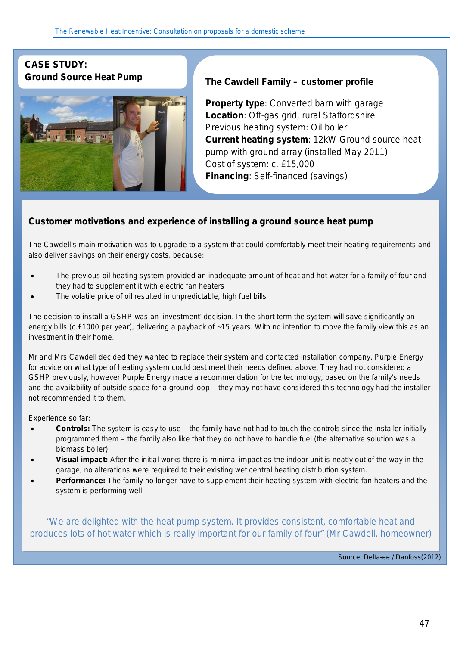## **CASE STUDY:**



## **Ground Source Heat Pump The Cawdell Family – customer profile**

**Property type**: Converted barn with garage **Location**: Off-gas grid, rural Staffordshire Previous heating system: Oil boiler **Current heating system**: 12kW Ground source heat pump with ground array (installed May 2011) Cost of system: c. £15,000 **Financing**: Self-financed (savings)

#### **Customer motivations and experience of installing a** *ground source heat pump*

The Cawdell's main motivation was to upgrade to a system that could comfortably meet their heating requirements and also deliver savings on their energy costs, because:

- The previous oil heating system provided an inadequate amount of heat and hot water for a family of four and they had to supplement it with electric fan heaters
- The volatile price of oil resulted in unpredictable, high fuel bills

The decision to install a GSHP was an 'investment' decision. In the short term the system will save significantly on energy bills (c.£1000 per year), delivering a payback of ~15 years. With no intention to move the family view this as an investment in their home.

Mr and Mrs Cawdell decided they wanted to replace their system and contacted installation company, *Purple Energy* for advice on what type of heating system could best meet their needs defined above. They had not considered a GSHP previously, however *Purple Energy* made a recommendation for the technology, based on the family's needs and the availability of outside space for a ground loop – they may not have considered this technology had the installer not recommended it to them.

Experience so far:

- **Controls:** The system is easy to use the family have not had to touch the controls since the installer initially programmed them – the family also like that they do not have to handle fuel (the alternative solution was a biomass boiler)
- **Visual impact:** After the initial works there is minimal impact as the indoor unit is neatly out of the way in the garage, no alterations were required to their existing wet central heating distribution system.
- **Performance:** The family no longer have to supplement their heating system with electric fan heaters and the system is performing well.

*"We are delighted with the heat pump system. It provides consistent, comfortable heat and produces lots of hot water which is really important for our family of four" (Mr Cawdell, homeowner)*

*Source: Delta-ee / Danfoss(2012)*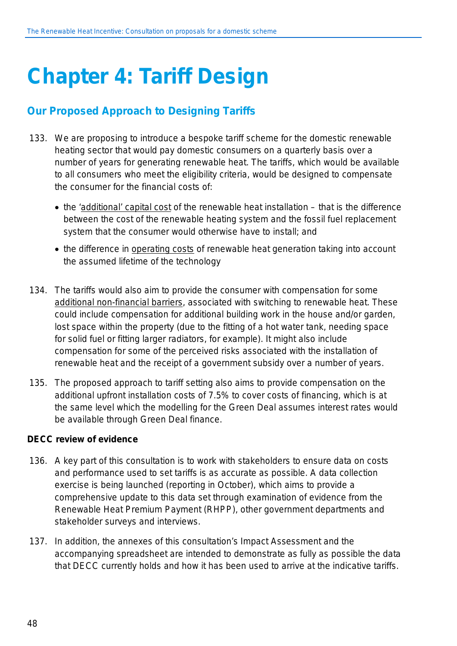# **Chapter 4: Tariff Design**

## **Our Proposed Approach to Designing Tariffs**

- 133. We are proposing to introduce a bespoke tariff scheme for the domestic renewable heating sector that would pay domestic consumers on a quarterly basis over a number of years for generating renewable heat. The tariffs, which would be available to all consumers who meet the eligibility criteria, would be designed to compensate the consumer for the financial costs of:
	- the 'additional' capital cost of the renewable heat installation that is the difference between the cost of the renewable heating system and the fossil fuel replacement system that the consumer would otherwise have to install; and
	- the difference in operating costs of renewable heat generation taking into account the assumed lifetime of the technology
- 134. The tariffs would also aim to provide the consumer with compensation for some additional non-financial barriers, associated with switching to renewable heat. These could include compensation for additional building work in the house and/or garden, lost space within the property (due to the fitting of a hot water tank, needing space for solid fuel or fitting larger radiators, for example). It might also include compensation for some of the perceived risks associated with the installation of renewable heat and the receipt of a government subsidy over a number of years.
- 135. The proposed approach to tariff setting also aims to provide compensation on the additional upfront installation costs of 7.5% to cover costs of financing, which is at the same level which the modelling for the Green Deal assumes interest rates would be available through Green Deal finance.

#### **DECC review of evidence**

- 136. A key part of this consultation is to work with stakeholders to ensure data on costs and performance used to set tariffs is as accurate as possible. A data collection exercise is being launched (reporting in October), which aims to provide a comprehensive update to this data set through examination of evidence from the Renewable Heat Premium Payment (RHPP), other government departments and stakeholder surveys and interviews.
- 137. In addition, the annexes of this consultation's Impact Assessment and the accompanying spreadsheet are intended to demonstrate as fully as possible the data that DECC currently holds and how it has been used to arrive at the indicative tariffs.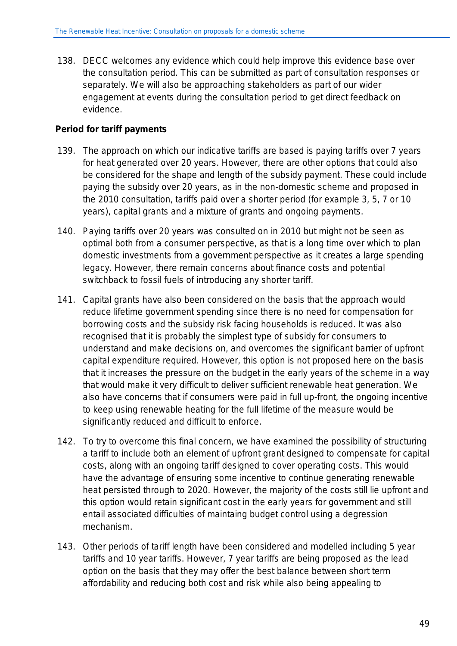138. DECC welcomes any evidence which could help improve this evidence base over the consultation period. This can be submitted as part of consultation responses or separately. We will also be approaching stakeholders as part of our wider engagement at events during the consultation period to get direct feedback on evidence.

#### **Period for tariff payments**

- 139. The approach on which our indicative tariffs are based is paying tariffs over 7 years for heat generated over 20 years. However, there are other options that could also be considered for the shape and length of the subsidy payment. These could include paying the subsidy over 20 years, as in the non-domestic scheme and proposed in the 2010 consultation, tariffs paid over a shorter period (for example 3, 5, 7 or 10 years), capital grants and a mixture of grants and ongoing payments.
- 140. Paying tariffs over 20 years was consulted on in 2010 but might not be seen as optimal both from a consumer perspective, as that is a long time over which to plan domestic investments from a government perspective as it creates a large spending legacy. However, there remain concerns about finance costs and potential switchback to fossil fuels of introducing any shorter tariff.
- 141. Capital grants have also been considered on the basis that the approach would reduce lifetime government spending since there is no need for compensation for borrowing costs and the subsidy risk facing households is reduced. It was also recognised that it is probably the simplest type of subsidy for consumers to understand and make decisions on, and overcomes the significant barrier of upfront capital expenditure required. However, this option is not proposed here on the basis that it increases the pressure on the budget in the early years of the scheme in a way that would make it very difficult to deliver sufficient renewable heat generation. We also have concerns that if consumers were paid in full up-front, the ongoing incentive to keep using renewable heating for the full lifetime of the measure would be significantly reduced and difficult to enforce.
- 142. To try to overcome this final concern, we have examined the possibility of structuring a tariff to include both an element of upfront grant designed to compensate for capital costs, along with an ongoing tariff designed to cover operating costs. This would have the advantage of ensuring some incentive to continue generating renewable heat persisted through to 2020. However, the majority of the costs still lie upfront and this option would retain significant cost in the early years for government and still entail associated difficulties of maintaing budget control using a degression mechanism.
- 143. Other periods of tariff length have been considered and modelled including 5 year tariffs and 10 year tariffs. However, 7 year tariffs are being proposed as the lead option on the basis that they may offer the best balance between short term affordability and reducing both cost and risk while also being appealing to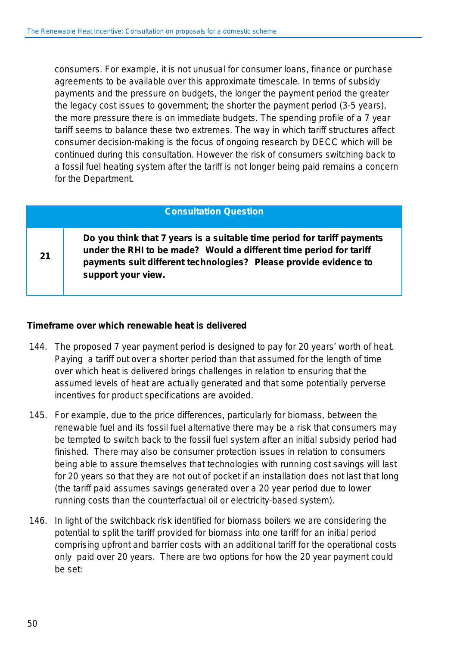consumers. For example, it is not unusual for consumer loans, finance or purchase agreements to be available over this approximate timescale. In terms of subsidy payments and the pressure on budgets, the longer the payment period the greater the legacy cost issues to government; the shorter the payment period (3-5 years), the more pressure there is on immediate budgets. The spending profile of a 7 year tariff seems to balance these two extremes. The way in which tariff structures affect consumer decision-making is the focus of ongoing research by DECC which will be continued during this consultation. However the risk of consumers switching back to a fossil fuel heating system after the tariff is not longer being paid remains a concern for the Department.

#### **Consultation Question**

**Do you think that 7 years is a suitable time period for tariff payments under the RHI to be made? Would a different time period for tariff payments suit different technologies? Please provide evidence to support your view.**

#### **Timeframe over which renewable heat is delivered**

- 144. The proposed 7 year payment period is designed to pay for 20 years' worth of heat. Paying a tariff out over a shorter period than that assumed for the length of time over which heat is delivered brings challenges in relation to ensuring that the assumed levels of heat are actually generated and that some potentially perverse incentives for product specifications are avoided.
- 145. For example, due to the price differences, particularly for biomass, between the renewable fuel and its fossil fuel alternative there may be a risk that consumers may be tempted to switch back to the fossil fuel system after an initial subsidy period had finished. There may also be consumer protection issues in relation to consumers being able to assure themselves that technologies with running cost savings will last for 20 years so that they are not out of pocket if an installation does not last that long (the tariff paid assumes savings generated over a 20 year period due to lower running costs than the counterfactual oil or electricity-based system).
- 146. In light of the switchback risk identified for biomass boilers we are considering the potential to split the tariff provided for biomass into one tariff for an initial period comprising upfront and barrier costs with an additional tariff for the operational costs only paid over 20 years. There are two options for how the 20 year payment could be set:

**21**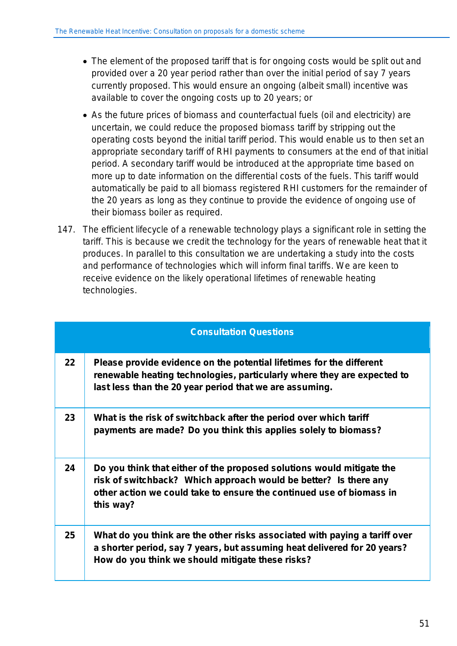- The element of the proposed tariff that is for ongoing costs would be split out and provided over a 20 year period rather than over the initial period of say 7 years currently proposed. This would ensure an ongoing (albeit small) incentive was available to cover the ongoing costs up to 20 years; or
- As the future prices of biomass and counterfactual fuels (oil and electricity) are uncertain, we could reduce the proposed biomass tariff by stripping out the operating costs beyond the initial tariff period. This would enable us to then set an appropriate secondary tariff of RHI payments to consumers at the end of that initial period. A secondary tariff would be introduced at the appropriate time based on more up to date information on the differential costs of the fuels. This tariff would automatically be paid to all biomass registered RHI customers for the remainder of the 20 years as long as they continue to provide the evidence of ongoing use of their biomass boiler as required.
- 147. The efficient lifecycle of a renewable technology plays a significant role in setting the tariff. This is because we credit the technology for the years of renewable heat that it produces. In parallel to this consultation we are undertaking a study into the costs and performance of technologies which will inform final tariffs. We are keen to receive evidence on the likely operational lifetimes of renewable heating technologies.

|    | <b>Consultation Questions</b>                                                                                                                                                                                                  |
|----|--------------------------------------------------------------------------------------------------------------------------------------------------------------------------------------------------------------------------------|
| 22 | Please provide evidence on the potential lifetimes for the different<br>renewable heating technologies, particularly where they are expected to<br>last less than the 20 year period that we are assuming.                     |
| 23 | What is the risk of switchback after the period over which tariff<br>payments are made? Do you think this applies solely to biomass?                                                                                           |
| 24 | Do you think that either of the proposed solutions would mitigate the<br>risk of switchback? Which approach would be better? Is there any<br>other action we could take to ensure the continued use of biomass in<br>this way? |
| 25 | What do you think are the other risks associated with paying a tariff over<br>a shorter period, say 7 years, but assuming heat delivered for 20 years?<br>How do you think we should mitigate these risks?                     |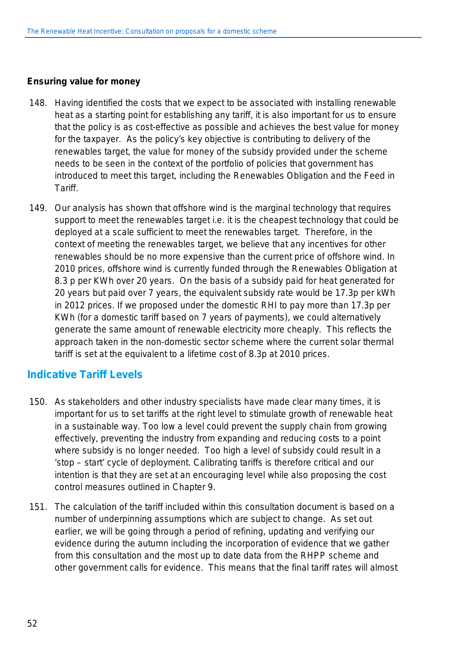#### **Ensuring value for money**

- 148. Having identified the costs that we expect to be associated with installing renewable heat as a starting point for establishing any tariff, it is also important for us to ensure that the policy is as cost-effective as possible and achieves the best value for money for the taxpayer. As the policy's key objective is contributing to delivery of the renewables target, the value for money of the subsidy provided under the scheme needs to be seen in the context of the portfolio of policies that government has introduced to meet this target, including the Renewables Obligation and the Feed in **Tariff**
- 149. Our analysis has shown that offshore wind is the marginal technology that requires support to meet the renewables target i.e. it is the cheapest technology that could be deployed at a scale sufficient to meet the renewables target. Therefore, in the context of meeting the renewables target, we believe that any incentives for other renewables should be no more expensive than the current price of offshore wind. In 2010 prices, offshore wind is currently funded through the Renewables Obligation at 8.3 p per KWh over 20 years. On the basis of a subsidy paid for heat generated for 20 years but paid over 7 years, the equivalent subsidy rate would be 17.3p per kWh in 2012 prices. If we proposed under the domestic RHI to pay more than 17.3p per KWh (for a domestic tariff based on 7 years of payments), we could alternatively generate the same amount of renewable electricity more cheaply. This reflects the approach taken in the non-domestic sector scheme where the current solar thermal tariff is set at the equivalent to a lifetime cost of 8.3p at 2010 prices.

### **Indicative Tariff Levels**

- 150. As stakeholders and other industry specialists have made clear many times, it is important for us to set tariffs at the right level to stimulate growth of renewable heat in a sustainable way. Too low a level could prevent the supply chain from growing effectively, preventing the industry from expanding and reducing costs to a point where subsidy is no longer needed. Too high a level of subsidy could result in a 'stop – start' cycle of deployment. Calibrating tariffs is therefore critical and our intention is that they are set at an encouraging level while also proposing the cost control measures outlined in Chapter 9.
- 151. The calculation of the tariff included within this consultation document is based on a number of underpinning assumptions which are subject to change. As set out earlier, we will be going through a period of refining, updating and verifying our evidence during the autumn including the incorporation of evidence that we gather from this consultation and the most up to date data from the RHPP scheme and other government calls for evidence. This means that the final tariff rates will almost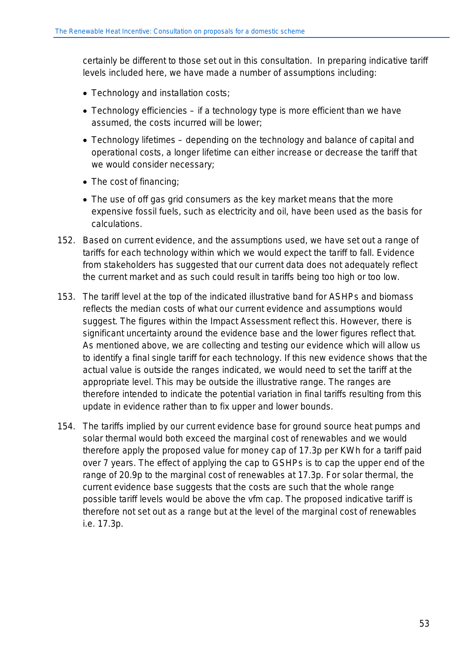certainly be different to those set out in this consultation. In preparing indicative tariff levels included here, we have made a number of assumptions including:

- Technology and installation costs;
- Technology efficiencies if a technology type is more efficient than we have assumed, the costs incurred will be lower;
- Technology lifetimes depending on the technology and balance of capital and operational costs, a longer lifetime can either increase or decrease the tariff that we would consider necessary;
- The cost of financing;
- The use of off gas grid consumers as the key market means that the more expensive fossil fuels, such as electricity and oil, have been used as the basis for calculations.
- 152. Based on current evidence, and the assumptions used, we have set out a range of tariffs for each technology within which we would expect the tariff to fall. Evidence from stakeholders has suggested that our current data does not adequately reflect the current market and as such could result in tariffs being too high or too low.
- 153. The tariff level at the top of the indicated illustrative band for ASHPs and biomass reflects the median costs of what our current evidence and assumptions would suggest. The figures within the Impact Assessment reflect this. However, there is significant uncertainty around the evidence base and the lower figures reflect that. As mentioned above, we are collecting and testing our evidence which will allow us to identify a final single tariff for each technology. If this new evidence shows that the actual value is outside the ranges indicated, we would need to set the tariff at the appropriate level. This may be outside the illustrative range. The ranges are therefore intended to indicate the potential variation in final tariffs resulting from this update in evidence rather than to fix upper and lower bounds.
- 154. The tariffs implied by our current evidence base for ground source heat pumps and solar thermal would both exceed the marginal cost of renewables and we would therefore apply the proposed value for money cap of 17.3p per KWh for a tariff paid over 7 years. The effect of applying the cap to GSHPs is to cap the upper end of the range of 20.9p to the marginal cost of renewables at 17.3p. For solar thermal, the current evidence base suggests that the costs are such that the whole range possible tariff levels would be above the vfm cap. The proposed indicative tariff is therefore not set out as a range but at the level of the marginal cost of renewables i.e. 17.3p.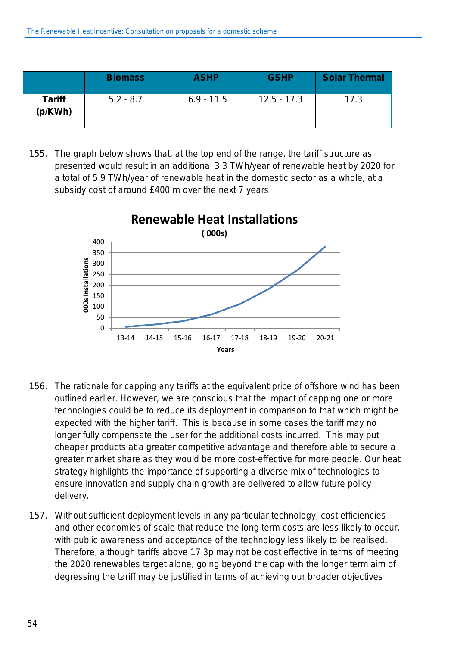|                          | <b>Biomass</b> | <b>ASHP</b>  | <b>GSHP</b>   | <b>Solar Thermal</b> |
|--------------------------|----------------|--------------|---------------|----------------------|
| <b>Tariff</b><br>(p/KWh) | $5.2 - 8.7$    | $6.9 - 11.5$ | $12.5 - 17.3$ | 17.3                 |

155. The graph below shows that, at the top end of the range, the tariff structure as presented would result in an additional 3.3 TWh/year of renewable heat by 2020 for a total of 5.9 TWh/year of renewable heat in the domestic sector as a whole, at a subsidy cost of around £400 m over the next 7 years.



- 156. The rationale for capping any tariffs at the equivalent price of offshore wind has been outlined earlier. However, we are conscious that the impact of capping one or more technologies could be to reduce its deployment in comparison to that which might be expected with the higher tariff. This is because in some cases the tariff may no longer fully compensate the user for the additional costs incurred. This may put cheaper products at a greater competitive advantage and therefore able to secure a greater market share as they would be more cost-effective for more people. Our heat strategy highlights the importance of supporting a diverse mix of technologies to ensure innovation and supply chain growth are delivered to allow future policy delivery.
- 157. Without sufficient deployment levels in any particular technology, cost efficiencies and other economies of scale that reduce the long term costs are less likely to occur, with public awareness and acceptance of the technology less likely to be realised. Therefore, although tariffs above 17.3p may not be cost effective in terms of meeting the 2020 renewables target alone, going beyond the cap with the longer term aim of degressing the tariff may be justified in terms of achieving our broader objectives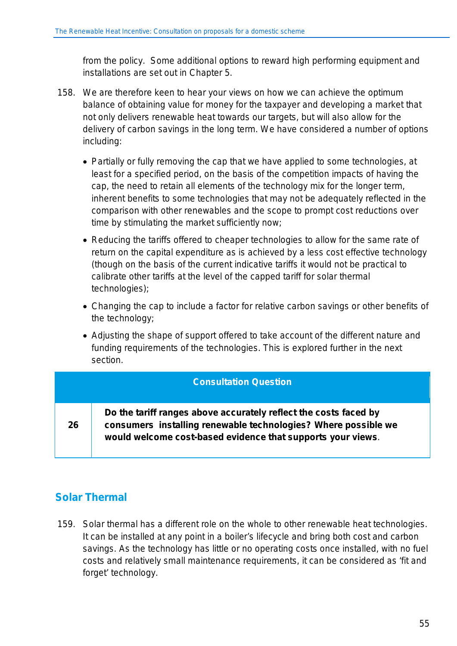from the policy. Some additional options to reward high performing equipment and installations are set out in Chapter 5.

- 158. We are therefore keen to hear your views on how we can achieve the optimum balance of obtaining value for money for the taxpayer and developing a market that not only delivers renewable heat towards our targets, but will also allow for the delivery of carbon savings in the long term. We have considered a number of options including:
	- Partially or fully removing the cap that we have applied to some technologies, at least for a specified period, on the basis of the competition impacts of having the cap, the need to retain all elements of the technology mix for the longer term, inherent benefits to some technologies that may not be adequately reflected in the comparison with other renewables and the scope to prompt cost reductions over time by stimulating the market sufficiently now;
	- Reducing the tariffs offered to cheaper technologies to allow for the same rate of return on the capital expenditure as is achieved by a less cost effective technology (though on the basis of the current indicative tariffs it would not be practical to calibrate other tariffs at the level of the capped tariff for solar thermal technologies);
	- Changing the cap to include a factor for relative carbon savings or other benefits of the technology;
	- Adjusting the shape of support offered to take account of the different nature and funding requirements of the technologies. This is explored further in the next section.

#### **Consultation Question**

**26**

**Do the tariff ranges above accurately reflect the costs faced by consumers installing renewable technologies? Where possible we would welcome cost-based evidence that supports your views**.

## **Solar Thermal**

159. Solar thermal has a different role on the whole to other renewable heat technologies. It can be installed at any point in a boiler's lifecycle and bring both cost and carbon savings. As the technology has little or no operating costs once installed, with no fuel costs and relatively small maintenance requirements, it can be considered as 'fit and forget' technology.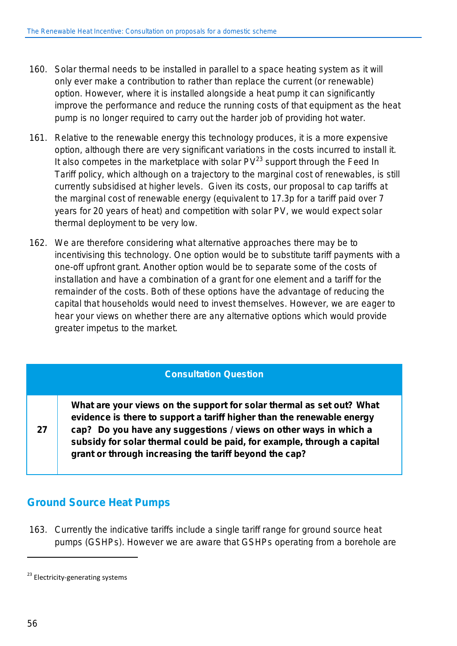- 160. Solar thermal needs to be installed in parallel to a space heating system as it will only ever make a contribution to rather than replace the current (or renewable) option. However, where it is installed alongside a heat pump it can significantly improve the performance and reduce the running costs of that equipment as the heat pump is no longer required to carry out the harder job of providing hot water.
- 161. Relative to the renewable energy this technology produces, it is a more expensive option, although there are very significant variations in the costs incurred to install it. It also competes in the marketplace with solar  $PV^{23}$  support through the Feed In Tariff policy, which although on a trajectory to the marginal cost of renewables, is still currently subsidised at higher levels. Given its costs, our proposal to cap tariffs at the marginal cost of renewable energy (equivalent to 17.3p for a tariff paid over 7 years for 20 years of heat) and competition with solar PV, we would expect solar thermal deployment to be very low.
- 162. We are therefore considering what alternative approaches there may be to incentivising this technology. One option would be to substitute tariff payments with a one-off upfront grant. Another option would be to separate some of the costs of installation and have a combination of a grant for one element and a tariff for the remainder of the costs. Both of these options have the advantage of reducing the capital that households would need to invest themselves. However, we are eager to hear your views on whether there are any alternative options which would provide greater impetus to the market.

#### **Consultation Question**

**What are your views on the support for solar thermal as set out? What evidence is there to support a tariff higher than the renewable energy cap? Do you have any suggestions / views on other ways in which a subsidy for solar thermal could be paid, for example, through a capital grant or through increasing the tariff beyond the cap?**

## **Ground Source Heat Pumps**

163. Currently the indicative tariffs include a single tariff range for ground source heat pumps (GSHPs). However we are aware that GSHPs operating from a borehole are

l

**27**

<sup>&</sup>lt;sup>23</sup> Electricity-generating systems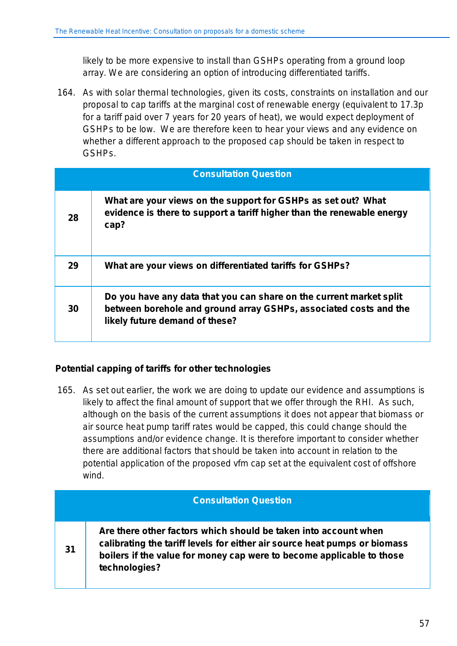likely to be more expensive to install than GSHPs operating from a ground loop array. We are considering an option of introducing differentiated tariffs.

164. As with solar thermal technologies, given its costs, constraints on installation and our proposal to cap tariffs at the marginal cost of renewable energy (equivalent to 17.3p for a tariff paid over 7 years for 20 years of heat), we would expect deployment of GSHPs to be low. We are therefore keen to hear your views and any evidence on whether a different approach to the proposed cap should be taken in respect to GSHPs.

|    | <b>Consultation Question</b>                                                                                                                                               |
|----|----------------------------------------------------------------------------------------------------------------------------------------------------------------------------|
| 28 | What are your views on the support for GSHPs as set out? What<br>evidence is there to support a tariff higher than the renewable energy<br>cap?                            |
| 29 | What are your views on differentiated tariffs for GSHPs?                                                                                                                   |
| 30 | Do you have any data that you can share on the current market split<br>between borehole and ground array GSHPs, associated costs and the<br>likely future demand of these? |

#### **Potential capping of tariffs for other technologies**

165. As set out earlier, the work we are doing to update our evidence and assumptions is likely to affect the final amount of support that we offer through the RHI. As such, although on the basis of the current assumptions it does not appear that biomass or air source heat pump tariff rates would be capped, this could change should the assumptions and/or evidence change. It is therefore important to consider whether there are additional factors that should be taken into account in relation to the potential application of the proposed vfm cap set at the equivalent cost of offshore wind.

|    | <b>Consultation Question</b>                                                                                                                                                                                                           |
|----|----------------------------------------------------------------------------------------------------------------------------------------------------------------------------------------------------------------------------------------|
| 31 | Are there other factors which should be taken into account when<br>calibrating the tariff levels for either air source heat pumps or biomass<br>boilers if the value for money cap were to become applicable to those<br>technologies? |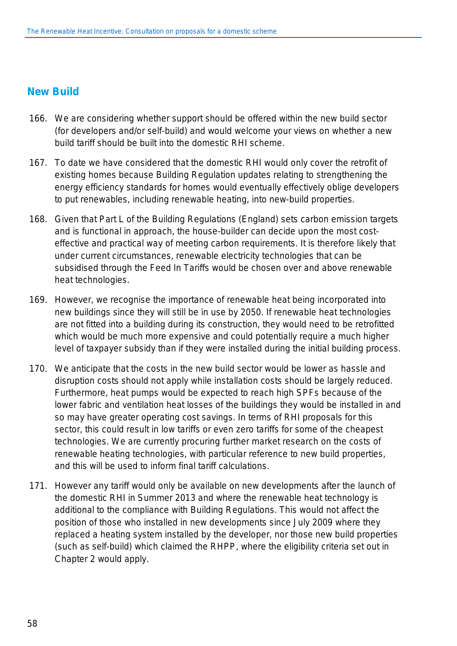### **New Build**

- 166. We are considering whether support should be offered within the new build sector (for developers and/or self-build) and would welcome your views on whether a new build tariff should be built into the domestic RHI scheme.
- 167. To date we have considered that the domestic RHI would only cover the retrofit of existing homes because Building Regulation updates relating to strengthening the energy efficiency standards for homes would eventually effectively oblige developers to put renewables, including renewable heating, into new-build properties.
- 168. Given that Part L of the Building Regulations (England) sets carbon emission targets and is functional in approach, the house-builder can decide upon the most costeffective and practical way of meeting carbon requirements. It is therefore likely that under current circumstances, renewable electricity technologies that can be subsidised through the Feed In Tariffs would be chosen over and above renewable heat technologies.
- 169. However, we recognise the importance of renewable heat being incorporated into new buildings since they will still be in use by 2050. If renewable heat technologies are not fitted into a building during its construction, they would need to be retrofitted which would be much more expensive and could potentially require a much higher level of taxpayer subsidy than if they were installed during the initial building process.
- 170. We anticipate that the costs in the new build sector would be lower as hassle and disruption costs should not apply while installation costs should be largely reduced. Furthermore, heat pumps would be expected to reach high SPFs because of the lower fabric and ventilation heat losses of the buildings they would be installed in and so may have greater operating cost savings. In terms of RHI proposals for this sector, this could result in low tariffs or even zero tariffs for some of the cheapest technologies. We are currently procuring further market research on the costs of renewable heating technologies, with particular reference to new build properties, and this will be used to inform final tariff calculations.
- 171. However any tariff would only be available on new developments after the launch of the domestic RHI in Summer 2013 and where the renewable heat technology is additional to the compliance with Building Regulations. This would not affect the position of those who installed in new developments since July 2009 where they replaced a heating system installed by the developer, nor those new build properties (such as self-build) which claimed the RHPP, where the eligibility criteria set out in Chapter 2 would apply.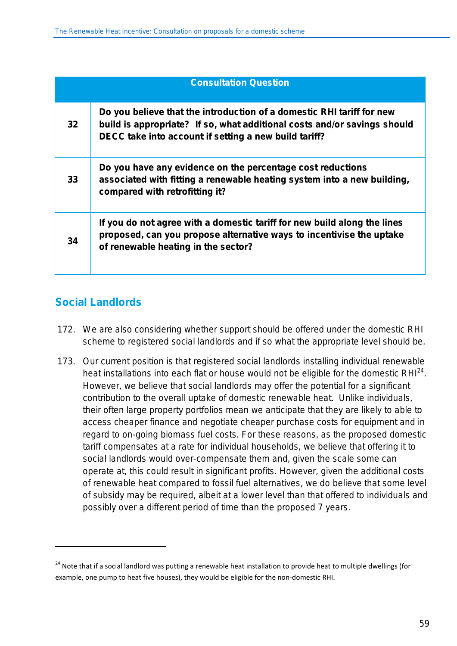|    | <b>Consultation Question</b>                                                                                                                                                                               |
|----|------------------------------------------------------------------------------------------------------------------------------------------------------------------------------------------------------------|
| 32 | Do you believe that the introduction of a domestic RHI tariff for new<br>build is appropriate? If so, what additional costs and/or savings should<br>DECC take into account if setting a new build tariff? |
| 33 | Do you have any evidence on the percentage cost reductions<br>associated with fitting a renewable heating system into a new building,<br>compared with retrofitting it?                                    |
| 34 | If you do not agree with a domestic tariff for new build along the lines<br>proposed, can you propose alternative ways to incentivise the uptake<br>of renewable heating in the sector?                    |

## **Social Landlords**

<u>.</u>

- 172. We are also considering whether support should be offered under the domestic RHI scheme to registered social landlords and if so what the appropriate level should be.
- 173. Our current position is that registered social landlords installing individual renewable heat installations into each flat or house would not be eligible for the domestic RHI<sup>24</sup>. However, we believe that social landlords may offer the potential for a significant contribution to the overall uptake of domestic renewable heat. Unlike individuals, their often large property portfolios mean we anticipate that they are likely to able to access cheaper finance and negotiate cheaper purchase costs for equipment and in regard to on-going biomass fuel costs. For these reasons, as the proposed domestic tariff compensates at a rate for individual households, we believe that offering it to social landlords would over-compensate them and, given the scale some can operate at, this could result in significant profits. However, given the additional costs of renewable heat compared to fossil fuel alternatives, we do believe that some level of subsidy may be required, albeit at a lower level than that offered to individuals and possibly over a different period of time than the proposed 7 years.

<sup>&</sup>lt;sup>24</sup> Note that if a social landlord was putting a renewable heat installation to provide heat to multiple dwellings (for example, one pump to heat five houses), they would be eligible for the non-domestic RHI.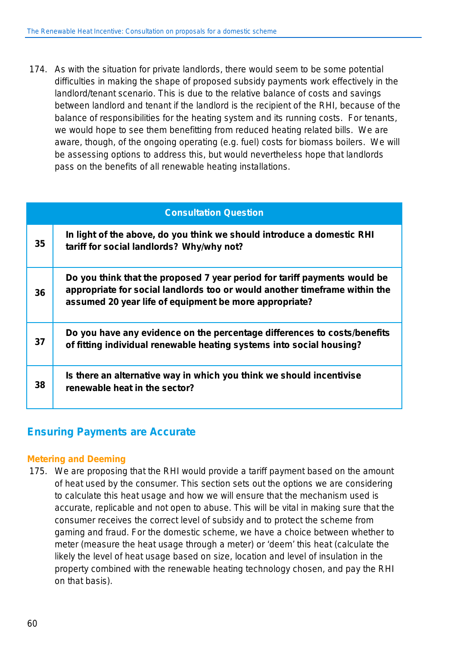174. As with the situation for private landlords, there would seem to be some potential difficulties in making the shape of proposed subsidy payments work effectively in the landlord/tenant scenario. This is due to the relative balance of costs and savings between landlord and tenant if the landlord is the recipient of the RHI, because of the balance of responsibilities for the heating system and its running costs. For tenants, we would hope to see them benefitting from reduced heating related bills. We are aware, though, of the ongoing operating (e.g. fuel) costs for biomass boilers. We will be assessing options to address this, but would nevertheless hope that landlords pass on the benefits of all renewable heating installations.

|    | <b>Consultation Question</b>                                                                                                                                                                                      |
|----|-------------------------------------------------------------------------------------------------------------------------------------------------------------------------------------------------------------------|
| 35 | In light of the above, do you think we should introduce a domestic RHI<br>tariff for social landlords? Why/why not?                                                                                               |
| 36 | Do you think that the proposed 7 year period for tariff payments would be<br>appropriate for social landlords too or would another timeframe within the<br>assumed 20 year life of equipment be more appropriate? |
| 37 | Do you have any evidence on the percentage differences to costs/benefits<br>of fitting individual renewable heating systems into social housing?                                                                  |
| 38 | Is there an alternative way in which you think we should incentivise<br>renewable heat in the sector?                                                                                                             |

### **Ensuring Payments are Accurate**

#### **Metering and Deeming**

175. We are proposing that the RHI would provide a tariff payment based on the amount of heat used by the consumer. This section sets out the options we are considering to calculate this heat usage and how we will ensure that the mechanism used is accurate, replicable and not open to abuse. This will be vital in making sure that the consumer receives the correct level of subsidy and to protect the scheme from gaming and fraud. For the domestic scheme, we have a choice between whether to meter (measure the heat usage through a meter) or 'deem' this heat (calculate the likely the level of heat usage based on size, location and level of insulation in the property combined with the renewable heating technology chosen, and pay the RHI on that basis).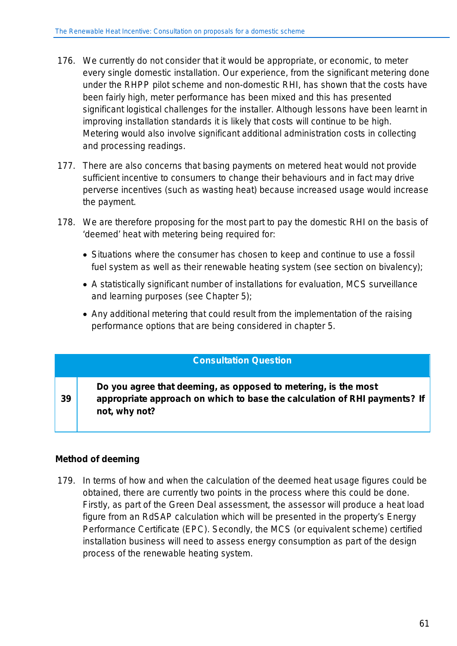- 176. We currently do not consider that it would be appropriate, or economic, to meter every single domestic installation. Our experience, from the significant metering done under the RHPP pilot scheme and non-domestic RHI, has shown that the costs have been fairly high, meter performance has been mixed and this has presented significant logistical challenges for the installer. Although lessons have been learnt in improving installation standards it is likely that costs will continue to be high. Metering would also involve significant additional administration costs in collecting and processing readings.
- 177. There are also concerns that basing payments on metered heat would not provide sufficient incentive to consumers to change their behaviours and in fact may drive perverse incentives (such as wasting heat) because increased usage would increase the payment.
- 178. We are therefore proposing for the most part to pay the domestic RHI on the basis of 'deemed' heat with metering being required for:
	- Situations where the consumer has chosen to keep and continue to use a fossil fuel system as well as their renewable heating system (see section on bivalency);
	- A statistically significant number of installations for evaluation, MCS surveillance and learning purposes (see Chapter 5);
	- Any additional metering that could result from the implementation of the raising performance options that are being considered in chapter 5.

#### **Consultation Question**

**39 Do you agree that deeming, as opposed to metering, is the most appropriate approach on which to base the calculation of RHI payments? If not, why not?**

#### **Method of deeming**

179. In terms of how and when the calculation of the deemed heat usage figures could be obtained, there are currently two points in the process where this could be done. Firstly, as part of the Green Deal assessment, the assessor will produce a heat load figure from an RdSAP calculation which will be presented in the property's Energy Performance Certificate (EPC). Secondly, the MCS (or equivalent scheme) certified installation business will need to assess energy consumption as part of the design process of the renewable heating system.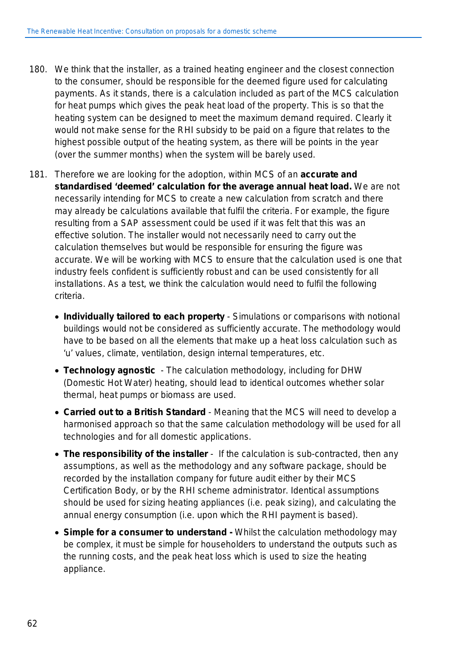- 180. We think that the installer, as a trained heating engineer and the closest connection to the consumer, should be responsible for the deemed figure used for calculating payments. As it stands, there is a calculation included as part of the MCS calculation for heat pumps which gives the peak heat load of the property. This is so that the heating system can be designed to meet the maximum demand required. Clearly it would not make sense for the RHI subsidy to be paid on a figure that relates to the highest possible output of the heating system, as there will be points in the year (over the summer months) when the system will be barely used.
- 181. Therefore we are looking for the adoption, within MCS of an **accurate and standardised 'deemed' calculation for the average annual heat load.** We are not necessarily intending for MCS to create a new calculation from scratch and there may already be calculations available that fulfil the criteria. For example, the figure resulting from a SAP assessment could be used if it was felt that this was an effective solution. The installer would not necessarily need to carry out the calculation themselves but would be responsible for ensuring the figure was accurate. We will be working with MCS to ensure that the calculation used is one that industry feels confident is sufficiently robust and can be used consistently for all installations. As a test, we think the calculation would need to fulfil the following criteria.
	- **Individually tailored to each property** Simulations or comparisons with notional buildings would not be considered as sufficiently accurate. The methodology would have to be based on all the elements that make up a heat loss calculation such as 'u' values, climate, ventilation, design internal temperatures, etc.
	- **Technology agnostic** The calculation methodology, including for DHW (Domestic Hot Water) heating, should lead to identical outcomes whether solar thermal, heat pumps or biomass are used.
	- **Carried out to a British Standard** Meaning that the MCS will need to develop a harmonised approach so that the same calculation methodology will be used for all technologies and for all domestic applications.
	- The responsibility of the installer If the calculation is sub-contracted, then any assumptions, as well as the methodology and any software package, should be recorded by the installation company for future audit either by their MCS Certification Body, or by the RHI scheme administrator. Identical assumptions should be used for sizing heating appliances (i.e. peak sizing), and calculating the annual energy consumption (i.e. upon which the RHI payment is based).
	- **Simple for a consumer to understand -** Whilst the calculation methodology may be complex, it must be simple for householders to understand the outputs such as the running costs, and the peak heat loss which is used to size the heating appliance.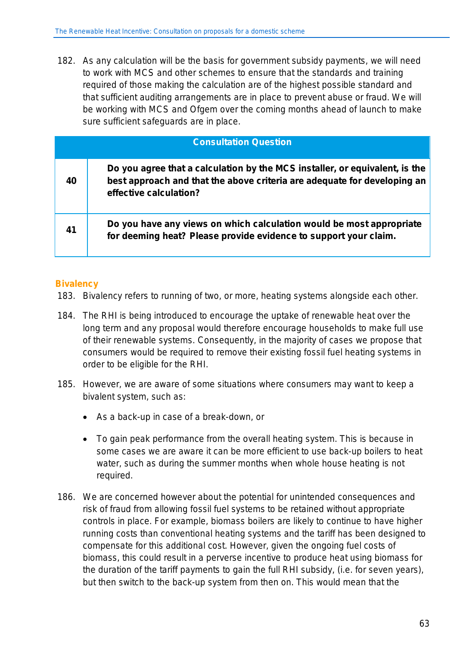182. As any calculation will be the basis for government subsidy payments, we will need to work with MCS and other schemes to ensure that the standards and training required of those making the calculation are of the highest possible standard and that sufficient auditing arrangements are in place to prevent abuse or fraud. We will be working with MCS and Ofgem over the coming months ahead of launch to make sure sufficient safeguards are in place.

| <b>Consultation Question</b> |                                                                                                                                                                                   |
|------------------------------|-----------------------------------------------------------------------------------------------------------------------------------------------------------------------------------|
| 40                           | Do you agree that a calculation by the MCS installer, or equivalent, is the<br>best approach and that the above criteria are adequate for developing an<br>effective calculation? |
| 41                           | Do you have any views on which calculation would be most appropriate<br>for deeming heat? Please provide evidence to support your claim.                                          |

#### **Bivalency**

- 183. Bivalency refers to running of two, or more, heating systems alongside each other.
- 184. The RHI is being introduced to encourage the uptake of renewable heat over the long term and any proposal would therefore encourage households to make full use of their renewable systems. Consequently, in the majority of cases we propose that consumers would be required to remove their existing fossil fuel heating systems in order to be eligible for the RHI.
- 185. However, we are aware of some situations where consumers may want to keep a bivalent system, such as:
	- As a back-up in case of a break-down, or
	- To gain peak performance from the overall heating system. This is because in some cases we are aware it can be more efficient to use back-up boilers to heat water, such as during the summer months when whole house heating is not required.
- 186. We are concerned however about the potential for unintended consequences and risk of fraud from allowing fossil fuel systems to be retained without appropriate controls in place. For example, biomass boilers are likely to continue to have higher running costs than conventional heating systems and the tariff has been designed to compensate for this additional cost. However, given the ongoing fuel costs of biomass, this could result in a perverse incentive to produce heat using biomass for the duration of the tariff payments to gain the full RHI subsidy, (i.e. for seven years), but then switch to the back-up system from then on. This would mean that the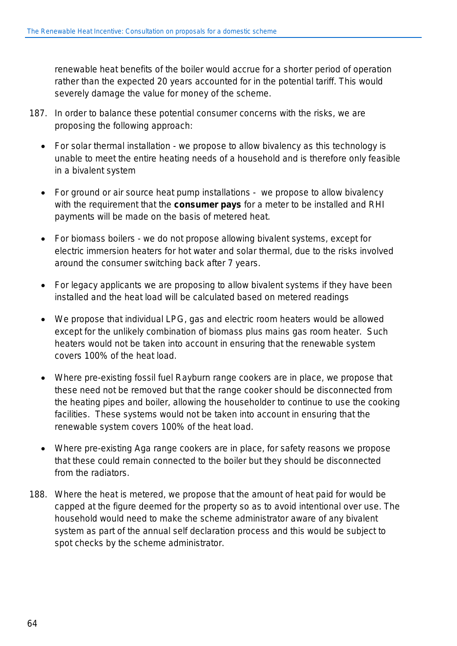renewable heat benefits of the boiler would accrue for a shorter period of operation rather than the expected 20 years accounted for in the potential tariff. This would severely damage the value for money of the scheme.

- 187. In order to balance these potential consumer concerns with the risks, we are proposing the following approach:
	- For solar thermal installation we propose to allow bivalency as this technology is unable to meet the entire heating needs of a household and is therefore only feasible in a bivalent system
	- For ground or air source heat pump installations we propose to allow bivalency with the requirement that the **consumer pays** for a meter to be installed and RHI payments will be made on the basis of metered heat.
	- For biomass boilers we do not propose allowing bivalent systems, except for electric immersion heaters for hot water and solar thermal, due to the risks involved around the consumer switching back after 7 years.
	- For legacy applicants we are proposing to allow bivalent systems if they have been installed and the heat load will be calculated based on metered readings
	- We propose that individual LPG, gas and electric room heaters would be allowed except for the unlikely combination of biomass plus mains gas room heater. Such heaters would not be taken into account in ensuring that the renewable system covers 100% of the heat load.
	- Where pre-existing fossil fuel Rayburn range cookers are in place, we propose that these need not be removed but that the range cooker should be disconnected from the heating pipes and boiler, allowing the householder to continue to use the cooking facilities. These systems would not be taken into account in ensuring that the renewable system covers 100% of the heat load.
	- Where pre-existing Aga range cookers are in place, for safety reasons we propose that these could remain connected to the boiler but they should be disconnected from the radiators.
- 188. Where the heat is metered, we propose that the amount of heat paid for would be capped at the figure deemed for the property so as to avoid intentional over use. The household would need to make the scheme administrator aware of any bivalent system as part of the annual self declaration process and this would be subject to spot checks by the scheme administrator.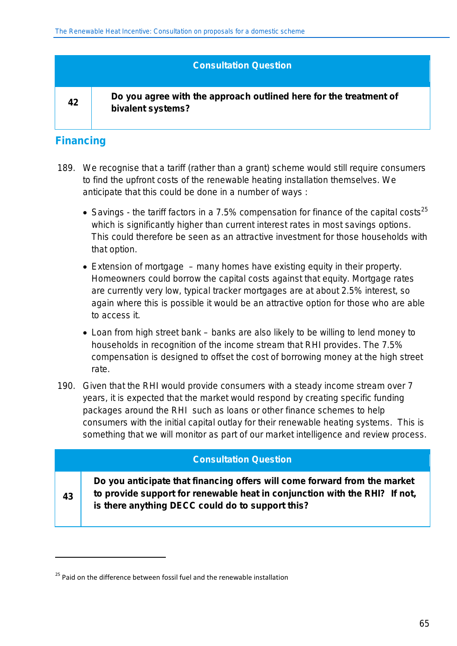#### **Consultation Question**

**42 Do you agree with the approach outlined here for the treatment of bivalent systems?**

## **Financing**

**43**

1

- 189. We recognise that a tariff (rather than a grant) scheme would still require consumers to find the upfront costs of the renewable heating installation themselves. We anticipate that this could be done in a number of ways :
	- Savings the tariff factors in a 7.5% compensation for finance of the capital costs<sup>25</sup> which is significantly higher than current interest rates in most savings options. This could therefore be seen as an attractive investment for those households with that option.
	- Extension of mortgage many homes have existing equity in their property. Homeowners could borrow the capital costs against that equity. Mortgage rates are currently very low, typical tracker mortgages are at about 2.5% interest, so again where this is possible it would be an attractive option for those who are able to access it.
	- Loan from high street bank banks are also likely to be willing to lend money to households in recognition of the income stream that RHI provides. The 7.5% compensation is designed to offset the cost of borrowing money at the high street rate.
- 190. Given that the RHI would provide consumers with a steady income stream over 7 years, it is expected that the market would respond by creating specific funding packages around the RHI such as loans or other finance schemes to help consumers with the initial capital outlay for their renewable heating systems. This is something that we will monitor as part of our market intelligence and review process.

#### **Consultation Question**

**Do you anticipate that financing offers will come forward from the market to provide support for renewable heat in conjunction with the RHI? If not, is there anything DECC could do to support this?** 

<sup>&</sup>lt;sup>25</sup> Paid on the difference between fossil fuel and the renewable installation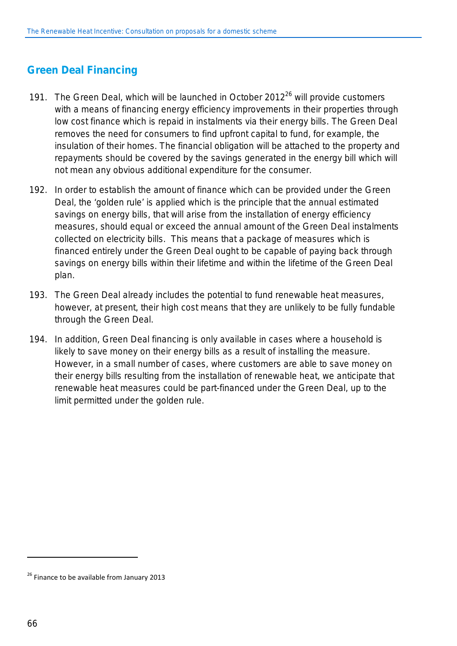## **Green Deal Financing**

- 191. The Green Deal, which will be launched in October  $2012^{26}$  will provide customers with a means of financing energy efficiency improvements in their properties through low cost finance which is repaid in instalments via their energy bills. The Green Deal removes the need for consumers to find upfront capital to fund, for example, the insulation of their homes. The financial obligation will be attached to the property and repayments should be covered by the savings generated in the energy bill which will not mean any obvious additional expenditure for the consumer.
- 192. In order to establish the amount of finance which can be provided under the Green Deal, the 'golden rule' is applied which is the principle that the annual estimated savings on energy bills, that will arise from the installation of energy efficiency measures, should equal or exceed the annual amount of the Green Deal instalments collected on electricity bills. This means that a package of measures which is financed entirely under the Green Deal ought to be capable of paying back through savings on energy bills within their lifetime and within the lifetime of the Green Deal plan.
- 193. The Green Deal already includes the potential to fund renewable heat measures, however, at present, their high cost means that they are unlikely to be fully fundable through the Green Deal.
- 194. In addition, Green Deal financing is only available in cases where a household is likely to save money on their energy bills as a result of installing the measure. However, in a small number of cases, where customers are able to save money on their energy bills resulting from the installation of renewable heat, we anticipate that renewable heat measures could be part-financed under the Green Deal, up to the limit permitted under the golden rule.

l

 $26$  Finance to be available from January 2013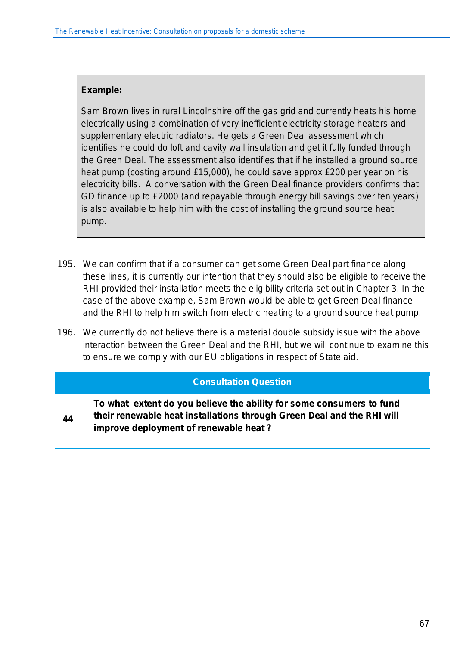#### **Example:**

**44**

*Sam Brown lives in rural Lincolnshire off the gas grid and currently heats his home electrically using a combination of very inefficient electricity storage heaters and supplementary electric radiators. He gets a Green Deal assessment which identifies he could do loft and cavity wall insulation and get it fully funded through the Green Deal. The assessment also identifies that if he installed a ground source heat pump (costing around £15,000), he could save approx £200 per year on his electricity bills. A conversation with the Green Deal finance providers confirms that GD finance up to £2000 (and repayable through energy bill savings over ten years) is also available to help him with the cost of installing the ground source heat pump.* 

- 195. We can confirm that if a consumer can get some Green Deal part finance along these lines, it is currently our intention that they should also be eligible to receive the RHI provided their installation meets the eligibility criteria set out in Chapter 3. In the case of the above example, Sam Brown would be able to get Green Deal finance and the RHI to help him switch from electric heating to a ground source heat pump.
- 196. We currently do not believe there is a material double subsidy issue with the above interaction between the Green Deal and the RHI, but we will continue to examine this to ensure we comply with our EU obligations in respect of State aid.

#### **Consultation Question**

**To what extent do you believe the ability for some consumers to fund their renewable heat installations through Green Deal and the RHI will improve deployment of renewable heat ?**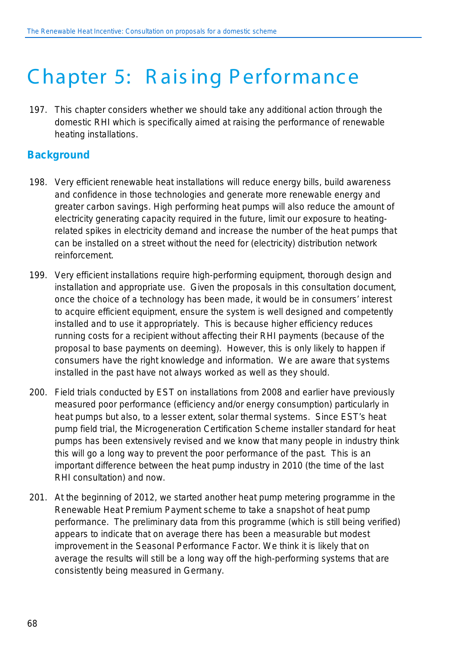## C hapter 5: R ais ing Performance

197. This chapter considers whether we should take any additional action through the domestic RHI which is specifically aimed at raising the performance of renewable heating installations.

## **Background**

- 198. Very efficient renewable heat installations will reduce energy bills, build awareness and confidence in those technologies and generate more renewable energy and greater carbon savings. High performing heat pumps will also reduce the amount of electricity generating capacity required in the future, limit our exposure to heatingrelated spikes in electricity demand and increase the number of the heat pumps that can be installed on a street without the need for (electricity) distribution network reinforcement.
- 199. Very efficient installations require high-performing equipment, thorough design and installation and appropriate use. Given the proposals in this consultation document, once the choice of a technology has been made, it would be in consumers' interest to acquire efficient equipment, ensure the system is well designed and competently installed and to use it appropriately. This is because higher efficiency reduces running costs for a recipient without affecting their RHI payments (because of the proposal to base payments on deeming). However, this is only likely to happen if consumers have the right knowledge and information. We are aware that systems installed in the past have not always worked as well as they should.
- 200. Field trials conducted by EST on installations from 2008 and earlier have previously measured poor performance (efficiency and/or energy consumption) particularly in heat pumps but also, to a lesser extent, solar thermal systems. Since EST's heat pump field trial, the Microgeneration Certification Scheme installer standard for heat pumps has been extensively revised and we know that many people in industry think this will go a long way to prevent the poor performance of the past. This is an important difference between the heat pump industry in 2010 (the time of the last RHI consultation) and now.
- 201. At the beginning of 2012, we started another heat pump metering programme in the Renewable Heat Premium Payment scheme to take a snapshot of heat pump performance. The preliminary data from this programme (which is still being verified) appears to indicate that on average there has been a measurable but modest improvement in the Seasonal Performance Factor. We think it is likely that on average the results will still be a long way off the high-performing systems that are consistently being measured in Germany.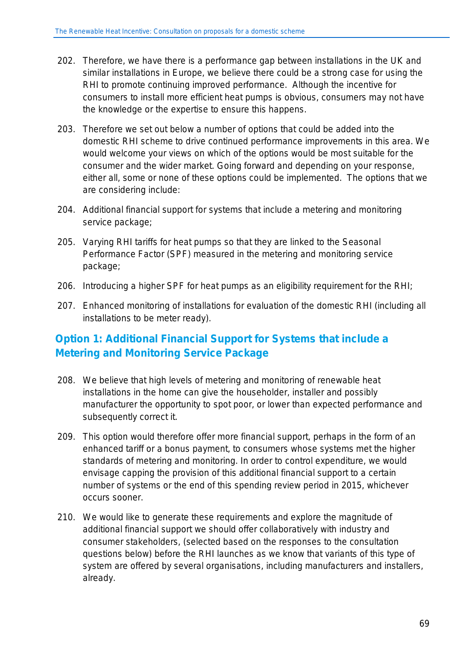- 202. Therefore, we have there is a performance gap between installations in the UK and similar installations in Europe, we believe there could be a strong case for using the RHI to promote continuing improved performance. Although the incentive for consumers to install more efficient heat pumps is obvious, consumers may not have the knowledge or the expertise to ensure this happens.
- 203. Therefore we set out below a number of options that could be added into the domestic RHI scheme to drive continued performance improvements in this area. We would welcome your views on which of the options would be most suitable for the consumer and the wider market. Going forward and depending on your response, either all, some or none of these options could be implemented. The options that we are considering include:
- 204. Additional financial support for systems that include a metering and monitoring service package;
- 205. Varying RHI tariffs for heat pumps so that they are linked to the Seasonal Performance Factor (SPF) measured in the metering and monitoring service package;
- 206. Introducing a higher SPF for heat pumps as an eligibility requirement for the RHI;
- 207. Enhanced monitoring of installations for evaluation of the domestic RHI (including all installations to be meter ready).

## **Option 1: Additional Financial Support for Systems that include a Metering and Monitoring Service Package**

- 208. We believe that high levels of metering and monitoring of renewable heat installations in the home can give the householder, installer and possibly manufacturer the opportunity to spot poor, or lower than expected performance and subsequently correct it.
- 209. This option would therefore offer more financial support, perhaps in the form of an enhanced tariff or a bonus payment, to consumers whose systems met the higher standards of metering and monitoring. In order to control expenditure, we would envisage capping the provision of this additional financial support to a certain number of systems or the end of this spending review period in 2015, whichever occurs sooner.
- 210. We would like to generate these requirements and explore the magnitude of additional financial support we should offer collaboratively with industry and consumer stakeholders, (selected based on the responses to the consultation questions below) before the RHI launches as we know that variants of this type of system are offered by several organisations, including manufacturers and installers, already.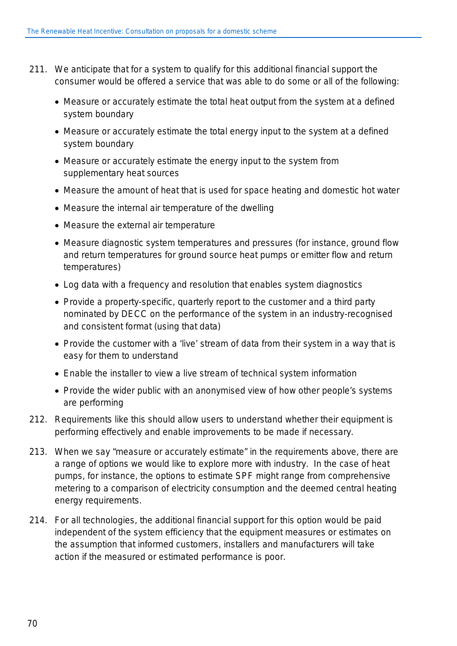- 211. We anticipate that for a system to qualify for this additional financial support the consumer would be offered a service that was able to do some or all of the following:
	- Measure or accurately estimate the total heat output from the system at a defined system boundary
	- Measure or accurately estimate the total energy input to the system at a defined system boundary
	- Measure or accurately estimate the energy input to the system from supplementary heat sources
	- Measure the amount of heat that is used for space heating and domestic hot water
	- Measure the internal air temperature of the dwelling
	- Measure the external air temperature
	- Measure diagnostic system temperatures and pressures (for instance, ground flow and return temperatures for ground source heat pumps or emitter flow and return temperatures)
	- Log data with a frequency and resolution that enables system diagnostics
	- Provide a property-specific, quarterly report to the customer and a third party nominated by DECC on the performance of the system in an industry-recognised and consistent format (using that data)
	- Provide the customer with a 'live' stream of data from their system in a way that is easy for them to understand
	- Enable the installer to view a live stream of technical system information
	- Provide the wider public with an anonymised view of how other people's systems are performing
- 212. Requirements like this should allow users to understand whether their equipment is performing effectively and enable improvements to be made if necessary.
- 213. When we say "measure or accurately estimate" in the requirements above, there are a range of options we would like to explore more with industry. In the case of heat pumps, for instance, the options to estimate SPF might range from comprehensive metering to a comparison of electricity consumption and the deemed central heating energy requirements.
- 214. For all technologies, the additional financial support for this option would be paid independent of the system efficiency that the equipment measures or estimates on the assumption that informed customers, installers and manufacturers will take action if the measured or estimated performance is poor.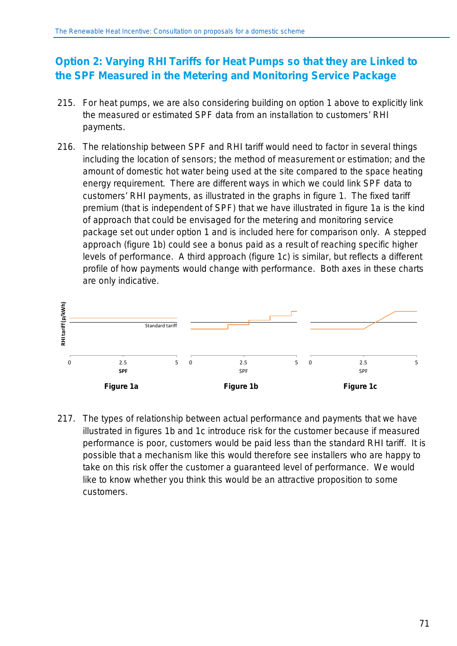## **Option 2: Varying RHI Tariffs for Heat Pumps so that they are Linked to the SPF Measured in the Metering and Monitoring Service Package**

- 215. For heat pumps, we are also considering building on option 1 above to explicitly link the measured or estimated SPF data from an installation to customers' RHI payments.
- 216. The relationship between SPF and RHI tariff would need to factor in several things including the location of sensors; the method of measurement or estimation; and the amount of domestic hot water being used at the site compared to the space heating energy requirement. There are different ways in which we could link SPF data to customers' RHI payments, as illustrated in the graphs in figure 1. The fixed tariff premium (that is independent of SPF) that we have illustrated in figure 1a is the kind of approach that could be envisaged for the metering and monitoring service package set out under option 1 and is included here for comparison only. A stepped approach (figure 1b) could see a bonus paid as a result of reaching specific higher levels of performance. A third approach (figure 1c) is similar, but reflects a different profile of how payments would change with performance. Both axes in these charts are only indicative.



217. The types of relationship between actual performance and payments that we have illustrated in figures 1b and 1c introduce risk for the customer because if measured performance is poor, customers would be paid less than the standard RHI tariff. It is possible that a mechanism like this would therefore see installers who are happy to take on this risk offer the customer a guaranteed level of performance. We would like to know whether you think this would be an attractive proposition to some customers.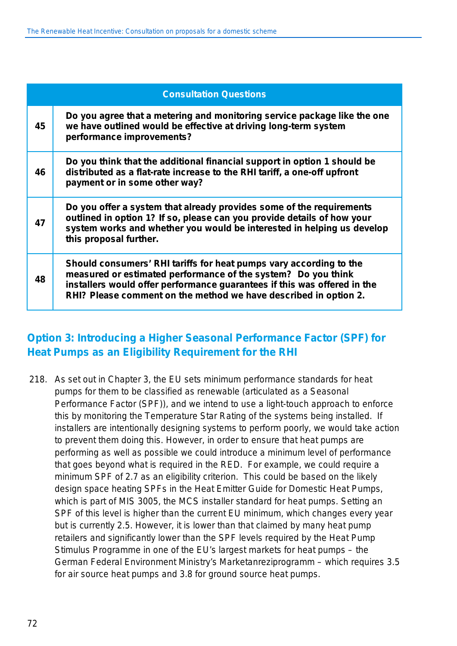| <b>Consultation Questions</b> |                                                                                                                                                                                                                                                                                     |
|-------------------------------|-------------------------------------------------------------------------------------------------------------------------------------------------------------------------------------------------------------------------------------------------------------------------------------|
| 45                            | Do you agree that a metering and monitoring service package like the one<br>we have outlined would be effective at driving long-term system<br>performance improvements?                                                                                                            |
| 46                            | Do you think that the additional financial support in option 1 should be<br>distributed as a flat-rate increase to the RHI tariff, a one-off upfront<br>payment or in some other way?                                                                                               |
| 47                            | Do you offer a system that already provides some of the requirements<br>outlined in option 1? If so, please can you provide details of how your<br>system works and whether you would be interested in helping us develop<br>this proposal further.                                 |
| 48                            | Should consumers' RHI tariffs for heat pumps vary according to the<br>measured or estimated performance of the system? Do you think<br>installers would offer performance guarantees if this was offered in the<br>RHI? Please comment on the method we have described in option 2. |

## **Option 3: Introducing a Higher Seasonal Performance Factor (SPF) for Heat Pumps as an Eligibility Requirement for the RHI**

218. As set out in Chapter 3, the EU sets minimum performance standards for heat pumps for them to be classified as renewable (articulated as a Seasonal Performance Factor (SPF)), and we intend to use a light-touch approach to enforce this by monitoring the Temperature Star Rating of the systems being installed. If installers are intentionally designing systems to perform poorly, we would take action to prevent them doing this. However, in order to ensure that heat pumps are performing as well as possible we could introduce a minimum level of performance that goes beyond what is required in the RED. For example, we could require a minimum SPF of 2.7 as an eligibility criterion. This could be based on the likely design space heating SPFs in the Heat Emitter Guide for Domestic Heat Pumps, which is part of MIS 3005, the MCS installer standard for heat pumps. Setting an SPF of this level is higher than the current EU minimum, which changes every year but is currently 2.5. However, it is lower than that claimed by many heat pump retailers and significantly lower than the SPF levels required by the Heat Pump Stimulus Programme in one of the EU's largest markets for heat pumps – the German Federal Environment Ministry's Marketanreziprogramm – which requires 3.5 for air source heat pumps and 3.8 for ground source heat pumps.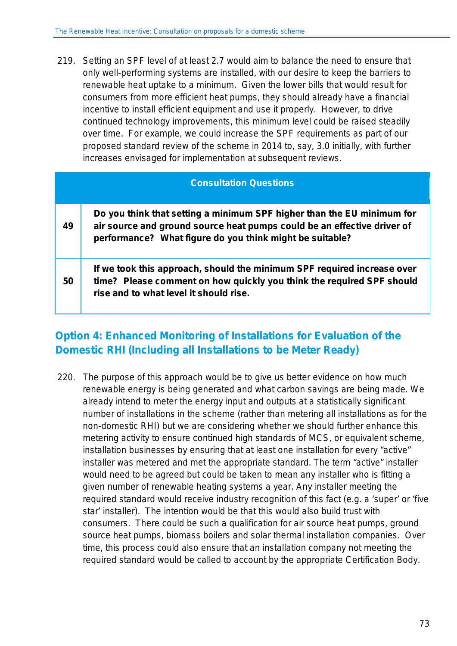219. Setting an SPF level of at least 2.7 would aim to balance the need to ensure that only well-performing systems are installed, with our desire to keep the barriers to renewable heat uptake to a minimum. Given the lower bills that would result for consumers from more efficient heat pumps, they should already have a financial incentive to install efficient equipment and use it properly. However, to drive continued technology improvements, this minimum level could be raised steadily over time. For example, we could increase the SPF requirements as part of our proposed standard review of the scheme in 2014 to, say, 3.0 initially, with further increases envisaged for implementation at subsequent reviews.

| <b>Consultation Questions</b> |                                                                                                                                                                                                               |
|-------------------------------|---------------------------------------------------------------------------------------------------------------------------------------------------------------------------------------------------------------|
| 49                            | Do you think that setting a minimum SPF higher than the EU minimum for<br>air source and ground source heat pumps could be an effective driver of<br>performance? What figure do you think might be suitable? |
| 50                            | If we took this approach, should the minimum SPF required increase over<br>time? Please comment on how quickly you think the required SPF should<br>rise and to what level it should rise.                    |

## **Option 4: Enhanced Monitoring of Installations for Evaluation of the Domestic RHI (Including all Installations to be Meter Ready)**

220. The purpose of this approach would be to give us better evidence on how much renewable energy is being generated and what carbon savings are being made. We already intend to meter the energy input and outputs at a statistically significant number of installations in the scheme (rather than metering all installations as for the non-domestic RHI) but we are considering whether we should further enhance this metering activity to ensure continued high standards of MCS, or equivalent scheme, installation businesses by ensuring that at least one installation for every "active" installer was metered and met the appropriate standard. The term "active" installer would need to be agreed but could be taken to mean any installer who is fitting a given number of renewable heating systems a year. Any installer meeting the required standard would receive industry recognition of this fact (e.g. a 'super' or 'five star' installer). The intention would be that this would also build trust with consumers. There could be such a qualification for air source heat pumps, ground source heat pumps, biomass boilers and solar thermal installation companies. Over time, this process could also ensure that an installation company not meeting the required standard would be called to account by the appropriate Certification Body.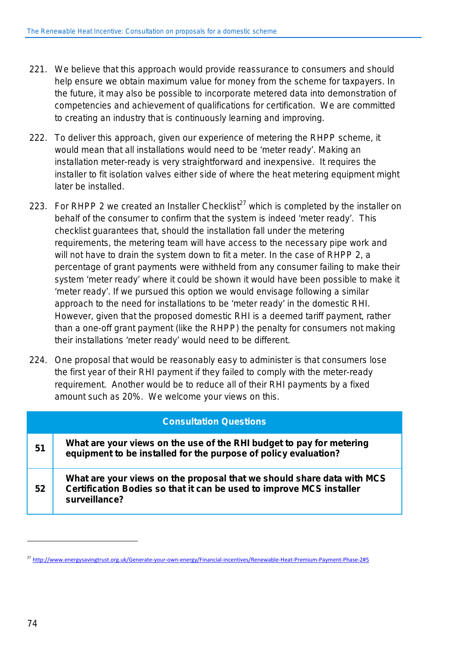- 221. We believe that this approach would provide reassurance to consumers and should help ensure we obtain maximum value for money from the scheme for taxpayers. In the future, it may also be possible to incorporate metered data into demonstration of competencies and achievement of qualifications for certification. We are committed to creating an industry that is continuously learning and improving.
- 222. To deliver this approach, given our experience of metering the RHPP scheme, it would mean that all installations would need to be 'meter ready'. Making an installation meter-ready is very straightforward and inexpensive. It requires the installer to fit isolation valves either side of where the heat metering equipment might later be installed.
- 223. For RHPP 2 we created an Installer Checklist<sup>27</sup> which is completed by the installer on behalf of the consumer to confirm that the system is indeed 'meter ready'. This checklist guarantees that, should the installation fall under the metering requirements, the metering team will have access to the necessary pipe work and will not have to drain the system down to fit a meter. In the case of RHPP 2, a percentage of grant payments were withheld from any consumer failing to make their system 'meter ready' where it could be shown it would have been possible to make it 'meter ready'. If we pursued this option we would envisage following a similar approach to the need for installations to be 'meter ready' in the domestic RHI. However, given that the proposed domestic RHI is a deemed tariff payment, rather than a one-off grant payment (like the RHPP) the penalty for consumers not making their installations 'meter ready' would need to be different.
- 224. One proposal that would be reasonably easy to administer is that consumers lose the first year of their RHI payment if they failed to comply with the meter-ready requirement. Another would be to reduce all of their RHI payments by a fixed amount such as 20%. We welcome your views on this.

|    | <b>Consultation Questions</b>                                                                                                                                   |
|----|-----------------------------------------------------------------------------------------------------------------------------------------------------------------|
| 51 | What are your views on the use of the RHI budget to pay for metering<br>equipment to be installed for the purpose of policy evaluation?                         |
| 52 | What are your views on the proposal that we should share data with MCS<br>Certification Bodies so that it can be used to improve MCS installer<br>surveillance? |

 $\overline{a}$ 

<sup>&</sup>lt;sup>27</sup> <http://www.energysavingtrust.org.uk/Generate-your-own-energy/Financial-incentives/Renewable-Heat-Premium-Payment-Phase-2#5>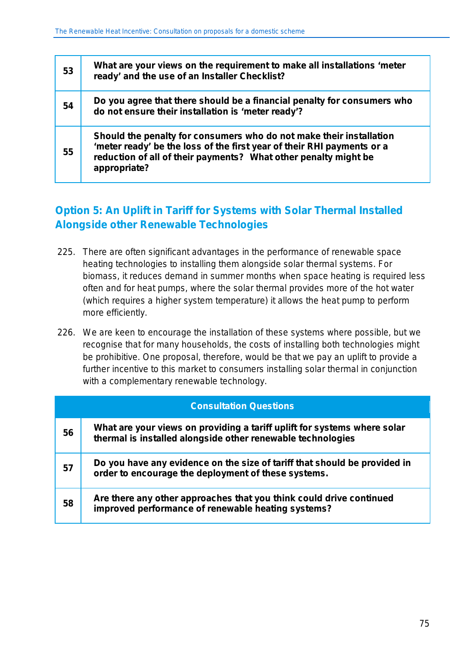| 53 | What are your views on the requirement to make all installations 'meter<br>ready' and the use of an Installer Checklist?                                                                                                         |
|----|----------------------------------------------------------------------------------------------------------------------------------------------------------------------------------------------------------------------------------|
| 54 | Do you agree that there should be a financial penalty for consumers who<br>do not ensure their installation is 'meter ready'?                                                                                                    |
| 55 | Should the penalty for consumers who do not make their installation<br>'meter ready' be the loss of the first year of their RHI payments or a<br>reduction of all of their payments? What other penalty might be<br>appropriate? |

## **Option 5: An Uplift in Tariff for Systems with Solar Thermal Installed Alongside other Renewable Technologies**

- 225. There are often significant advantages in the performance of renewable space heating technologies to installing them alongside solar thermal systems. For biomass, it reduces demand in summer months when space heating is required less often and for heat pumps, where the solar thermal provides more of the hot water (which requires a higher system temperature) it allows the heat pump to perform more efficiently.
- 226. We are keen to encourage the installation of these systems where possible, but we recognise that for many households, the costs of installing both technologies might be prohibitive. One proposal, therefore, would be that we pay an uplift to provide a further incentive to this market to consumers installing solar thermal in conjunction with a complementary renewable technology.

|    | <b>Consultation Questions</b>                                                                                                           |
|----|-----------------------------------------------------------------------------------------------------------------------------------------|
| 56 | What are your views on providing a tariff uplift for systems where solar<br>thermal is installed alongside other renewable technologies |
| 57 | Do you have any evidence on the size of tariff that should be provided in<br>order to encourage the deployment of these systems.        |
| 58 | Are there any other approaches that you think could drive continued<br>improved performance of renewable heating systems?               |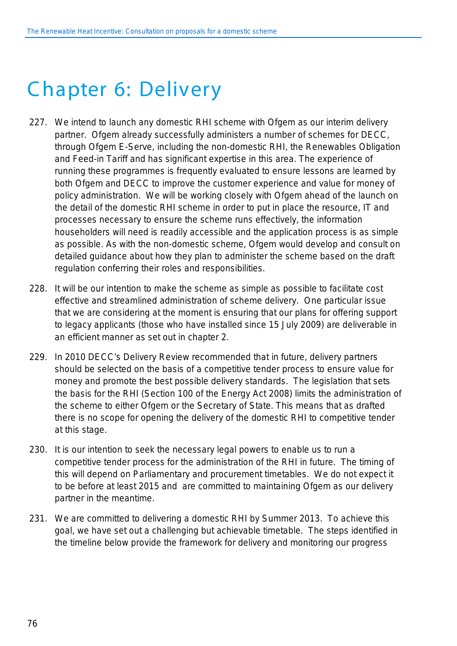## C hapter 6: Delivery

- 227. We intend to launch any domestic RHI scheme with Ofgem as our interim delivery partner. Ofgem already successfully administers a number of schemes for DECC, through Ofgem E-Serve, including the non-domestic RHI, the Renewables Obligation and Feed-in Tariff and has significant expertise in this area. The experience of running these programmes is frequently evaluated to ensure lessons are learned by both Ofgem and DECC to improve the customer experience and value for money of policy administration. We will be working closely with Ofgem ahead of the launch on the detail of the domestic RHI scheme in order to put in place the resource, IT and processes necessary to ensure the scheme runs effectively, the information householders will need is readily accessible and the application process is as simple as possible. As with the non-domestic scheme, Ofgem would develop and consult on detailed guidance about how they plan to administer the scheme based on the draft regulation conferring their roles and responsibilities.
- 228. It will be our intention to make the scheme as simple as possible to facilitate cost effective and streamlined administration of scheme delivery. One particular issue that we are considering at the moment is ensuring that our plans for offering support to legacy applicants (those who have installed since 15 July 2009) are deliverable in an efficient manner as set out in chapter 2.
- 229. In 2010 DECC's Delivery Review recommended that in future, delivery partners should be selected on the basis of a competitive tender process to ensure value for money and promote the best possible delivery standards. The legislation that sets the basis for the RHI (Section 100 of the Energy Act 2008) limits the administration of the scheme to either Ofgem or the Secretary of State. This means that as drafted there is no scope for opening the delivery of the domestic RHI to competitive tender at this stage.
- 230. It is our intention to seek the necessary legal powers to enable us to run a competitive tender process for the administration of the RHI in future. The timing of this will depend on Parliamentary and procurement timetables. We do not expect it to be before at least 2015 and are committed to maintaining Ofgem as our delivery partner in the meantime.
- 231. We are committed to delivering a domestic RHI by Summer 2013. To achieve this goal, we have set out a challenging but achievable timetable. The steps identified in the timeline below provide the framework for delivery and monitoring our progress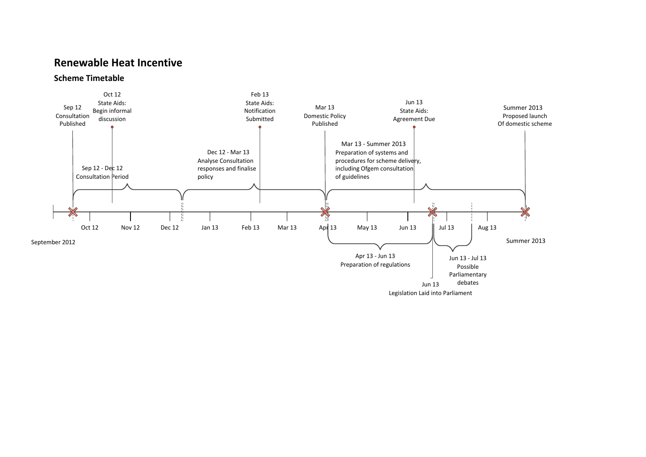### **Renewable Heat Incentive**

#### **Scheme Timetable**

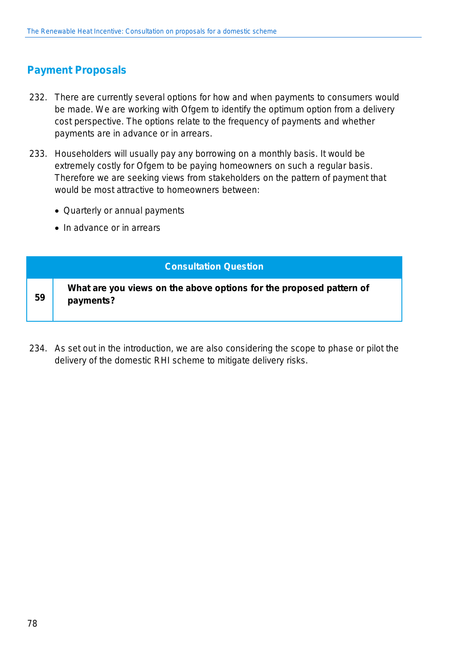## **Payment Proposals**

- 232. There are currently several options for how and when payments to consumers would be made. We are working with Ofgem to identify the optimum option from a delivery cost perspective. The options relate to the frequency of payments and whether payments are in advance or in arrears.
- 233. Householders will usually pay any borrowing on a monthly basis. It would be extremely costly for Ofgem to be paying homeowners on such a regular basis. Therefore we are seeking views from stakeholders on the pattern of payment that would be most attractive to homeowners between:
	- Quarterly or annual payments
	- In advance or in arrears

#### **Consultation Question**

**What are you views on the above options for the proposed pattern of payments?**

234. As set out in the introduction, we are also considering the scope to phase or pilot the delivery of the domestic RHI scheme to mitigate delivery risks.

**59**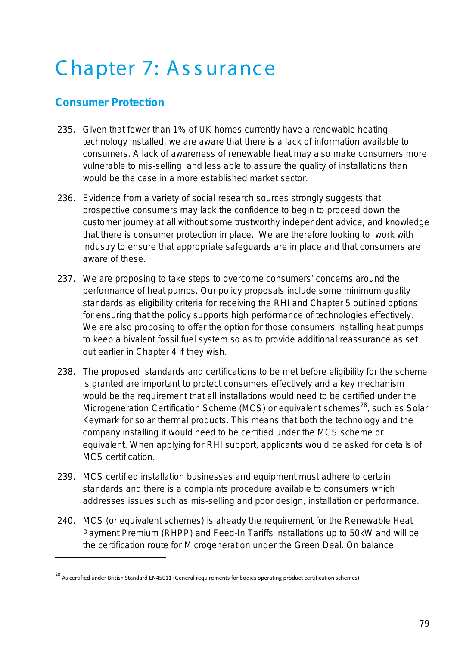## Chapter 7: Assurance

## **Consumer Protection**

1

- 235. Given that fewer than 1% of UK homes currently have a renewable heating technology installed, we are aware that there is a lack of information available to consumers. A lack of awareness of renewable heat may also make consumers more vulnerable to mis-selling and less able to assure the quality of installations than would be the case in a more established market sector.
- 236. Evidence from a variety of social research sources strongly suggests that prospective consumers may lack the confidence to begin to proceed down the customer journey at all without some trustworthy independent advice, and knowledge that there is consumer protection in place. We are therefore looking to work with industry to ensure that appropriate safeguards are in place and that consumers are aware of these.
- 237. We are proposing to take steps to overcome consumers' concerns around the performance of heat pumps. Our policy proposals include some minimum quality standards as eligibility criteria for receiving the RHI and Chapter 5 outlined options for ensuring that the policy supports high performance of technologies effectively. We are also proposing to offer the option for those consumers installing heat pumps to keep a bivalent fossil fuel system so as to provide additional reassurance as set out earlier in Chapter 4 if they wish.
- 238. The proposed standards and certifications to be met before eligibility for the scheme is granted are important to protect consumers effectively and a key mechanism would be the requirement that all installations would need to be certified under the Microgeneration Certification Scheme (MCS) or equivalent schemes<sup>28</sup>, such as Solar Keymark for solar thermal products. This means that both the technology and the company installing it would need to be certified under the MCS scheme or equivalent. When applying for RHI support, applicants would be asked for details of MCS certification.
- 239. MCS certified installation businesses and equipment must adhere to certain standards and there is a complaints procedure available to consumers which addresses issues such as mis-selling and poor design, installation or performance.
- 240. MCS (or equivalent schemes) is already the requirement for the Renewable Heat Payment Premium (RHPP) and Feed-In Tariffs installations up to 50kW and will be the certification route for Microgeneration under the Green Deal. On balance

<sup>28</sup> As certified under British Standard EN45011 (General requirements for bodies operating product certification schemes)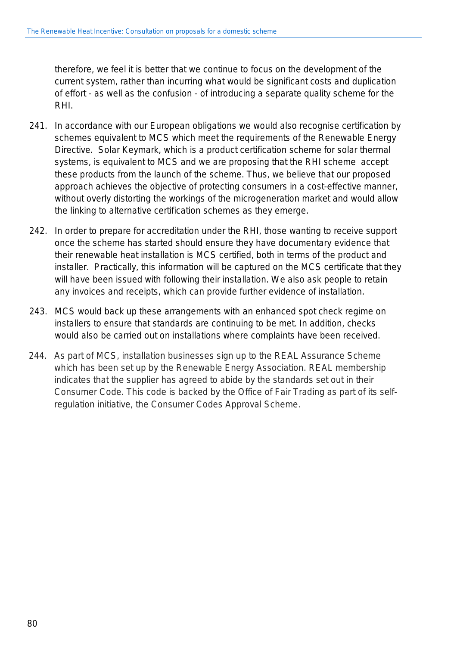therefore, we feel it is better that we continue to focus on the development of the current system, rather than incurring what would be significant costs and duplication of effort - as well as the confusion - of introducing a separate quality scheme for the RHI.

- 241. In accordance with our European obligations we would also recognise certification by schemes equivalent to MCS which meet the requirements of the Renewable Energy Directive. Solar Keymark, which is a product certification scheme for solar thermal systems, is equivalent to MCS and we are proposing that the RHI scheme accept these products from the launch of the scheme. Thus, we believe that our proposed approach achieves the objective of protecting consumers in a cost-effective manner, without overly distorting the workings of the microgeneration market and would allow the linking to alternative certification schemes as they emerge.
- 242. In order to prepare for accreditation under the RHI, those wanting to receive support once the scheme has started should ensure they have documentary evidence that their renewable heat installation is MCS certified, both in terms of the product and installer. Practically, this information will be captured on the MCS certificate that they will have been issued with following their installation. We also ask people to retain any invoices and receipts, which can provide further evidence of installation.
- 243. MCS would back up these arrangements with an enhanced spot check regime on installers to ensure that standards are continuing to be met. In addition, checks would also be carried out on installations where complaints have been received.
- 244. As part of MCS, installation businesses sign up to the REAL Assurance Scheme which has been set up by the Renewable Energy Association. REAL membership indicates that the supplier has agreed to abide by the standards set out in their Consumer Code. This code is backed by the Office of Fair Trading as part of its selfregulation initiative, the Consumer Codes Approval Scheme.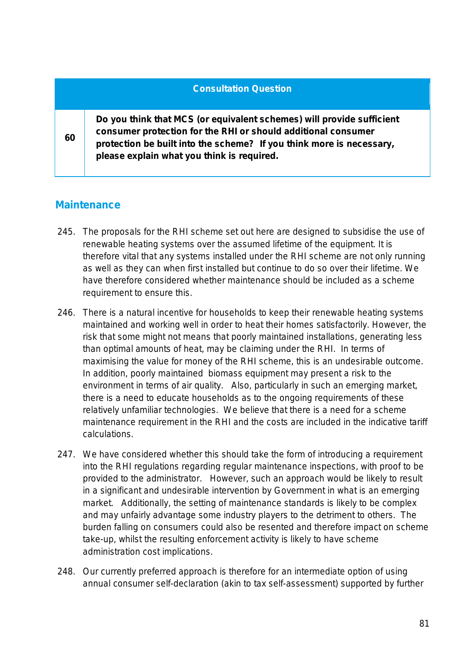|    | <b>Consultation Question</b>                                                                                                                                                                                                                                 |
|----|--------------------------------------------------------------------------------------------------------------------------------------------------------------------------------------------------------------------------------------------------------------|
| 60 | Do you think that MCS (or equivalent schemes) will provide sufficient<br>consumer protection for the RHI or should additional consumer<br>protection be built into the scheme? If you think more is necessary,<br>please explain what you think is required. |

## **Maintenance**

- 245. The proposals for the RHI scheme set out here are designed to subsidise the use of renewable heating systems over the assumed lifetime of the equipment. It is therefore vital that any systems installed under the RHI scheme are not only running as well as they can when first installed but continue to do so over their lifetime. We have therefore considered whether maintenance should be included as a scheme requirement to ensure this.
- 246. There is a natural incentive for households to keep their renewable heating systems maintained and working well in order to heat their homes satisfactorily. However, the risk that some might not means that poorly maintained installations, generating less than optimal amounts of heat, may be claiming under the RHI. In terms of maximising the value for money of the RHI scheme, this is an undesirable outcome. In addition, poorly maintained biomass equipment may present a risk to the environment in terms of air quality. Also, particularly in such an emerging market, there is a need to educate households as to the ongoing requirements of these relatively unfamiliar technologies. We believe that there is a need for a scheme maintenance requirement in the RHI and the costs are included in the indicative tariff calculations.
- 247. We have considered whether this should take the form of introducing a requirement into the RHI regulations regarding regular maintenance inspections, with proof to be provided to the administrator. However, such an approach would be likely to result in a significant and undesirable intervention by Government in what is an emerging market. Additionally, the setting of maintenance standards is likely to be complex and may unfairly advantage some industry players to the detriment to others. The burden falling on consumers could also be resented and therefore impact on scheme take-up, whilst the resulting enforcement activity is likely to have scheme administration cost implications.
- 248. Our currently preferred approach is therefore for an intermediate option of using annual consumer self-declaration (akin to tax self-assessment) supported by further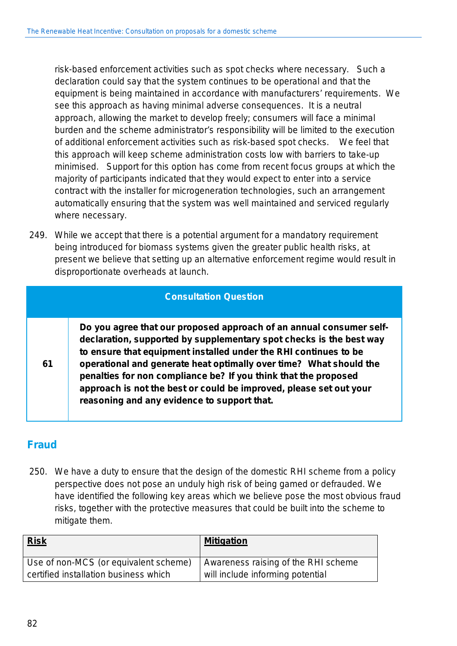risk-based enforcement activities such as spot checks where necessary. Such a declaration could say that the system continues to be operational and that the equipment is being maintained in accordance with manufacturers' requirements. We see this approach as having minimal adverse consequences. It is a neutral approach, allowing the market to develop freely; consumers will face a minimal burden and the scheme administrator's responsibility will be limited to the execution of additional enforcement activities such as risk-based spot checks. We feel that this approach will keep scheme administration costs low with barriers to take-up minimised. Support for this option has come from recent focus groups at which the majority of participants indicated that they would expect to enter into a service contract with the installer for microgeneration technologies, such an arrangement automatically ensuring that the system was well maintained and serviced regularly where necessary.

249. While we accept that there is a potential argument for a mandatory requirement being introduced for biomass systems given the greater public health risks, at present we believe that setting up an alternative enforcement regime would result in disproportionate overheads at launch.

### **Consultation Question**

**Do you agree that our proposed approach of an annual consumer selfdeclaration, supported by supplementary spot checks is the best way to ensure that equipment installed under the RHI continues to be operational and generate heat optimally over time? What should the penalties for non compliance be? If you think that the proposed approach is not the best or could be improved, please set out your reasoning and any evidence to support that.**

## **Fraud**

**61**

250. We have a duty to ensure that the design of the domestic RHI scheme from a policy perspective does not pose an unduly high risk of being gamed or defrauded. We have identified the following key areas which we believe pose the most obvious fraud risks, together with the protective measures that could be built into the scheme to mitigate them.

| <b>Risk</b>                           | <b>Mitigation</b>                   |
|---------------------------------------|-------------------------------------|
| Use of non-MCS (or equivalent scheme) | Awareness raising of the RHI scheme |
| certified installation business which | will include informing potential    |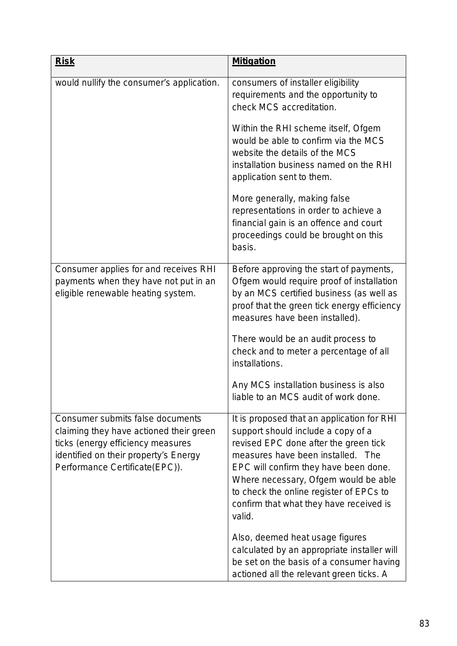| <b>Risk</b>                                                                                                                                                                                 | <b>Mitigation</b>                                                                                                                                                                                                                                                                                                                               |
|---------------------------------------------------------------------------------------------------------------------------------------------------------------------------------------------|-------------------------------------------------------------------------------------------------------------------------------------------------------------------------------------------------------------------------------------------------------------------------------------------------------------------------------------------------|
| would nullify the consumer's application.                                                                                                                                                   | consumers of installer eligibility<br>requirements and the opportunity to<br>check MCS accreditation.                                                                                                                                                                                                                                           |
|                                                                                                                                                                                             | Within the RHI scheme itself, Ofgem<br>would be able to confirm via the MCS<br>website the details of the MCS<br>installation business named on the RHI<br>application sent to them.                                                                                                                                                            |
|                                                                                                                                                                                             | More generally, making false<br>representations in order to achieve a<br>financial gain is an offence and court<br>proceedings could be brought on this<br>basis.                                                                                                                                                                               |
| Consumer applies for and receives RHI<br>payments when they have not put in an<br>eligible renewable heating system.                                                                        | Before approving the start of payments,<br>Ofgem would require proof of installation<br>by an MCS certified business (as well as<br>proof that the green tick energy efficiency<br>measures have been installed).                                                                                                                               |
|                                                                                                                                                                                             | There would be an audit process to<br>check and to meter a percentage of all<br>installations.                                                                                                                                                                                                                                                  |
|                                                                                                                                                                                             | Any MCS installation business is also<br>liable to an MCS audit of work done.                                                                                                                                                                                                                                                                   |
| Consumer submits false documents<br>claiming they have actioned their green<br>ticks (energy efficiency measures<br>identified on their property's Energy<br>Performance Certificate(EPC)). | It is proposed that an application for RHI<br>support should include a copy of a<br>revised EPC done after the green tick<br>measures have been installed. The<br>EPC will confirm they have been done.<br>Where necessary, Ofgem would be able<br>to check the online register of EPCs to<br>confirm that what they have received is<br>valid. |
|                                                                                                                                                                                             | Also, deemed heat usage figures<br>calculated by an appropriate installer will<br>be set on the basis of a consumer having<br>actioned all the relevant green ticks. A                                                                                                                                                                          |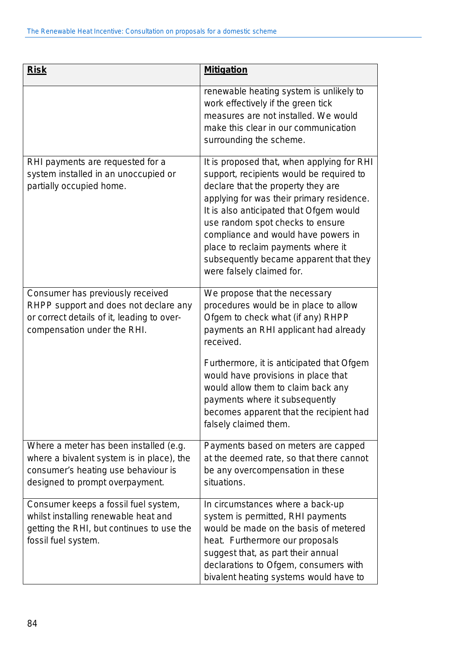| <b>Risk</b>                                                                                                                                                   | <b>Mitigation</b>                                                                                                                                                                                                                                                                                                                                                                                            |
|---------------------------------------------------------------------------------------------------------------------------------------------------------------|--------------------------------------------------------------------------------------------------------------------------------------------------------------------------------------------------------------------------------------------------------------------------------------------------------------------------------------------------------------------------------------------------------------|
|                                                                                                                                                               | renewable heating system is unlikely to<br>work effectively if the green tick<br>measures are not installed. We would<br>make this clear in our communication<br>surrounding the scheme.                                                                                                                                                                                                                     |
| RHI payments are requested for a<br>system installed in an unoccupied or<br>partially occupied home.                                                          | It is proposed that, when applying for RHI<br>support, recipients would be required to<br>declare that the property they are<br>applying for was their primary residence.<br>It is also anticipated that Ofgem would<br>use random spot checks to ensure<br>compliance and would have powers in<br>place to reclaim payments where it<br>subsequently became apparent that they<br>were falsely claimed for. |
| Consumer has previously received<br>RHPP support and does not declare any<br>or correct details of it, leading to over-<br>compensation under the RHI.        | We propose that the necessary<br>procedures would be in place to allow<br>Ofgem to check what (if any) RHPP<br>payments an RHI applicant had already<br>received.<br>Furthermore, it is anticipated that Ofgem<br>would have provisions in place that<br>would allow them to claim back any<br>payments where it subsequently<br>becomes apparent that the recipient had<br>falsely claimed them.            |
| Where a meter has been installed (e.g.<br>where a bivalent system is in place), the<br>consumer's heating use behaviour is<br>designed to prompt overpayment. | Payments based on meters are capped<br>at the deemed rate, so that there cannot<br>be any overcompensation in these<br>situations.                                                                                                                                                                                                                                                                           |
| Consumer keeps a fossil fuel system,<br>whilst installing renewable heat and<br>getting the RHI, but continues to use the<br>fossil fuel system.              | In circumstances where a back-up<br>system is permitted, RHI payments<br>would be made on the basis of metered<br>heat. Furthermore our proposals<br>suggest that, as part their annual<br>declarations to Ofgem, consumers with<br>bivalent heating systems would have to                                                                                                                                   |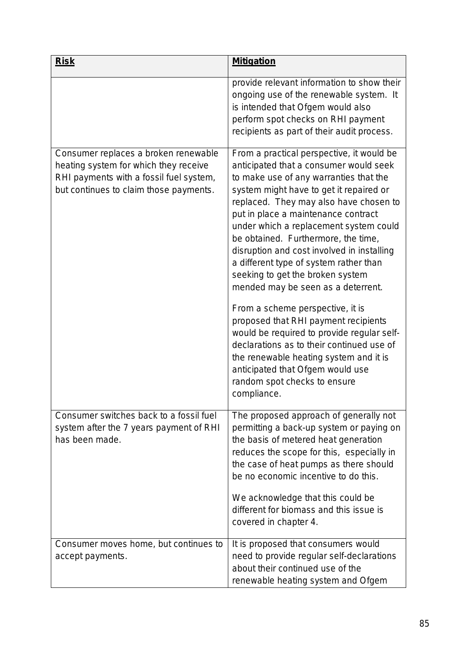| <b>Risk</b>                                                                                                                                                        | <b>Mitigation</b>                                                                                                                                                                                                                                                                                                                                                                                                                                                                                            |
|--------------------------------------------------------------------------------------------------------------------------------------------------------------------|--------------------------------------------------------------------------------------------------------------------------------------------------------------------------------------------------------------------------------------------------------------------------------------------------------------------------------------------------------------------------------------------------------------------------------------------------------------------------------------------------------------|
|                                                                                                                                                                    | provide relevant information to show their<br>ongoing use of the renewable system. It<br>is intended that Ofgem would also<br>perform spot checks on RHI payment<br>recipients as part of their audit process.                                                                                                                                                                                                                                                                                               |
| Consumer replaces a broken renewable<br>heating system for which they receive<br>RHI payments with a fossil fuel system,<br>but continues to claim those payments. | From a practical perspective, it would be<br>anticipated that a consumer would seek<br>to make use of any warranties that the<br>system might have to get it repaired or<br>replaced. They may also have chosen to<br>put in place a maintenance contract<br>under which a replacement system could<br>be obtained. Furthermore, the time,<br>disruption and cost involved in installing<br>a different type of system rather than<br>seeking to get the broken system<br>mended may be seen as a deterrent. |
|                                                                                                                                                                    | From a scheme perspective, it is<br>proposed that RHI payment recipients<br>would be required to provide regular self-<br>declarations as to their continued use of<br>the renewable heating system and it is<br>anticipated that Ofgem would use<br>random spot checks to ensure<br>compliance.                                                                                                                                                                                                             |
| Consumer switches back to a fossil fuel<br>system after the 7 years payment of RHI<br>has been made.                                                               | The proposed approach of generally not<br>permitting a back-up system or paying on<br>the basis of metered heat generation<br>reduces the scope for this, especially in<br>the case of heat pumps as there should<br>be no economic incentive to do this.                                                                                                                                                                                                                                                    |
|                                                                                                                                                                    | We acknowledge that this could be<br>different for biomass and this issue is<br>covered in chapter 4.                                                                                                                                                                                                                                                                                                                                                                                                        |
| Consumer moves home, but continues to<br>accept payments.                                                                                                          | It is proposed that consumers would<br>need to provide regular self-declarations<br>about their continued use of the<br>renewable heating system and Ofgem                                                                                                                                                                                                                                                                                                                                                   |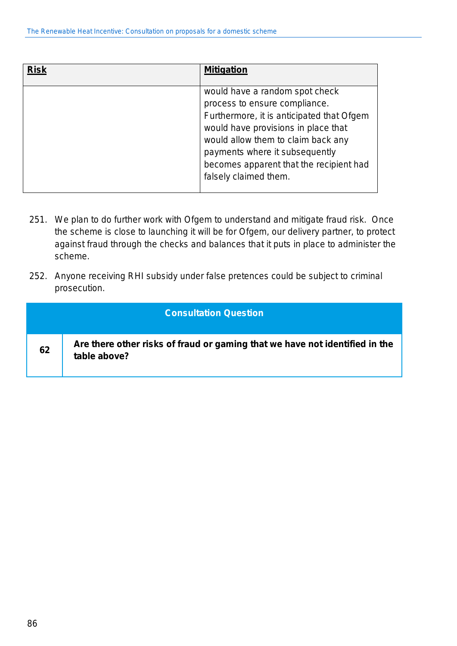| <b>Risk</b> | <b>Mitigation</b>                                                                                                                                                                                                                                                                               |
|-------------|-------------------------------------------------------------------------------------------------------------------------------------------------------------------------------------------------------------------------------------------------------------------------------------------------|
|             | would have a random spot check<br>process to ensure compliance.<br>Furthermore, it is anticipated that Ofgem<br>would have provisions in place that<br>would allow them to claim back any<br>payments where it subsequently<br>becomes apparent that the recipient had<br>falsely claimed them. |

- 251. We plan to do further work with Ofgem to understand and mitigate fraud risk. Once the scheme is close to launching it will be for Ofgem, our delivery partner, to protect against fraud through the checks and balances that it puts in place to administer the scheme.
- 252. Anyone receiving RHI subsidy under false pretences could be subject to criminal prosecution.

|    | <b>Consultation Question</b>                                                                |
|----|---------------------------------------------------------------------------------------------|
| 62 | Are there other risks of fraud or gaming that we have not identified in the<br>table above? |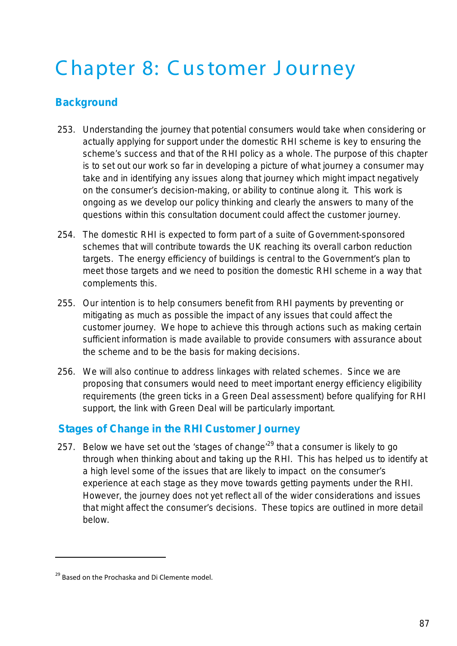## C hapter 8: C us tomer J ourney

## **Background**

- 253. Understanding the journey that potential consumers would take when considering or actually applying for support under the domestic RHI scheme is key to ensuring the scheme's success and that of the RHI policy as a whole. The purpose of this chapter is to set out our work so far in developing a picture of what journey a consumer may take and in identifying any issues along that journey which might impact negatively on the consumer's decision-making, or ability to continue along it. This work is ongoing as we develop our policy thinking and clearly the answers to many of the questions within this consultation document could affect the customer journey.
- 254. The domestic RHI is expected to form part of a suite of Government-sponsored schemes that will contribute towards the UK reaching its overall carbon reduction targets. The energy efficiency of buildings is central to the Government's plan to meet those targets and we need to position the domestic RHI scheme in a way that complements this.
- 255. Our intention is to help consumers benefit from RHI payments by preventing or mitigating as much as possible the impact of any issues that could affect the customer journey. We hope to achieve this through actions such as making certain sufficient information is made available to provide consumers with assurance about the scheme and to be the basis for making decisions.
- 256. We will also continue to address linkages with related schemes. Since we are proposing that consumers would need to meet important energy efficiency eligibility requirements (the green ticks in a Green Deal assessment) before qualifying for RHI support, the link with Green Deal will be particularly important.

## **Stages of Change in the RHI Customer Journey**

257. Below we have set out the 'stages of change'<sup>29</sup> that a consumer is likely to go through when thinking about and taking up the RHI. This has helped us to identify at a high level some of the issues that are likely to impact on the consumer's experience at each stage as they move towards getting payments under the RHI. However, the journey does not yet reflect all of the wider considerations and issues that might affect the consumer's decisions. These topics are outlined in more detail below.

1

<sup>&</sup>lt;sup>29</sup> Based on the Prochaska and Di Clemente model.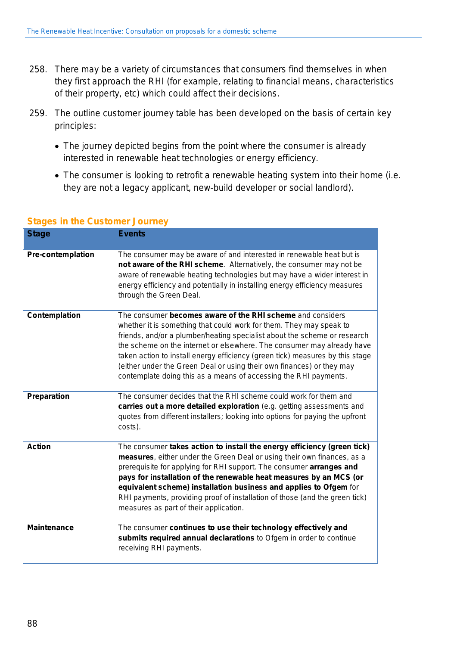- 258. There may be a variety of circumstances that consumers find themselves in when they first approach the RHI (for example, relating to financial means, characteristics of their property, etc) which could affect their decisions.
- 259. The outline customer journey table has been developed on the basis of certain key principles:
	- The journey depicted begins from the point where the consumer is already interested in renewable heat technologies or energy efficiency.
	- The consumer is looking to retrofit a renewable heating system into their home (i.e. they are not a legacy applicant, new-build developer or social landlord).

| <b>Stage</b>             | <b>Events</b>                                                                                                                                                                                                                                                                                                                                                                                                                                                                                                          |
|--------------------------|------------------------------------------------------------------------------------------------------------------------------------------------------------------------------------------------------------------------------------------------------------------------------------------------------------------------------------------------------------------------------------------------------------------------------------------------------------------------------------------------------------------------|
| <b>Pre-contemplation</b> | The consumer may be aware of and interested in renewable heat but is<br>not aware of the RHI scheme. Alternatively, the consumer may not be<br>aware of renewable heating technologies but may have a wider interest in<br>energy efficiency and potentially in installing energy efficiency measures<br>through the Green Deal.                                                                                                                                                                                       |
| Contemplation            | The consumer becomes aware of the RHI scheme and considers<br>whether it is something that could work for them. They may speak to<br>friends, and/or a plumber/heating specialist about the scheme or research<br>the scheme on the internet or elsewhere. The consumer may already have<br>taken action to install energy efficiency (green tick) measures by this stage<br>(either under the Green Deal or using their own finances) or they may<br>contemplate doing this as a means of accessing the RHI payments. |
| <b>Preparation</b>       | The consumer decides that the RHI scheme could work for them and<br>carries out a more detailed exploration (e.g. getting assessments and<br>quotes from different installers; looking into options for paying the upfront<br>costs).                                                                                                                                                                                                                                                                                  |
| <b>Action</b>            | The consumer takes action to install the energy efficiency (green tick)<br>measures, either under the Green Deal or using their own finances, as a<br>prerequisite for applying for RHI support. The consumer arranges and<br>pays for installation of the renewable heat measures by an MCS (or<br>equivalent scheme) installation business and applies to Ofgem for<br>RHI payments, providing proof of installation of those (and the green tick)<br>measures as part of their application.                         |
| <b>Maintenance</b>       | The consumer continues to use their technology effectively and<br>submits required annual declarations to Ofgem in order to continue<br>receiving RHI payments.                                                                                                                                                                                                                                                                                                                                                        |

#### **Stages in the Customer Journey**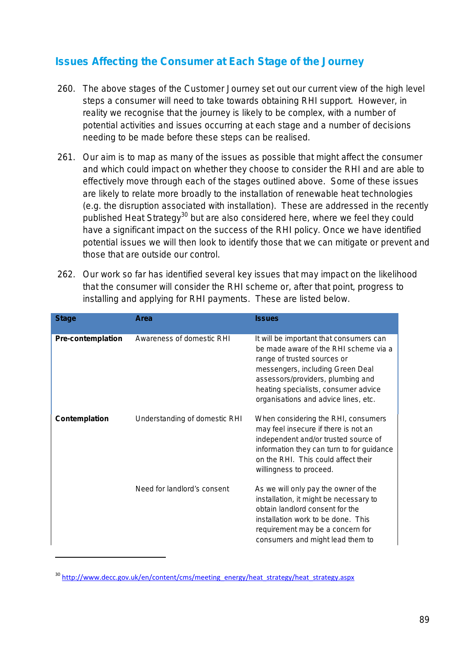## **Issues Affecting the Consumer at Each Stage of the Journey**

- 260. The above stages of the Customer Journey set out our current view of the high level steps a consumer will need to take towards obtaining RHI support. However, in reality we recognise that the journey is likely to be complex, with a number of potential activities and issues occurring at each stage and a number of decisions needing to be made before these steps can be realised.
- 261. Our aim is to map as many of the issues as possible that might affect the consumer and which could impact on whether they choose to consider the RHI and are able to effectively move through each of the stages outlined above. Some of these issues are likely to relate more broadly to the installation of renewable heat technologies (e.g. the disruption associated with installation). These are addressed in the recently published Heat Strategy<sup>30</sup> but are also considered here, where we feel they could have a significant impact on the success of the RHI policy. Once we have identified potential issues we will then look to identify those that we can mitigate or prevent and those that are outside our control.
- 262. Our work so far has identified several key issues that may impact on the likelihood that the consumer will consider the RHI scheme or, after that point, progress to installing and applying for RHI payments. These are listed below.

| <b>Stage</b>             | Area                          | <b>Issues</b>                                                                                                                                                                                                                                                            |
|--------------------------|-------------------------------|--------------------------------------------------------------------------------------------------------------------------------------------------------------------------------------------------------------------------------------------------------------------------|
| <b>Pre-contemplation</b> | Awareness of domestic RHI     | It will be important that consumers can<br>be made aware of the RHI scheme via a<br>range of trusted sources or<br>messengers, including Green Deal<br>assessors/providers, plumbing and<br>heating specialists, consumer advice<br>organisations and advice lines, etc. |
| Contemplation            | Understanding of domestic RHI | When considering the RHI, consumers<br>may feel insecure if there is not an<br>independent and/or trusted source of<br>information they can turn to for guidance<br>on the RHI. This could affect their<br>willingness to proceed.                                       |
|                          | Need for landlord's consent   | As we will only pay the owner of the<br>installation, it might be necessary to<br>obtain landlord consent for the<br>installation work to be done. This<br>requirement may be a concern for<br>consumers and might lead them to                                          |

<sup>&</sup>lt;sup>30</sup> [http://www.decc.gov.uk/en/content/cms/meeting\\_energy/heat\\_strategy/heat\\_strategy.aspx](http://www.decc.gov.uk/en/content/cms/meeting_energy/heat_strategy/heat_strategy.aspx)

1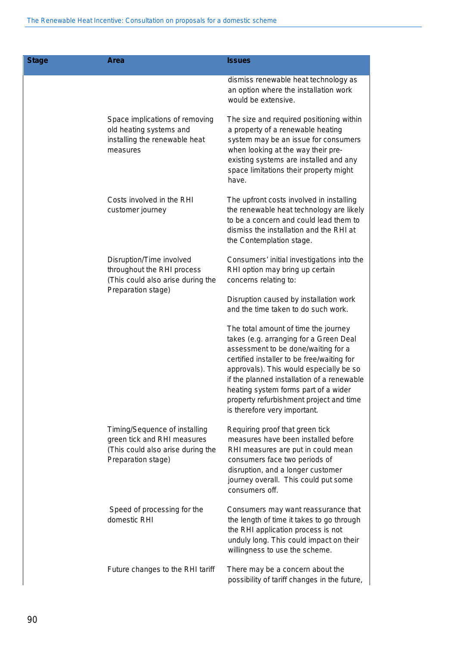| <b>Stage</b> | Area                                                                                                                    | <b>Issues</b>                                                                                                                                                                                                                                                                                                                                                                   |
|--------------|-------------------------------------------------------------------------------------------------------------------------|---------------------------------------------------------------------------------------------------------------------------------------------------------------------------------------------------------------------------------------------------------------------------------------------------------------------------------------------------------------------------------|
|              |                                                                                                                         | dismiss renewable heat technology as<br>an option where the installation work<br>would be extensive.                                                                                                                                                                                                                                                                            |
|              | Space implications of removing<br>old heating systems and<br>installing the renewable heat<br>measures                  | The size and required positioning within<br>a property of a renewable heating<br>system may be an issue for consumers<br>when looking at the way their pre-<br>existing systems are installed and any<br>space limitations their property might<br>have.                                                                                                                        |
|              | Costs involved in the RHI<br>customer journey                                                                           | The upfront costs involved in installing<br>the renewable heat technology are likely<br>to be a concern and could lead them to<br>dismiss the installation and the RHI at<br>the Contemplation stage.                                                                                                                                                                           |
|              | Disruption/Time involved<br>throughout the RHI process<br>(This could also arise during the                             | Consumers' initial investigations into the<br>RHI option may bring up certain<br>concerns relating to:                                                                                                                                                                                                                                                                          |
|              | Preparation stage)                                                                                                      | Disruption caused by installation work<br>and the time taken to do such work.                                                                                                                                                                                                                                                                                                   |
|              |                                                                                                                         | The total amount of time the journey<br>takes (e.g. arranging for a Green Deal<br>assessment to be done/waiting for a<br>certified installer to be free/waiting for<br>approvals). This would especially be so<br>if the planned installation of a renewable<br>heating system forms part of a wider<br>property refurbishment project and time<br>is therefore very important. |
|              | Timing/Sequence of installing<br>green tick and RHI measures<br>(This could also arise during the<br>Preparation stage) | Requiring proof that green tick<br>measures have been installed before<br>RHI measures are put in could mean<br>consumers face two periods of<br>disruption, and a longer customer<br>journey overall. This could put some<br>consumers off.                                                                                                                                    |
|              | Speed of processing for the<br>domestic RHI                                                                             | Consumers may want reassurance that<br>the length of time it takes to go through<br>the RHI application process is not<br>unduly long. This could impact on their<br>willingness to use the scheme.                                                                                                                                                                             |
|              | Future changes to the RHI tariff                                                                                        | There may be a concern about the<br>possibility of tariff changes in the future,                                                                                                                                                                                                                                                                                                |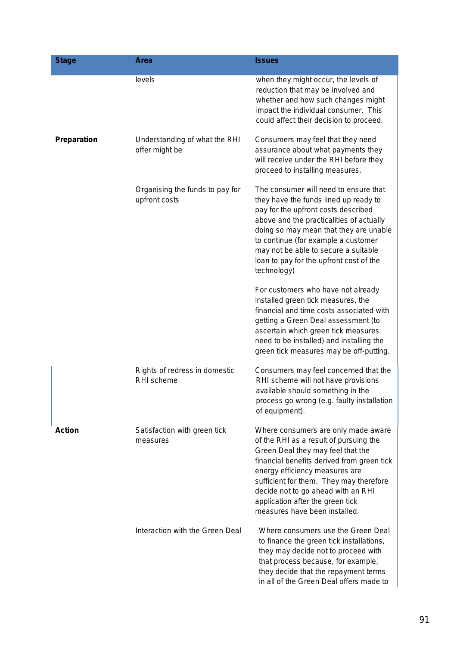| <b>Stage</b>  | Area                                             | <b>Issues</b>                                                                                                                                                                                                                                                                                                                                            |
|---------------|--------------------------------------------------|----------------------------------------------------------------------------------------------------------------------------------------------------------------------------------------------------------------------------------------------------------------------------------------------------------------------------------------------------------|
|               | levels                                           | when they might occur, the levels of<br>reduction that may be involved and<br>whether and how such changes might<br>impact the individual consumer. This<br>could affect their decision to proceed.                                                                                                                                                      |
| Preparation   | Understanding of what the RHI<br>offer might be  | Consumers may feel that they need<br>assurance about what payments they<br>will receive under the RHI before they<br>proceed to installing measures.                                                                                                                                                                                                     |
|               | Organising the funds to pay for<br>upfront costs | The consumer will need to ensure that<br>they have the funds lined up ready to<br>pay for the upfront costs described<br>above and the practicalities of actually<br>doing so may mean that they are unable<br>to continue (for example a customer<br>may not be able to secure a suitable<br>loan to pay for the upfront cost of the<br>technology)     |
|               |                                                  | For customers who have not already<br>installed green tick measures, the<br>financial and time costs associated with<br>getting a Green Deal assessment (to<br>ascertain which green tick measures<br>need to be installed) and installing the<br>green tick measures may be off-putting.                                                                |
|               | Rights of redress in domestic<br>RHI scheme      | Consumers may feel concerned that the<br>RHI scheme will not have provisions<br>available should something in the<br>process go wrong (e.g. faulty installation<br>of equipment).                                                                                                                                                                        |
| <b>Action</b> | Satisfaction with green tick<br>measures         | Where consumers are only made aware<br>of the RHI as a result of pursuing the<br>Green Deal they may feel that the<br>financial benefits derived from green tick<br>energy efficiency measures are<br>sufficient for them. They may therefore<br>decide not to go ahead with an RHI<br>application after the green tick<br>measures have been installed. |
|               | Interaction with the Green Deal                  | Where consumers use the Green Deal<br>to finance the green tick installations,<br>they may decide not to proceed with<br>that process because, for example,<br>they decide that the repayment terms<br>in all of the Green Deal offers made to                                                                                                           |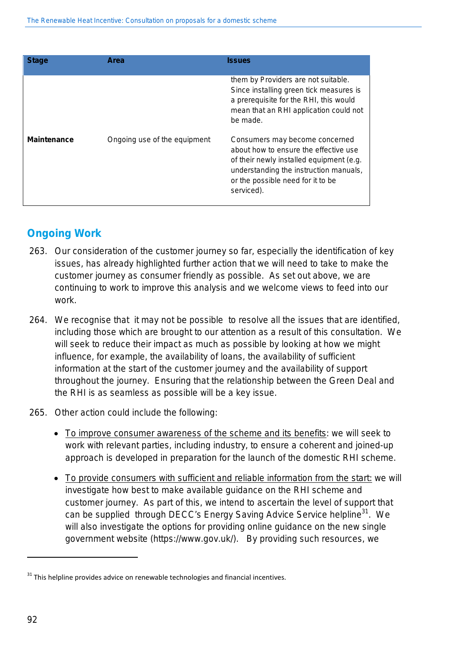| <b>Stage</b>       | Area                         | <b>Issues</b>                                                                                                                                                                                                    |
|--------------------|------------------------------|------------------------------------------------------------------------------------------------------------------------------------------------------------------------------------------------------------------|
|                    |                              | them by Providers are not suitable.<br>Since installing green tick measures is<br>a prerequisite for the RHI, this would<br>mean that an RHI application could not<br>be made.                                   |
| <b>Maintenance</b> | Ongoing use of the equipment | Consumers may become concerned<br>about how to ensure the effective use<br>of their newly installed equipment (e.g.<br>understanding the instruction manuals,<br>or the possible need for it to be<br>serviced). |

## **Ongoing Work**

- 263. Our consideration of the customer journey so far, especially the identification of key issues, has already highlighted further action that we will need to take to make the customer journey as consumer friendly as possible. As set out above, we are continuing to work to improve this analysis and we welcome views to feed into our work.
- 264. We recognise that it may not be possible to resolve all the issues that are identified, including those which are brought to our attention as a result of this consultation. We will seek to reduce their impact as much as possible by looking at how we might influence, for example, the availability of loans, the availability of sufficient information at the start of the customer journey and the availability of support throughout the journey. Ensuring that the relationship between the Green Deal and the RHI is as seamless as possible will be a key issue.
- 265. Other action could include the following:
	- To improve consumer awareness of the scheme and its benefits: we will seek to work with relevant parties, including industry, to ensure a coherent and joined-up approach is developed in preparation for the launch of the domestic RHI scheme.
	- To provide consumers with sufficient and reliable information from the start: we will investigate how best to make available guidance on the RHI scheme and customer journey. As part of this, we intend to ascertain the level of support that can be supplied through DECC's Energy Saving Advice Service helpline<sup>31</sup>. We will also investigate the options for providing online guidance on the new single government website (https://www.gov.uk/). By providing such resources, we

l

 $31$  This helpline provides advice on renewable technologies and financial incentives.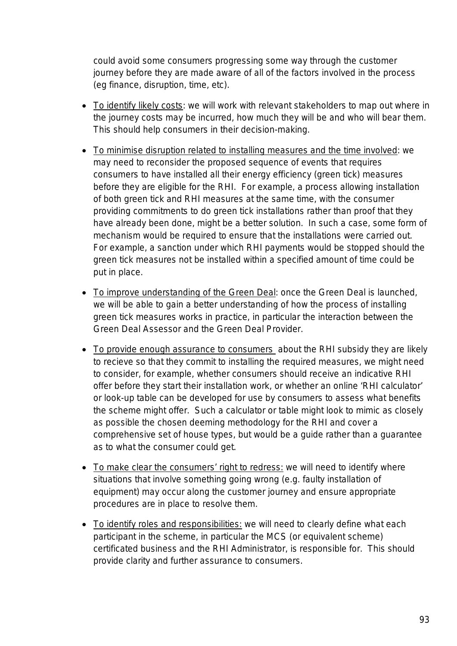could avoid some consumers progressing some way through the customer journey before they are made aware of all of the factors involved in the process (eg finance, disruption, time, etc).

- To identify likely costs: we will work with relevant stakeholders to map out where in the journey costs may be incurred, how much they will be and who will bear them. This should help consumers in their decision-making.
- To minimise disruption related to installing measures and the time involved: we may need to reconsider the proposed sequence of events that requires consumers to have installed all their energy efficiency (green tick) measures before they are eligible for the RHI. For example, a process allowing installation of both green tick and RHI measures at the same time, with the consumer providing commitments to do green tick installations rather than proof that they have already been done, might be a better solution. In such a case, some form of mechanism would be required to ensure that the installations were carried out. For example, a sanction under which RHI payments would be stopped should the green tick measures not be installed within a specified amount of time could be put in place.
- To improve understanding of the Green Deal: once the Green Deal is launched, we will be able to gain a better understanding of how the process of installing green tick measures works in practice, in particular the interaction between the Green Deal Assessor and the Green Deal Provider.
- To provide enough assurance to consumers about the RHI subsidy they are likely to recieve so that they commit to installing the required measures, we might need to consider, for example, whether consumers should receive an indicative RHI offer before they start their installation work, or whether an online 'RHI calculator' or look-up table can be developed for use by consumers to assess what benefits the scheme might offer. Such a calculator or table might look to mimic as closely as possible the chosen deeming methodology for the RHI and cover a comprehensive set of house types, but would be a guide rather than a guarantee as to what the consumer could get.
- To make clear the consumers' right to redress: we will need to identify where situations that involve something going wrong (e.g. faulty installation of equipment) may occur along the customer journey and ensure appropriate procedures are in place to resolve them.
- To identify roles and responsibilities: we will need to clearly define what each participant in the scheme, in particular the MCS (or equivalent scheme) certificated business and the RHI Administrator, is responsible for. This should provide clarity and further assurance to consumers.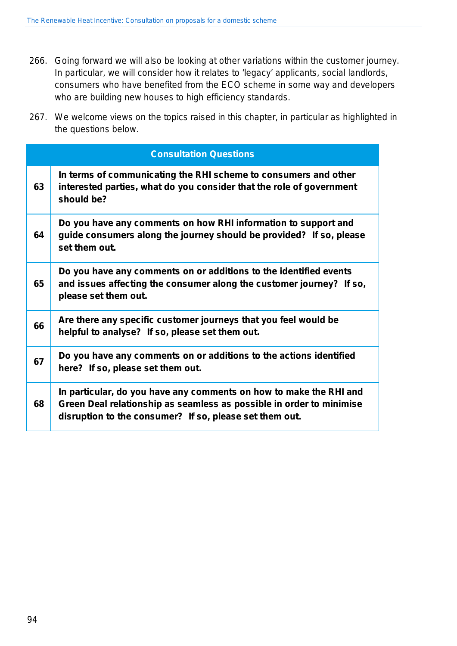- 266. Going forward we will also be looking at other variations within the customer journey. In particular, we will consider how it relates to 'legacy' applicants, social landlords, consumers who have benefited from the ECO scheme in some way and developers who are building new houses to high efficiency standards.
- 267. We welcome views on the topics raised in this chapter, in particular as highlighted in the questions below.

|    | <b>Consultation Questions</b>                                                                                                                                                                         |
|----|-------------------------------------------------------------------------------------------------------------------------------------------------------------------------------------------------------|
| 63 | In terms of communicating the RHI scheme to consumers and other<br>interested parties, what do you consider that the role of government<br>should be?                                                 |
| 64 | Do you have any comments on how RHI information to support and<br>guide consumers along the journey should be provided? If so, please<br>set them out.                                                |
| 65 | Do you have any comments on or additions to the identified events<br>and issues affecting the consumer along the customer journey? If so,<br>please set them out.                                     |
| 66 | Are there any specific customer journeys that you feel would be<br>helpful to analyse? If so, please set them out.                                                                                    |
| 67 | Do you have any comments on or additions to the actions identified<br>here? If so, please set them out.                                                                                               |
| 68 | In particular, do you have any comments on how to make the RHI and<br>Green Deal relationship as seamless as possible in order to minimise<br>disruption to the consumer? If so, please set them out. |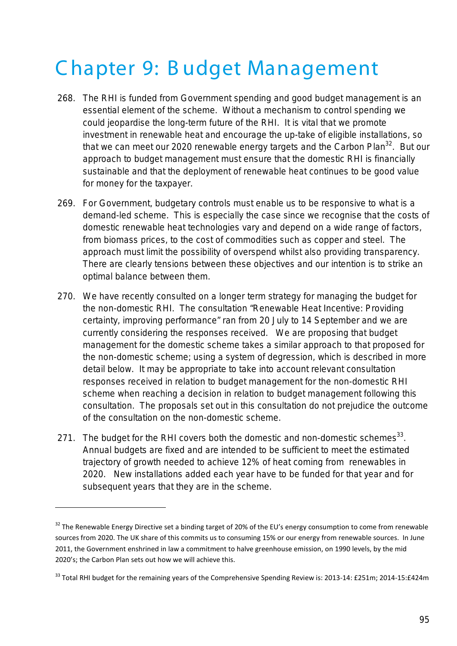## C hapter 9: B udget Management

- 268. The RHI is funded from Government spending and good budget management is an essential element of the scheme. Without a mechanism to control spending we could jeopardise the long-term future of the RHI. It is vital that we promote investment in renewable heat and encourage the up-take of eligible installations, so that we can meet our 2020 renewable energy targets and the Carbon Plan<sup>32</sup>. But our approach to budget management must ensure that the domestic RHI is financially sustainable and that the deployment of renewable heat continues to be good value for money for the taxpayer.
- 269. For Government, budgetary controls must enable us to be responsive to what is a demand-led scheme. This is especially the case since we recognise that the costs of domestic renewable heat technologies vary and depend on a wide range of factors, from biomass prices, to the cost of commodities such as copper and steel. The approach must limit the possibility of overspend whilst also providing transparency. There are clearly tensions between these objectives and our intention is to strike an optimal balance between them.
- 270. We have recently consulted on a longer term strategy for managing the budget for the non-domestic RHI. The consultation "Renewable Heat Incentive: Providing certainty, improving performance" ran from 20 July to 14 September and we are currently considering the responses received. We are proposing that budget management for the domestic scheme takes a similar approach to that proposed for the non-domestic scheme; using a system of degression, which is described in more detail below. It may be appropriate to take into account relevant consultation responses received in relation to budget management for the non-domestic RHI scheme when reaching a decision in relation to budget management following this consultation. The proposals set out in this consultation do not prejudice the outcome of the consultation on the non-domestic scheme.
- 271. The budget for the RHI covers both the domestic and non-domestic schemes<sup>33</sup>. Annual budgets are fixed and are intended to be sufficient to meet the estimated trajectory of growth needed to achieve 12% of heat coming from renewables in 2020. New installations added each year have to be funded for that year and for subsequent years that they are in the scheme.

<u>.</u>

 $32$  The Renewable Energy Directive set a binding target of 20% of the EU's energy consumption to come from renewable sources from 2020. The UK share of this commits us to consuming 15% or our energy from renewable sources. In June 2011, the Government enshrined in law a commitment to halve greenhouse emission, on 1990 levels, by the mid 2020's; the Carbon Plan sets out how we will achieve this.

<sup>&</sup>lt;sup>33</sup> Total RHI budget for the remaining years of the Comprehensive Spending Review is: 2013-14: £251m; 2014-15:£424m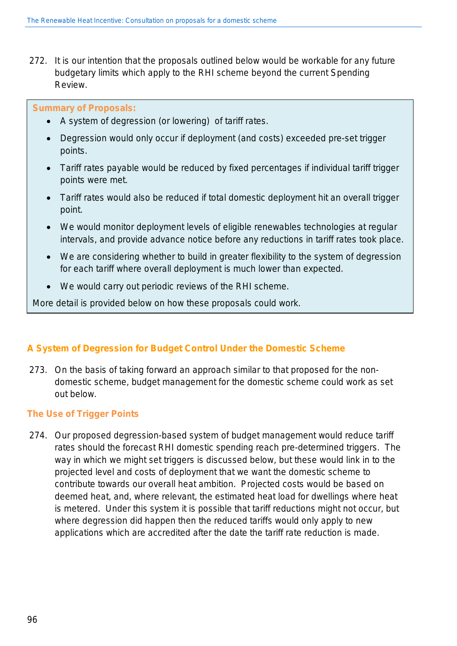272. It is our intention that the proposals outlined below would be workable for any future budgetary limits which apply to the RHI scheme beyond the current Spending Review.

#### **Summary of Proposals:**

- A system of degression (or lowering) of tariff rates.
- Degression would only occur if deployment (and costs) exceeded pre-set trigger points.
- Tariff rates payable would be reduced by fixed percentages if individual tariff trigger points were met.
- Tariff rates would also be reduced if total domestic deployment hit an overall trigger point.
- We would monitor deployment levels of eligible renewables technologies at regular intervals, and provide advance notice before any reductions in tariff rates took place.
- We are considering whether to build in greater flexibility to the system of degression for each tariff where overall deployment is much lower than expected.
- We would carry out periodic reviews of the RHI scheme.

More detail is provided below on how these proposals could work.

### **A System of Degression for Budget Control Under the Domestic Scheme**

273. On the basis of taking forward an approach similar to that proposed for the nondomestic scheme, budget management for the domestic scheme could work as set out below.

#### **The Use of Trigger Points**

274. Our proposed degression-based system of budget management would reduce tariff rates should the forecast RHI domestic spending reach pre-determined triggers. The way in which we might set triggers is discussed below, but these would link in to the projected level and costs of deployment that we want the domestic scheme to contribute towards our overall heat ambition. Projected costs would be based on deemed heat, and, where relevant, the estimated heat load for dwellings where heat is metered. Under this system it is possible that tariff reductions might not occur, but where degression did happen then the reduced tariffs would only apply to new applications which are accredited after the date the tariff rate reduction is made.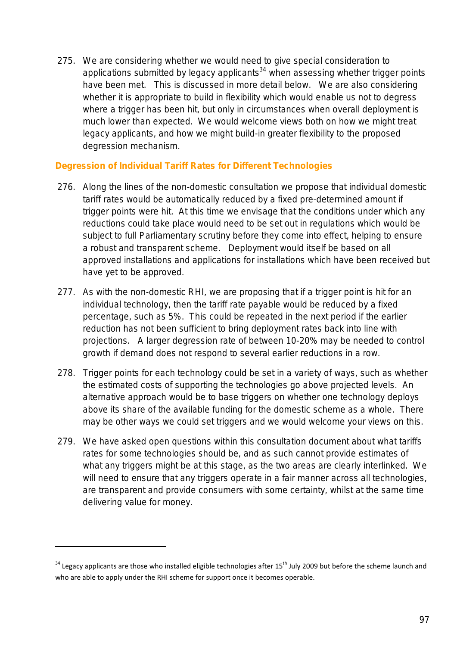275. We are considering whether we would need to give special consideration to applications submitted by legacy applicants<sup>34</sup> when assessing whether trigger points have been met. This is discussed in more detail below. We are also considering whether it is appropriate to build in flexibility which would enable us not to degress where a trigger has been hit, but only in circumstances when overall deployment is much lower than expected. We would welcome views both on how we might treat legacy applicants, and how we might build-in greater flexibility to the proposed degression mechanism.

### **Degression of Individual Tariff Rates for Different Technologies**

- 276. Along the lines of the non-domestic consultation we propose that individual domestic tariff rates would be automatically reduced by a fixed pre-determined amount if trigger points were hit. At this time we envisage that the conditions under which any reductions could take place would need to be set out in regulations which would be subject to full Parliamentary scrutiny before they come into effect, helping to ensure a robust and transparent scheme. Deployment would itself be based on all approved installations and applications for installations which have been received but have yet to be approved.
- 277. As with the non-domestic RHI, we are proposing that if a trigger point is hit for an individual technology, then the tariff rate payable would be reduced by a fixed percentage, such as 5%. This could be repeated in the next period if the earlier reduction has not been sufficient to bring deployment rates back into line with projections. A larger degression rate of between 10-20% may be needed to control growth if demand does not respond to several earlier reductions in a row.
- 278. Trigger points for each technology could be set in a variety of ways, such as whether the estimated costs of supporting the technologies go above projected levels. An alternative approach would be to base triggers on whether one technology deploys above its share of the available funding for the domestic scheme as a whole. There may be other ways we could set triggers and we would welcome your views on this.
- 279. We have asked open questions within this consultation document about what tariffs rates for some technologies should be, and as such cannot provide estimates of what any triggers might be at this stage, as the two areas are clearly interlinked. We will need to ensure that any triggers operate in a fair manner across all technologies, are transparent and provide consumers with some certainty, whilst at the same time delivering value for money.

<u>.</u>

 $34$  Legacy applicants are those who installed eligible technologies after 15<sup>th</sup> July 2009 but before the scheme launch and who are able to apply under the RHI scheme for support once it becomes operable.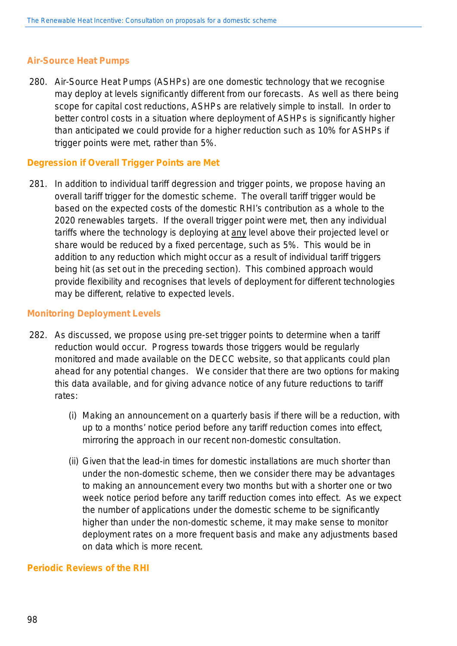#### **Air-Source Heat Pumps**

280. Air-Source Heat Pumps (ASHPs) are one domestic technology that we recognise may deploy at levels significantly different from our forecasts. As well as there being scope for capital cost reductions, ASHPs are relatively simple to install. In order to better control costs in a situation where deployment of ASHPs is significantly higher than anticipated we could provide for a higher reduction such as 10% for ASHPs if trigger points were met, rather than 5%.

#### **Degression if Overall Trigger Points are Met**

281. In addition to individual tariff degression and trigger points, we propose having an overall tariff trigger for the domestic scheme. The overall tariff trigger would be based on the expected costs of the domestic RHI's contribution as a whole to the 2020 renewables targets. If the overall trigger point were met, then any individual tariffs where the technology is deploying at any level above their projected level or share would be reduced by a fixed percentage, such as 5%. This would be in addition to any reduction which might occur as a result of individual tariff triggers being hit (as set out in the preceding section). This combined approach would provide flexibility and recognises that levels of deployment for different technologies may be different, relative to expected levels.

#### **Monitoring Deployment Levels**

- 282. As discussed, we propose using pre-set trigger points to determine when a tariff reduction would occur. Progress towards those triggers would be regularly monitored and made available on the DECC website, so that applicants could plan ahead for any potential changes. We consider that there are two options for making this data available, and for giving advance notice of any future reductions to tariff rates:
	- (i) Making an announcement on a quarterly basis if there will be a reduction, with up to a months' notice period before any tariff reduction comes into effect, mirroring the approach in our recent non-domestic consultation.
	- (ii) Given that the lead-in times for domestic installations are much shorter than under the non-domestic scheme, then we consider there may be advantages to making an announcement every two months but with a shorter one or two week notice period before any tariff reduction comes into effect. As we expect the number of applications under the domestic scheme to be significantly higher than under the non-domestic scheme, it may make sense to monitor deployment rates on a more frequent basis and make any adjustments based on data which is more recent.

#### **Periodic Reviews of the RHI**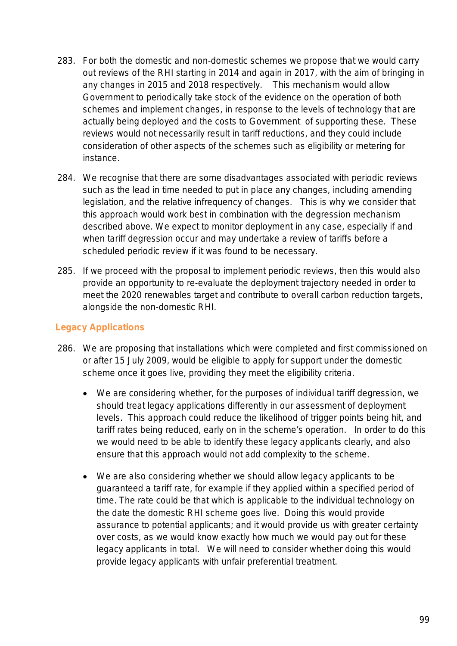- 283. For both the domestic and non-domestic schemes we propose that we would carry out reviews of the RHI starting in 2014 and again in 2017, with the aim of bringing in any changes in 2015 and 2018 respectively. This mechanism would allow Government to periodically take stock of the evidence on the operation of both schemes and implement changes, in response to the levels of technology that are actually being deployed and the costs to Government of supporting these. These reviews would not necessarily result in tariff reductions, and they could include consideration of other aspects of the schemes such as eligibility or metering for instance.
- 284. We recognise that there are some disadvantages associated with periodic reviews such as the lead in time needed to put in place any changes, including amending legislation, and the relative infrequency of changes. This is why we consider that this approach would work best in combination with the degression mechanism described above. We expect to monitor deployment in any case, especially if and when tariff degression occur and may undertake a review of tariffs before a scheduled periodic review if it was found to be necessary.
- 285. If we proceed with the proposal to implement periodic reviews, then this would also provide an opportunity to re-evaluate the deployment trajectory needed in order to meet the 2020 renewables target and contribute to overall carbon reduction targets, alongside the non-domestic RHI.

### **Legacy Applications**

- 286. We are proposing that installations which were completed and first commissioned on or after 15 July 2009, would be eligible to apply for support under the domestic scheme once it goes live, providing they meet the eligibility criteria.
	- We are considering whether, for the purposes of individual tariff degression, we should treat legacy applications differently in our assessment of deployment levels. This approach could reduce the likelihood of trigger points being hit, and tariff rates being reduced, early on in the scheme's operation. In order to do this we would need to be able to identify these legacy applicants clearly, and also ensure that this approach would not add complexity to the scheme.
	- We are also considering whether we should allow legacy applicants to be guaranteed a tariff rate, for example if they applied within a specified period of time. The rate could be that which is applicable to the individual technology on the date the domestic RHI scheme goes live. Doing this would provide assurance to potential applicants; and it would provide us with greater certainty over costs, as we would know exactly how much we would pay out for these legacy applicants in total. We will need to consider whether doing this would provide legacy applicants with unfair preferential treatment.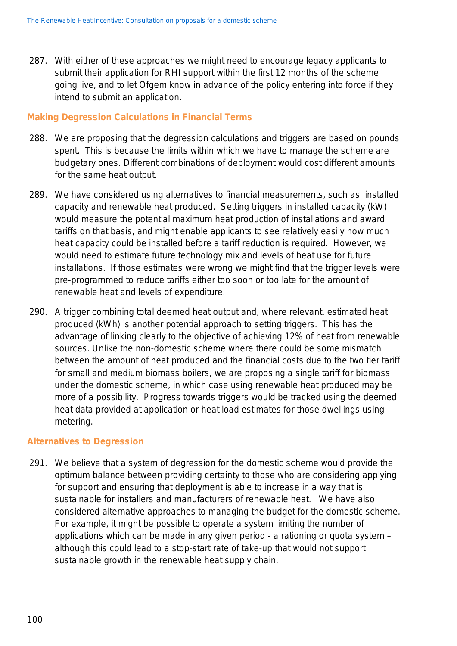287. With either of these approaches we might need to encourage legacy applicants to submit their application for RHI support within the first 12 months of the scheme going live, and to let Ofgem know in advance of the policy entering into force if they intend to submit an application.

#### **Making Degression Calculations in Financial Terms**

- 288. We are proposing that the degression calculations and triggers are based on pounds spent. This is because the limits within which we have to manage the scheme are budgetary ones. Different combinations of deployment would cost different amounts for the same heat output.
- 289. We have considered using alternatives to financial measurements, such as installed capacity and renewable heat produced. Setting triggers in installed capacity (kW) would measure the potential maximum heat production of installations and award tariffs on that basis, and might enable applicants to see relatively easily how much heat capacity could be installed before a tariff reduction is required. However, we would need to estimate future technology mix and levels of heat use for future installations. If those estimates were wrong we might find that the trigger levels were pre-programmed to reduce tariffs either too soon or too late for the amount of renewable heat and levels of expenditure.
- 290. A trigger combining total deemed heat output and, where relevant, estimated heat produced (kWh) is another potential approach to setting triggers. This has the advantage of linking clearly to the objective of achieving 12% of heat from renewable sources. Unlike the non-domestic scheme where there could be some mismatch between the amount of heat produced and the financial costs due to the two tier tariff for small and medium biomass boilers, we are proposing a single tariff for biomass under the domestic scheme, in which case using renewable heat produced may be more of a possibility. Progress towards triggers would be tracked using the deemed heat data provided at application or heat load estimates for those dwellings using metering.

#### **Alternatives to Degression**

291. We believe that a system of degression for the domestic scheme would provide the optimum balance between providing certainty to those who are considering applying for support and ensuring that deployment is able to increase in a way that is sustainable for installers and manufacturers of renewable heat. We have also considered alternative approaches to managing the budget for the domestic scheme. For example, it might be possible to operate a system limiting the number of applications which can be made in any given period - a rationing or quota system – although this could lead to a stop-start rate of take-up that would not support sustainable growth in the renewable heat supply chain.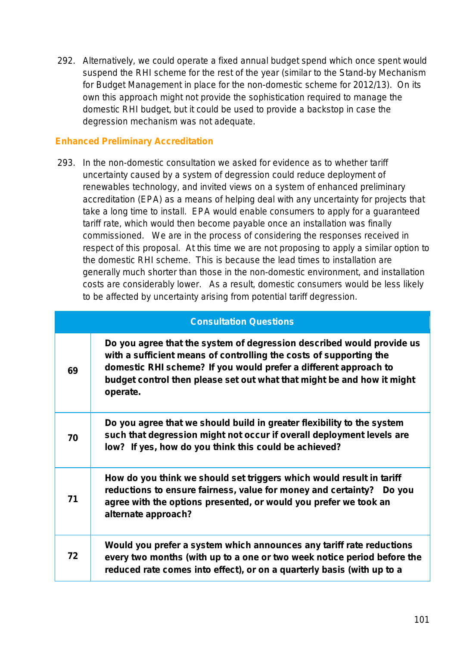292. Alternatively, we could operate a fixed annual budget spend which once spent would suspend the RHI scheme for the rest of the year (similar to the Stand-by Mechanism for Budget Management in place for the non-domestic scheme for 2012/13). On its own this approach might not provide the sophistication required to manage the domestic RHI budget, but it could be used to provide a backstop in case the degression mechanism was not adequate.

### **Enhanced Preliminary Accreditation**

293. In the non-domestic consultation we asked for evidence as to whether tariff uncertainty caused by a system of degression could reduce deployment of renewables technology, and invited views on a system of enhanced preliminary accreditation (EPA) as a means of helping deal with any uncertainty for projects that take a long time to install. EPA would enable consumers to apply for a guaranteed tariff rate, which would then become payable once an installation was finally commissioned. We are in the process of considering the responses received in respect of this proposal. At this time we are not proposing to apply a similar option to the domestic RHI scheme. This is because the lead times to installation are generally much shorter than those in the non-domestic environment, and installation costs are considerably lower. As a result, domestic consumers would be less likely to be affected by uncertainty arising from potential tariff degression.

|    | <b>Consultation Questions</b>                                                                                                                                                                                                                                                                         |
|----|-------------------------------------------------------------------------------------------------------------------------------------------------------------------------------------------------------------------------------------------------------------------------------------------------------|
| 69 | Do you agree that the system of degression described would provide us<br>with a sufficient means of controlling the costs of supporting the<br>domestic RHI scheme? If you would prefer a different approach to<br>budget control then please set out what that might be and how it might<br>operate. |
| 70 | Do you agree that we should build in greater flexibility to the system<br>such that degression might not occur if overall deployment levels are<br>low? If yes, how do you think this could be achieved?                                                                                              |
| 71 | How do you think we should set triggers which would result in tariff<br>reductions to ensure fairness, value for money and certainty? Do you<br>agree with the options presented, or would you prefer we took an<br>alternate approach?                                                               |
| 72 | Would you prefer a system which announces any tariff rate reductions<br>every two months (with up to a one or two week notice period before the<br>reduced rate comes into effect), or on a quarterly basis (with up to a                                                                             |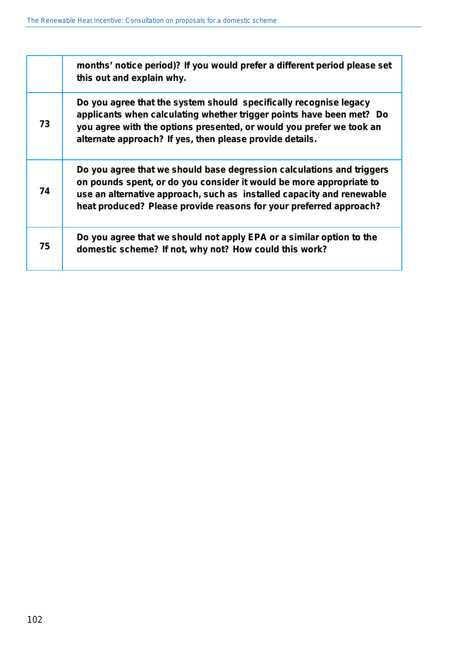|    | months' notice period)? If you would prefer a different period please set<br>this out and explain why.                                                                                                                                                                                      |
|----|---------------------------------------------------------------------------------------------------------------------------------------------------------------------------------------------------------------------------------------------------------------------------------------------|
| 73 | Do you agree that the system should specifically recognise legacy<br>applicants when calculating whether trigger points have been met? Do<br>you agree with the options presented, or would you prefer we took an<br>alternate approach? If yes, then please provide details.               |
| 74 | Do you agree that we should base degression calculations and triggers<br>on pounds spent, or do you consider it would be more appropriate to<br>use an alternative approach, such as installed capacity and renewable<br>heat produced? Please provide reasons for your preferred approach? |
| 75 | Do you agree that we should not apply EPA or a similar option to the<br>domestic scheme? If not, why not? How could this work?                                                                                                                                                              |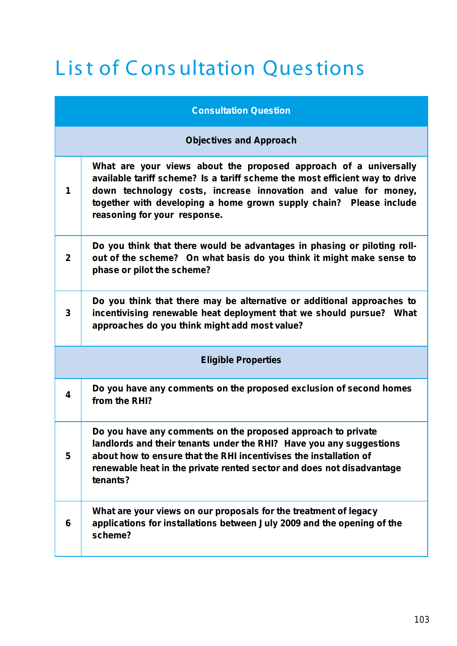# List of Consultation Questions

|                | <b>Consultation Question</b>                                                                                                                                                                                                                                                                                             |
|----------------|--------------------------------------------------------------------------------------------------------------------------------------------------------------------------------------------------------------------------------------------------------------------------------------------------------------------------|
|                | <b>Objectives and Approach</b>                                                                                                                                                                                                                                                                                           |
| 1              | What are your views about the proposed approach of a universally<br>available tariff scheme? Is a tariff scheme the most efficient way to drive<br>down technology costs, increase innovation and value for money,<br>together with developing a home grown supply chain? Please include<br>reasoning for your response. |
| $\overline{2}$ | Do you think that there would be advantages in phasing or piloting roll-<br>out of the scheme? On what basis do you think it might make sense to<br>phase or pilot the scheme?                                                                                                                                           |
| 3              | Do you think that there may be alternative or additional approaches to<br>incentivising renewable heat deployment that we should pursue? What<br>approaches do you think might add most value?                                                                                                                           |
|                | <b>Eligible Properties</b>                                                                                                                                                                                                                                                                                               |
| 4              | Do you have any comments on the proposed exclusion of second homes<br>from the RHI?                                                                                                                                                                                                                                      |
| 5              | Do you have any comments on the proposed approach to private<br>landlords and their tenants under the RHI? Have you any suggestions<br>about how to ensure that the RHI incentivises the installation of<br>renewable heat in the private rented sector and does not disadvantage<br>tenants?                            |
| 6              | What are your views on our proposals for the treatment of legacy<br>applications for installations between July 2009 and the opening of the<br>scheme?                                                                                                                                                                   |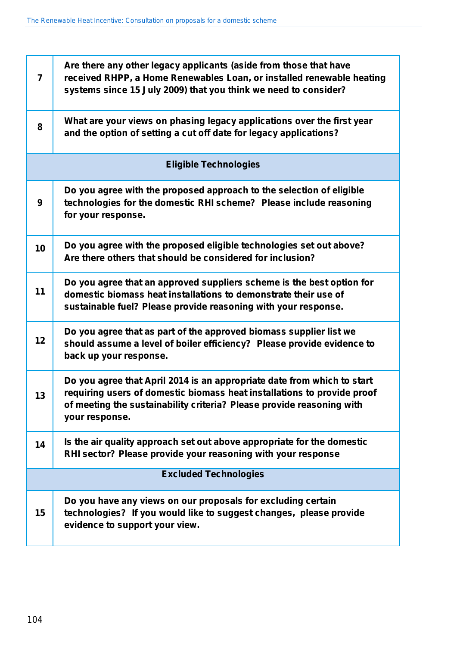| 7               | Are there any other legacy applicants (aside from those that have<br>received RHPP, a Home Renewables Loan, or installed renewable heating<br>systems since 15 July 2009) that you think we need to consider?                                 |
|-----------------|-----------------------------------------------------------------------------------------------------------------------------------------------------------------------------------------------------------------------------------------------|
| 8               | What are your views on phasing legacy applications over the first year<br>and the option of setting a cut off date for legacy applications?                                                                                                   |
|                 | <b>Eligible Technologies</b>                                                                                                                                                                                                                  |
| 9               | Do you agree with the proposed approach to the selection of eligible<br>technologies for the domestic RHI scheme? Please include reasoning<br>for your response.                                                                              |
| 10              | Do you agree with the proposed eligible technologies set out above?<br>Are there others that should be considered for inclusion?                                                                                                              |
| 11              | Do you agree that an approved suppliers scheme is the best option for<br>domestic biomass heat installations to demonstrate their use of<br>sustainable fuel? Please provide reasoning with your response.                                    |
| 12 <sub>2</sub> | Do you agree that as part of the approved biomass supplier list we<br>should assume a level of boiler efficiency? Please provide evidence to<br>back up your response.                                                                        |
| 13              | Do you agree that April 2014 is an appropriate date from which to start<br>requiring users of domestic biomass heat installations to provide proof<br>of meeting the sustainability criteria? Please provide reasoning with<br>your response. |
| 14              | Is the air quality approach set out above appropriate for the domestic<br>RHI sector? Please provide your reasoning with your response                                                                                                        |
|                 | <b>Excluded Technologies</b>                                                                                                                                                                                                                  |
| 15              | Do you have any views on our proposals for excluding certain<br>technologies? If you would like to suggest changes, please provide<br>evidence to support your view.                                                                          |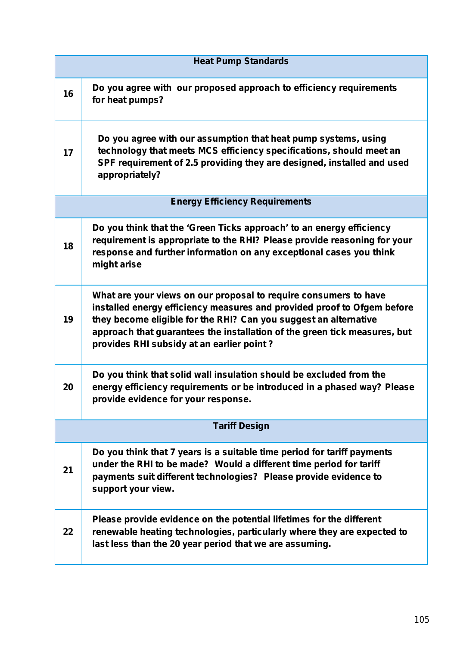| <b>Heat Pump Standards</b> |                                                                                                                                                                                                                                                                                                                                           |
|----------------------------|-------------------------------------------------------------------------------------------------------------------------------------------------------------------------------------------------------------------------------------------------------------------------------------------------------------------------------------------|
| 16                         | Do you agree with our proposed approach to efficiency requirements<br>for heat pumps?                                                                                                                                                                                                                                                     |
| 17                         | Do you agree with our assumption that heat pump systems, using<br>technology that meets MCS efficiency specifications, should meet an<br>SPF requirement of 2.5 providing they are designed, installed and used<br>appropriately?                                                                                                         |
|                            | <b>Energy Efficiency Requirements</b>                                                                                                                                                                                                                                                                                                     |
| 18                         | Do you think that the 'Green Ticks approach' to an energy efficiency<br>requirement is appropriate to the RHI? Please provide reasoning for your<br>response and further information on any exceptional cases you think<br>might arise                                                                                                    |
| 19                         | What are your views on our proposal to require consumers to have<br>installed energy efficiency measures and provided proof to Ofgem before<br>they become eligible for the RHI? Can you suggest an alternative<br>approach that guarantees the installation of the green tick measures, but<br>provides RHI subsidy at an earlier point? |
| 20                         | Do you think that solid wall insulation should be excluded from the<br>energy efficiency requirements or be introduced in a phased way? Please<br>provide evidence for your response.                                                                                                                                                     |
| <b>Tariff Design</b>       |                                                                                                                                                                                                                                                                                                                                           |
| 21                         | Do you think that 7 years is a suitable time period for tariff payments<br>under the RHI to be made? Would a different time period for tariff<br>payments suit different technologies? Please provide evidence to<br>support your view.                                                                                                   |
| 22                         | Please provide evidence on the potential lifetimes for the different<br>renewable heating technologies, particularly where they are expected to<br>last less than the 20 year period that we are assuming.                                                                                                                                |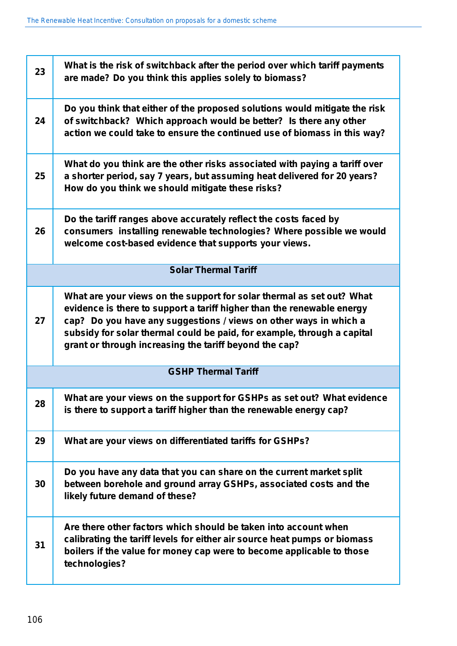| 23 | What is the risk of switchback after the period over which tariff payments<br>are made? Do you think this applies solely to biomass?                                                                                                                                                                                                                      |
|----|-----------------------------------------------------------------------------------------------------------------------------------------------------------------------------------------------------------------------------------------------------------------------------------------------------------------------------------------------------------|
| 24 | Do you think that either of the proposed solutions would mitigate the risk<br>of switchback? Which approach would be better? Is there any other<br>action we could take to ensure the continued use of biomass in this way?                                                                                                                               |
| 25 | What do you think are the other risks associated with paying a tariff over<br>a shorter period, say 7 years, but assuming heat delivered for 20 years?<br>How do you think we should mitigate these risks?                                                                                                                                                |
| 26 | Do the tariff ranges above accurately reflect the costs faced by<br>consumers installing renewable technologies? Where possible we would<br>welcome cost-based evidence that supports your views.                                                                                                                                                         |
|    | <b>Solar Thermal Tariff</b>                                                                                                                                                                                                                                                                                                                               |
| 27 | What are your views on the support for solar thermal as set out? What<br>evidence is there to support a tariff higher than the renewable energy<br>cap? Do you have any suggestions / views on other ways in which a<br>subsidy for solar thermal could be paid, for example, through a capital<br>grant or through increasing the tariff beyond the cap? |
|    | <b>GSHP Thermal Tariff</b>                                                                                                                                                                                                                                                                                                                                |
| 28 | What are your views on the support for GSHPs as set out? What evidence<br>is there to support a tariff higher than the renewable energy cap?                                                                                                                                                                                                              |
| 29 | What are your views on differentiated tariffs for GSHPs?                                                                                                                                                                                                                                                                                                  |
| 30 | Do you have any data that you can share on the current market split<br>between borehole and ground array GSHPs, associated costs and the<br>likely future demand of these?                                                                                                                                                                                |
| 31 | Are there other factors which should be taken into account when<br>calibrating the tariff levels for either air source heat pumps or biomass<br>boilers if the value for money cap were to become applicable to those<br>technologies?                                                                                                                    |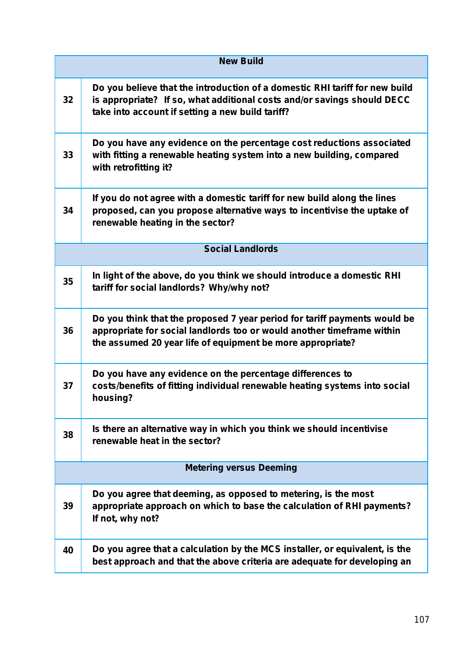|                                | <b>New Build</b>                                                                                                                                                                                                  |
|--------------------------------|-------------------------------------------------------------------------------------------------------------------------------------------------------------------------------------------------------------------|
| 32                             | Do you believe that the introduction of a domestic RHI tariff for new build<br>is appropriate? If so, what additional costs and/or savings should DECC<br>take into account if setting a new build tariff?        |
| 33                             | Do you have any evidence on the percentage cost reductions associated<br>with fitting a renewable heating system into a new building, compared<br>with retrofitting it?                                           |
| 34                             | If you do not agree with a domestic tariff for new build along the lines<br>proposed, can you propose alternative ways to incentivise the uptake of<br>renewable heating in the sector?                           |
|                                | <b>Social Landlords</b>                                                                                                                                                                                           |
| 35                             | In light of the above, do you think we should introduce a domestic RHI<br>tariff for social landlords? Why/why not?                                                                                               |
| 36                             | Do you think that the proposed 7 year period for tariff payments would be<br>appropriate for social landlords too or would another timeframe within<br>the assumed 20 year life of equipment be more appropriate? |
| 37                             | Do you have any evidence on the percentage differences to<br>costs/benefits of fitting individual renewable heating systems into social<br>housing?                                                               |
| 38                             | Is there an alternative way in which you think we should incentivise<br>renewable heat in the sector?                                                                                                             |
| <b>Metering versus Deeming</b> |                                                                                                                                                                                                                   |
| 39                             | Do you agree that deeming, as opposed to metering, is the most<br>appropriate approach on which to base the calculation of RHI payments?<br>If not, why not?                                                      |
| 40                             | Do you agree that a calculation by the MCS installer, or equivalent, is the<br>best approach and that the above criteria are adequate for developing an                                                           |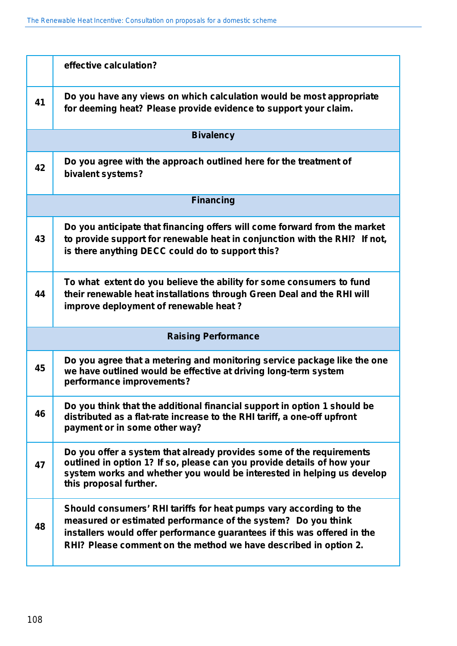|                            | effective calculation?                                                                                                                                                                                                                                                              |
|----------------------------|-------------------------------------------------------------------------------------------------------------------------------------------------------------------------------------------------------------------------------------------------------------------------------------|
| 41                         | Do you have any views on which calculation would be most appropriate<br>for deeming heat? Please provide evidence to support your claim.                                                                                                                                            |
|                            | <b>Bivalency</b>                                                                                                                                                                                                                                                                    |
| 42                         | Do you agree with the approach outlined here for the treatment of<br>bivalent systems?                                                                                                                                                                                              |
| <b>Financing</b>           |                                                                                                                                                                                                                                                                                     |
| 43                         | Do you anticipate that financing offers will come forward from the market<br>to provide support for renewable heat in conjunction with the RHI? If not,<br>is there anything DECC could do to support this?                                                                         |
| 44                         | To what extent do you believe the ability for some consumers to fund<br>their renewable heat installations through Green Deal and the RHI will<br>improve deployment of renewable heat?                                                                                             |
| <b>Raising Performance</b> |                                                                                                                                                                                                                                                                                     |
| 45                         | Do you agree that a metering and monitoring service package like the one<br>we have outlined would be effective at driving long-term system<br>performance improvements?                                                                                                            |
| 46                         | Do you think that the additional financial support in option 1 should be<br>distributed as a flat-rate increase to the RHI tariff, a one-off upfront<br>payment or in some other way?                                                                                               |
| 47                         | Do you offer a system that already provides some of the requirements<br>outlined in option 1? If so, please can you provide details of how your<br>system works and whether you would be interested in helping us develop<br>this proposal further.                                 |
| 48                         | Should consumers' RHI tariffs for heat pumps vary according to the<br>measured or estimated performance of the system? Do you think<br>installers would offer performance guarantees if this was offered in the<br>RHI? Please comment on the method we have described in option 2. |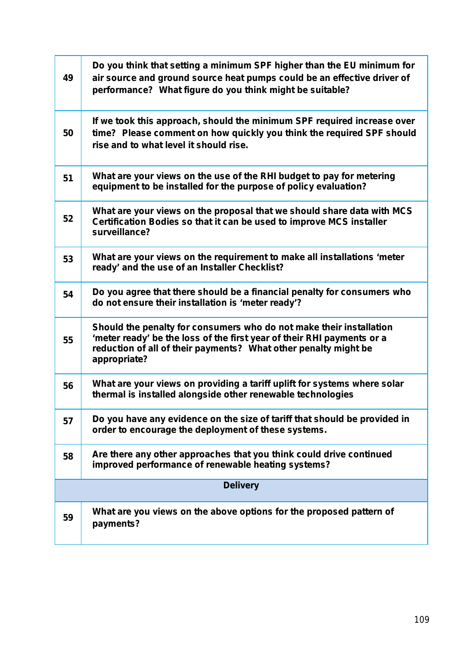| 49              | Do you think that setting a minimum SPF higher than the EU minimum for<br>air source and ground source heat pumps could be an effective driver of<br>performance? What figure do you think might be suitable?                    |
|-----------------|----------------------------------------------------------------------------------------------------------------------------------------------------------------------------------------------------------------------------------|
| 50              | If we took this approach, should the minimum SPF required increase over<br>time? Please comment on how quickly you think the required SPF should<br>rise and to what level it should rise.                                       |
| 51              | What are your views on the use of the RHI budget to pay for metering<br>equipment to be installed for the purpose of policy evaluation?                                                                                          |
| 52              | What are your views on the proposal that we should share data with MCS<br>Certification Bodies so that it can be used to improve MCS installer<br>surveillance?                                                                  |
| 53              | What are your views on the requirement to make all installations 'meter<br>ready' and the use of an Installer Checklist?                                                                                                         |
| 54              | Do you agree that there should be a financial penalty for consumers who<br>do not ensure their installation is 'meter ready'?                                                                                                    |
| 55              | Should the penalty for consumers who do not make their installation<br>'meter ready' be the loss of the first year of their RHI payments or a<br>reduction of all of their payments? What other penalty might be<br>appropriate? |
| 56              | What are your views on providing a tariff uplift for systems where solar<br>thermal is installed alongside other renewable technologies                                                                                          |
| 57              | Do you have any evidence on the size of tariff that should be provided in<br>order to encourage the deployment of these systems.                                                                                                 |
| 58              | Are there any other approaches that you think could drive continued<br>improved performance of renewable heating systems?                                                                                                        |
| <b>Delivery</b> |                                                                                                                                                                                                                                  |
| 59              | What are you views on the above options for the proposed pattern of<br>payments?                                                                                                                                                 |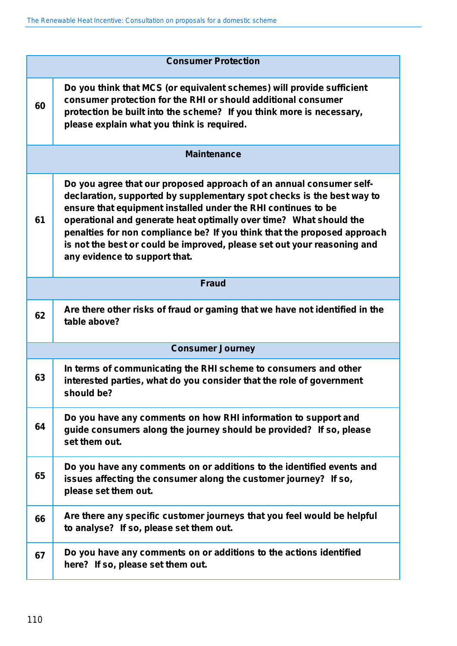| <b>Consumer Protection</b> |                                                                                                                                                                                                                                                                                                                                                                                                                                                                              |
|----------------------------|------------------------------------------------------------------------------------------------------------------------------------------------------------------------------------------------------------------------------------------------------------------------------------------------------------------------------------------------------------------------------------------------------------------------------------------------------------------------------|
| 60                         | Do you think that MCS (or equivalent schemes) will provide sufficient<br>consumer protection for the RHI or should additional consumer<br>protection be built into the scheme? If you think more is necessary,<br>please explain what you think is required.                                                                                                                                                                                                                 |
| <b>Maintenance</b>         |                                                                                                                                                                                                                                                                                                                                                                                                                                                                              |
| 61                         | Do you agree that our proposed approach of an annual consumer self-<br>declaration, supported by supplementary spot checks is the best way to<br>ensure that equipment installed under the RHI continues to be<br>operational and generate heat optimally over time? What should the<br>penalties for non compliance be? If you think that the proposed approach<br>is not the best or could be improved, please set out your reasoning and<br>any evidence to support that. |
| <b>Fraud</b>               |                                                                                                                                                                                                                                                                                                                                                                                                                                                                              |
| 62                         | Are there other risks of fraud or gaming that we have not identified in the<br>table above?                                                                                                                                                                                                                                                                                                                                                                                  |
|                            | <b>Consumer Journey</b>                                                                                                                                                                                                                                                                                                                                                                                                                                                      |
| 63                         | In terms of communicating the RHI scheme to consumers and other<br>interested parties, what do you consider that the role of government<br>should be?                                                                                                                                                                                                                                                                                                                        |
| 64                         | Do you have any comments on how RHI information to support and<br>guide consumers along the journey should be provided? If so, please<br>set them out.                                                                                                                                                                                                                                                                                                                       |
| 65                         | Do you have any comments on or additions to the identified events and<br>issues affecting the consumer along the customer journey? If so,<br>please set them out.                                                                                                                                                                                                                                                                                                            |
| 66                         | Are there any specific customer journeys that you feel would be helpful<br>to analyse? If so, please set them out.                                                                                                                                                                                                                                                                                                                                                           |
| 67                         | Do you have any comments on or additions to the actions identified<br>here? If so, please set them out.                                                                                                                                                                                                                                                                                                                                                                      |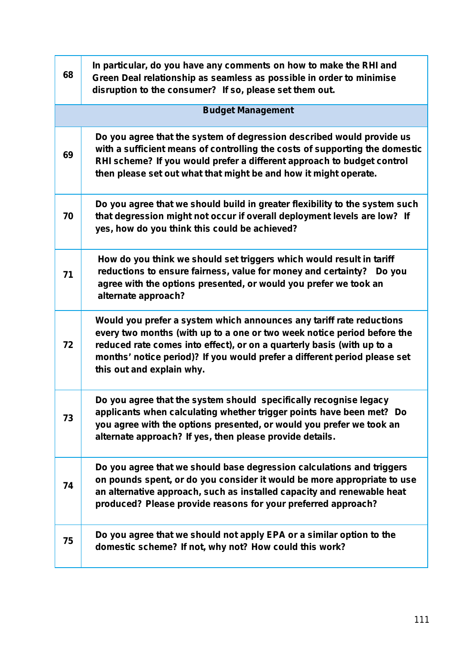| 68 | In particular, do you have any comments on how to make the RHI and<br>Green Deal relationship as seamless as possible in order to minimise<br>disruption to the consumer? If so, please set them out.                                                                                                                               |
|----|-------------------------------------------------------------------------------------------------------------------------------------------------------------------------------------------------------------------------------------------------------------------------------------------------------------------------------------|
|    | <b>Budget Management</b>                                                                                                                                                                                                                                                                                                            |
| 69 | Do you agree that the system of degression described would provide us<br>with a sufficient means of controlling the costs of supporting the domestic<br>RHI scheme? If you would prefer a different approach to budget control<br>then please set out what that might be and how it might operate.                                  |
| 70 | Do you agree that we should build in greater flexibility to the system such<br>that degression might not occur if overall deployment levels are low? If<br>yes, how do you think this could be achieved?                                                                                                                            |
| 71 | How do you think we should set triggers which would result in tariff<br>reductions to ensure fairness, value for money and certainty? Do you<br>agree with the options presented, or would you prefer we took an<br>alternate approach?                                                                                             |
| 72 | Would you prefer a system which announces any tariff rate reductions<br>every two months (with up to a one or two week notice period before the<br>reduced rate comes into effect), or on a quarterly basis (with up to a<br>months' notice period)? If you would prefer a different period please set<br>this out and explain why. |
| 73 | Do you agree that the system should specifically recognise legacy<br>applicants when calculating whether trigger points have been met? Do<br>you agree with the options presented, or would you prefer we took an<br>alternate approach? If yes, then please provide details.                                                       |
| 74 | Do you agree that we should base degression calculations and triggers<br>on pounds spent, or do you consider it would be more appropriate to use<br>an alternative approach, such as installed capacity and renewable heat<br>produced? Please provide reasons for your preferred approach?                                         |
| 75 | Do you agree that we should not apply EPA or a similar option to the<br>domestic scheme? If not, why not? How could this work?                                                                                                                                                                                                      |